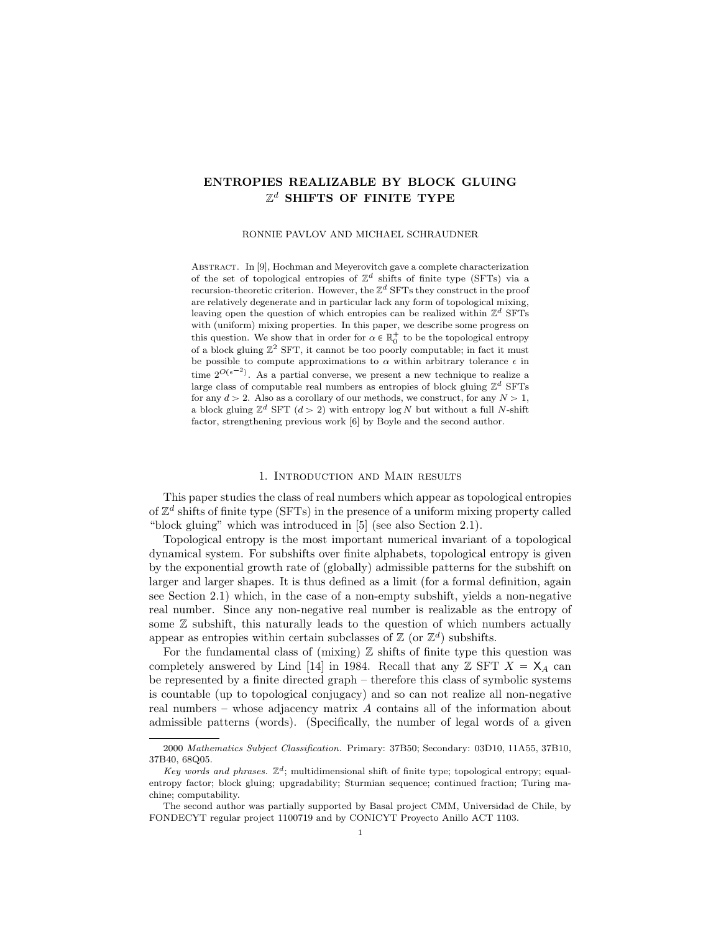# **ENTROPIES REALIZABLE BY BLOCK GLUING** Z *<sup>d</sup>* **SHIFTS OF FINITE TYPE**

RONNIE PAVLOV AND MICHAEL SCHRAUDNER

ABSTRACT. In [9], Hochman and Meyerovitch gave a complete characterization of the set of topological entropies of  $\mathbb{Z}^d$  shifts of finite type (SFTs) via a recursion-theoretic criterion. However, the Z *<sup>d</sup>* SFTs they construct in the proof are relatively degenerate and in particular lack any form of topological mixing, leaving open the question of which entropies can be realized within  $\mathbb{Z}^d$  SFTs with (uniform) mixing properties. In this paper, we describe some progress on this question. We show that in order for  $\alpha \in \mathbb{R}^+_0$  to be the topological entropy of a block gluing  $\mathbb{Z}^2$  SFT, it cannot be too poorly computable; in fact it must be possible to compute approximations to  $\alpha$  within arbitrary tolerance  $\epsilon$  in time  $2^{O(\epsilon^{-2})}$ . As a partial converse, we present a new technique to realize a large class of computable real numbers as entropies of block gluing  $\mathbb{Z}^d$  SFTs for any  $d > 2$ . Also as a corollary of our methods, we construct, for any  $N > 1$ , a block gluing  $\mathbb{Z}^d$  SFT  $(d > 2)$  with entropy log *N* but without a full *N*-shift factor, strengthening previous work [6] by Boyle and the second author.

#### 1. Introduction and Main results

This paper studies the class of real numbers which appear as topological entropies of  $\mathbb{Z}^d$  shifts of finite type (SFTs) in the presence of a uniform mixing property called "block gluing" which was introduced in [5] (see also Section 2.1).

Topological entropy is the most important numerical invariant of a topological dynamical system. For subshifts over finite alphabets, topological entropy is given by the exponential growth rate of (globally) admissible patterns for the subshift on larger and larger shapes. It is thus defined as a limit (for a formal definition, again see Section 2.1) which, in the case of a non-empty subshift, yields a non-negative real number. Since any non-negative real number is realizable as the entropy of some  $\mathbb Z$  subshift, this naturally leads to the question of which numbers actually appear as entropies within certain subclasses of  $\mathbb{Z}$  (or  $\mathbb{Z}^d$ ) subshifts.

For the fundamental class of (mixing)  $\mathbb Z$  shifts of finite type this question was completely answered by Lind [14] in 1984. Recall that any  $\mathbb{Z}$  SFT  $X = X_A$  can be represented by a finite directed graph – therefore this class of symbolic systems is countable (up to topological conjugacy) and so can not realize all non-negative real numbers – whose adjacency matrix *A* contains all of the information about admissible patterns (words). (Specifically, the number of legal words of a given

<sup>2000</sup> *Mathematics Subject Classification.* Primary: 37B50; Secondary: 03D10, 11A55, 37B10, 37B40, 68Q05.

*Key words and phrases.*  $\mathbb{Z}^d$ ; multidimensional shift of finite type; topological entropy; equalentropy factor; block gluing; upgradability; Sturmian sequence; continued fraction; Turing machine; computability.

The second author was partially supported by Basal project CMM, Universidad de Chile, by FONDECYT regular project 1100719 and by CONICYT Proyecto Anillo ACT 1103.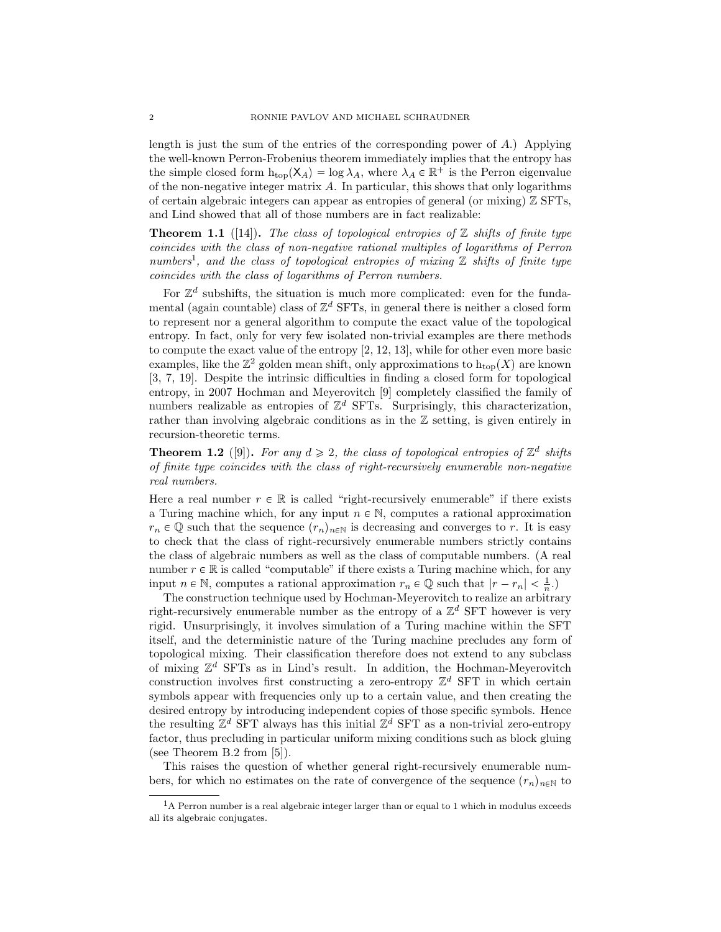length is just the sum of the entries of the corresponding power of *A*.) Applying the well-known Perron-Frobenius theorem immediately implies that the entropy has the simple closed form  $h_{\text{top}}(X_A) = \log \lambda_A$ , where  $\lambda_A \in \mathbb{R}^+$  is the Perron eigenvalue of the non-negative integer matrix *A*. In particular, this shows that only logarithms of certain algebraic integers can appear as entropies of general (or mixing) Z SFTs, and Lind showed that all of those numbers are in fact realizable:

**Theorem 1.1** ([14]). The class of topological entropies of  $\mathbb Z$  shifts of finite type *coincides with the class of non-negative rational multiples of logarithms of Perron numbers*<sup>1</sup> *, and the class of topological entropies of mixing* Z *shifts of finite type coincides with the class of logarithms of Perron numbers.*

For  $\mathbb{Z}^d$  subshifts, the situation is much more complicated: even for the fundamental (again countable) class of  $\mathbb{Z}^d$  SFTs, in general there is neither a closed form to represent nor a general algorithm to compute the exact value of the topological entropy. In fact, only for very few isolated non-trivial examples are there methods to compute the exact value of the entropy [2, 12, 13], while for other even more basic examples, like the  $\mathbb{Z}^2$  golden mean shift, only approximations to  $h_{\text{top}}(X)$  are known [3, 7, 19]. Despite the intrinsic difficulties in finding a closed form for topological entropy, in 2007 Hochman and Meyerovitch [9] completely classified the family of numbers realizable as entropies of  $\mathbb{Z}^d$  SFTs. Surprisingly, this characterization, rather than involving algebraic conditions as in the Z setting, is given entirely in recursion-theoretic terms.

**Theorem 1.2** ([9]). For any  $d \ge 2$ , the class of topological entropies of  $\mathbb{Z}^d$  shifts *of finite type coincides with the class of right-recursively enumerable non-negative real numbers.*

Here a real number  $r \in \mathbb{R}$  is called "right-recursively enumerable" if there exists a Turing machine which, for any input  $n \in \mathbb{N}$ , computes a rational approximation  $r_n \in \mathbb{Q}$  such that the sequence  $(r_n)_{n \in \mathbb{N}}$  is decreasing and converges to *r*. It is easy to check that the class of right-recursively enumerable numbers strictly contains the class of algebraic numbers as well as the class of computable numbers. (A real number  $r \in \mathbb{R}$  is called "computable" if there exists a Turing machine which, for any input  $n \in \mathbb{N}$ , computes a rational approximation  $r_n \in \mathbb{Q}$  such that  $|r - r_n| < \frac{1}{n}$ .

The construction technique used by Hochman-Meyerovitch to realize an arbitrary right-recursively enumerable number as the entropy of a  $\mathbb{Z}^d$  SFT however is very rigid. Unsurprisingly, it involves simulation of a Turing machine within the SFT itself, and the deterministic nature of the Turing machine precludes any form of topological mixing. Their classification therefore does not extend to any subclass of mixing Z *<sup>d</sup>* SFTs as in Lind's result. In addition, the Hochman-Meyerovitch construction involves first constructing a zero-entropy Z *<sup>d</sup>* SFT in which certain symbols appear with frequencies only up to a certain value, and then creating the desired entropy by introducing independent copies of those specific symbols. Hence the resulting  $\mathbb{Z}^d$  SFT always has this initial  $\mathbb{Z}^d$  SFT as a non-trivial zero-entropy factor, thus precluding in particular uniform mixing conditions such as block gluing (see Theorem B.2 from [5]).

This raises the question of whether general right-recursively enumerable numbers, for which no estimates on the rate of convergence of the sequence  $(r_n)_{n\in\mathbb{N}}$  to

 ${}^{1}$ A Perron number is a real algebraic integer larger than or equal to 1 which in modulus exceeds all its algebraic conjugates.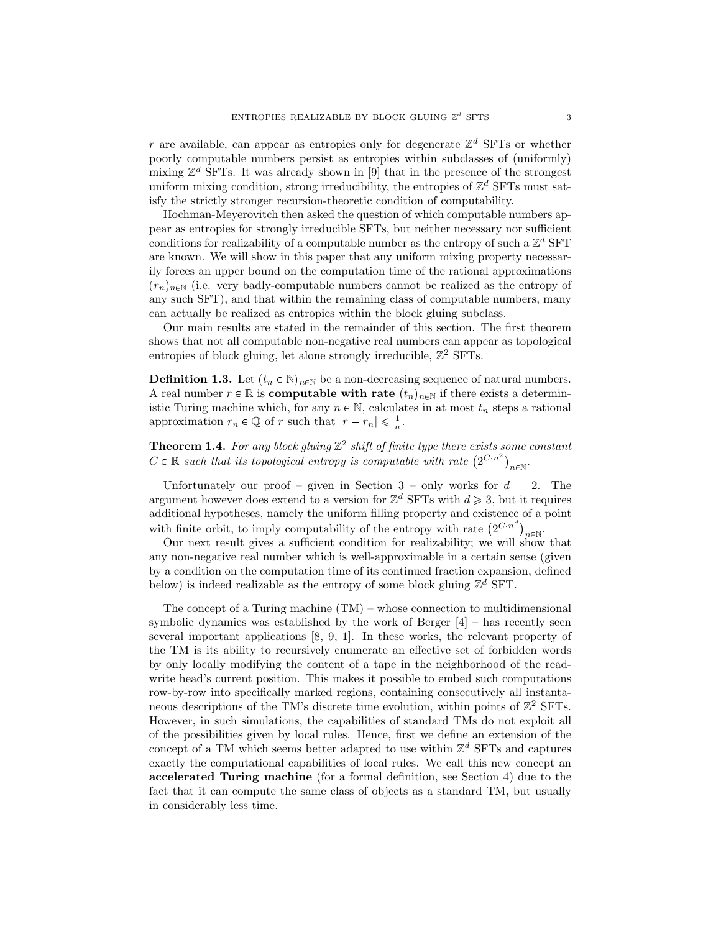*r* are available, can appear as entropies only for degenerate  $\mathbb{Z}^d$  SFTs or whether poorly computable numbers persist as entropies within subclasses of (uniformly) mixing  $\mathbb{Z}^d$  SFTs. It was already shown in [9] that in the presence of the strongest uniform mixing condition, strong irreducibility, the entropies of  $\mathbb{Z}^d$  SFTs must satisfy the strictly stronger recursion-theoretic condition of computability.

Hochman-Meyerovitch then asked the question of which computable numbers appear as entropies for strongly irreducible SFTs, but neither necessary nor sufficient conditions for realizability of a computable number as the entropy of such a  $\mathbb{Z}^d$  SFT are known. We will show in this paper that any uniform mixing property necessarily forces an upper bound on the computation time of the rational approximations  $(r_n)_{n\in\mathbb{N}}$  (i.e. very badly-computable numbers cannot be realized as the entropy of any such SFT), and that within the remaining class of computable numbers, many can actually be realized as entropies within the block gluing subclass.

Our main results are stated in the remainder of this section. The first theorem shows that not all computable non-negative real numbers can appear as topological entropies of block gluing, let alone strongly irreducible,  $\mathbb{Z}^2$  SFTs.

**Definition 1.3.** Let  $(t_n \in \mathbb{N})_{n \in \mathbb{N}}$  be a non-decreasing sequence of natural numbers. A real number  $r \in \mathbb{R}$  is **computable with rate**  $(t_n)_{n \in \mathbb{N}}$  if there exists a deterministic Turing machine which, for any  $n \in \mathbb{N}$ , calculates in at most  $t_n$  steps a rational approximation  $r_n \in \mathbb{Q}$  of  $r$  such that  $|r - r_n| \leq \frac{1}{n}$ .

**Theorem 1.4.** For any block gluing  $\mathbb{Z}^2$  shift of finite type there exists some constant  $C \in \mathbb{R}$  such that its topological entropy is computable with rate  $(2^{C \cdot n^2})$  $n \in \mathbb{N}$ .

Unfortunately our proof – given in Section  $3$  – only works for  $d = 2$ . The argument however does extend to a version for  $\mathbb{Z}^d$  SFTs with  $d \geq 3$ , but it requires additional hypotheses, namely the uniform filling property and existence of a point with finite orbit, to imply computability of the entropy with rate  $(2^{C \cdot n^d})_{n \in \mathbb{N}}$ .

Our next result gives a sufficient condition for realizability; we will show that any non-negative real number which is well-approximable in a certain sense (given by a condition on the computation time of its continued fraction expansion, defined below) is indeed realizable as the entropy of some block gluing  $\mathbb{Z}^d$  SFT.

The concept of a Turing machine  $(TM)$  – whose connection to multidimensional symbolic dynamics was established by the work of Berger  $[4]$  – has recently seen several important applications [8, 9, 1]. In these works, the relevant property of the TM is its ability to recursively enumerate an effective set of forbidden words by only locally modifying the content of a tape in the neighborhood of the readwrite head's current position. This makes it possible to embed such computations row-by-row into specifically marked regions, containing consecutively all instantaneous descriptions of the TM's discrete time evolution, within points of  $\mathbb{Z}^2$  SFTs. However, in such simulations, the capabilities of standard TMs do not exploit all of the possibilities given by local rules. Hence, first we define an extension of the concept of a TM which seems better adapted to use within  $\mathbb{Z}^d$  SFTs and captures exactly the computational capabilities of local rules. We call this new concept an **accelerated Turing machine** (for a formal definition, see Section 4) due to the fact that it can compute the same class of objects as a standard TM, but usually in considerably less time.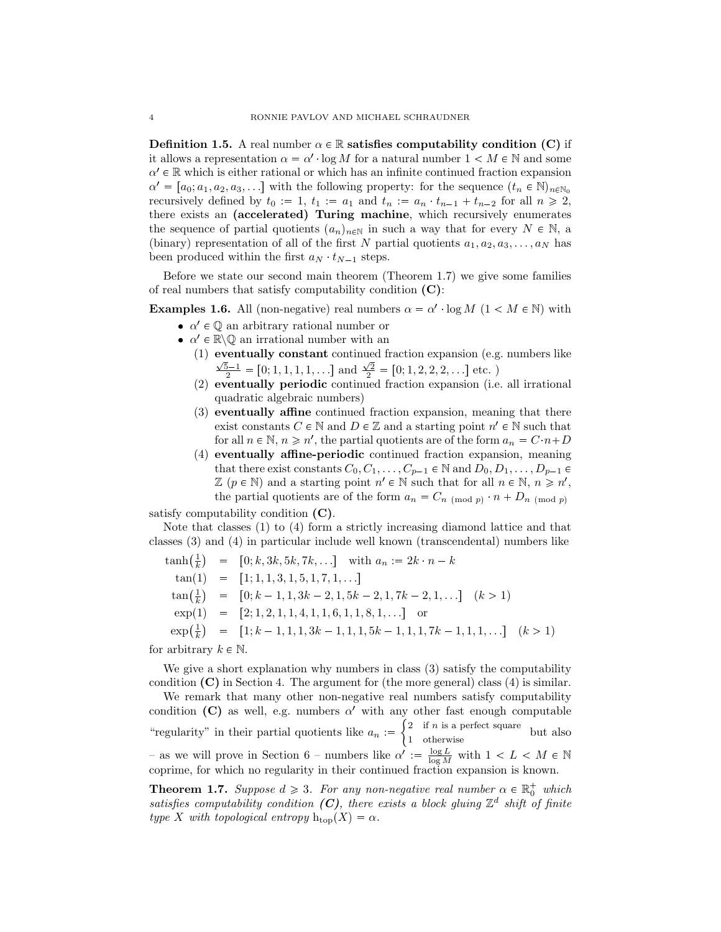**Definition 1.5.** A real number  $\alpha \in \mathbb{R}$  **satisfies computability condition (C)** if it allows a representation  $\alpha = \alpha' \cdot \log M$  for a natural number  $1 < M \in \mathbb{N}$  and some  $\alpha' \in \mathbb{R}$  which is either rational or which has an infinite continued fraction expansion  $\alpha' = [a_0; a_1, a_2, a_3, \ldots]$  with the following property: for the sequence  $(t_n \in \mathbb{N})_{n \in \mathbb{N}_0}$ recursively defined by  $t_0 := 1$ ,  $t_1 := a_1$  and  $t_n := a_n \cdot t_{n-1} + t_{n-2}$  for all  $n \ge 2$ , there exists an **(accelerated) Turing machine**, which recursively enumerates the sequence of partial quotients  $(a_n)_{n\in\mathbb{N}}$  in such a way that for every  $N \in \mathbb{N}$ , a (binary) representation of all of the first *N* partial quotients  $a_1, a_2, a_3, \ldots, a_N$  has been produced within the first  $a_N \, t_{N-1}$  steps.

Before we state our second main theorem (Theorem 1.7) we give some families of real numbers that satisfy computability condition **(C)**:

**Examples 1.6.** All (non-negative) real numbers  $\alpha = \alpha' \cdot \log M$  ( $1 < M \in \mathbb{N}$ ) with

- $\alpha' \in \mathbb{Q}$  an arbitrary rational number or
- $\alpha' \in \mathbb{R} \setminus \mathbb{Q}$  an irrational number with an
	- (1) **eventually constant** continued fraction expansion (e.g. numbers like  $\frac{\sqrt{5}-1}{2}$  = [0, 1, 1, 1, 1, ...] and  $\frac{\sqrt{2}}{2}$  = [0, 1, 2, 2, 2, ...] etc. )
	- (2) **eventually periodic** continued fraction expansion (i.e. all irrational quadratic algebraic numbers)
	- (3) **eventually affine** continued fraction expansion, meaning that there exist constants  $C \in \mathbb{N}$  and  $D \in \mathbb{Z}$  and a starting point  $n' \in \mathbb{N}$  such that for all  $n \in \mathbb{N}$ ,  $n \geq n'$ , the partial quotients are of the form  $a_n = C \cdot n + D$
	- (4) **eventually affine-periodic** continued fraction expansion, meaning that there exist constants  $C_0, C_1, \ldots, C_{p-1} \in \mathbb{N}$  and  $D_0, D_1, \ldots, D_{p-1} \in$  $\mathbb{Z}$  ( $p \in \mathbb{N}$ ) and a starting point  $n' \in \mathbb{N}$  such that for all  $n \in \mathbb{N}$ ,  $n \geq n'$ , the partial quotients are of the form  $a_n = C_n$  (mod *p*)  $n + D_n$  (mod *p*)

satisfy computability condition **(C)**.

Note that classes (1) to (4) form a strictly increasing diamond lattice and that classes (3) and (4) in particular include well known (transcendental) numbers like

$$
\begin{array}{rcl}\n\tanh\left(\frac{1}{k}\right) & = & [0; k, 3k, 5k, 7k, \ldots] \quad \text{with } a_n := 2k \cdot n - k \\
\tan(1) & = & [1; 1, 1, 3, 1, 5, 1, 7, 1, \ldots] \\
\tan\left(\frac{1}{k}\right) & = & [0; k - 1, 1, 3k - 2, 1, 5k - 2, 1, 7k - 2, 1, \ldots] \quad (k > 1) \\
\exp(1) & = & [2; 1, 2, 1, 1, 4, 1, 1, 6, 1, 1, 8, 1, \ldots] \quad \text{or} \\
\exp\left(\frac{1}{k}\right) & = & [1; k - 1, 1, 1, 3k - 1, 1, 1, 5k - 1, 1, 1, 7k - 1, 1, 1, \ldots] \quad (k > 1)\n\end{array}
$$

for arbitrary  $k \in \mathbb{N}$ .

We give a short explanation why numbers in class (3) satisfy the computability condition **(C)** in Section 4. The argument for (the more general) class (4) is similar.

We remark that many other non-negative real numbers satisfy computability condition **(C)** as well, e.g. numbers  $\alpha'$  with any other fast enough computable "regularity" in their partial quotients like  $a_n :=$  $\int 2$  if *n* is a perfect square  $\frac{1}{2}$  in *n* is a perfect square but also – as we will prove in Section 6 – numbers like  $\alpha' := \frac{\log L}{\log M}$  with  $1 < L < M \in \mathbb{N}$ coprime, for which no regularity in their continued fraction expansion is known.

**Theorem 1.7.** *Suppose*  $d \geq 3$ *. For any non-negative real number*  $\alpha \in \mathbb{R}_0^+$  *which* satisfies computability condition  $(C)$ , there exists a block gluing  $\mathbb{Z}^d$  shift of finite *type X with topological entropy*  $h_{top}(X) = \alpha$ *.*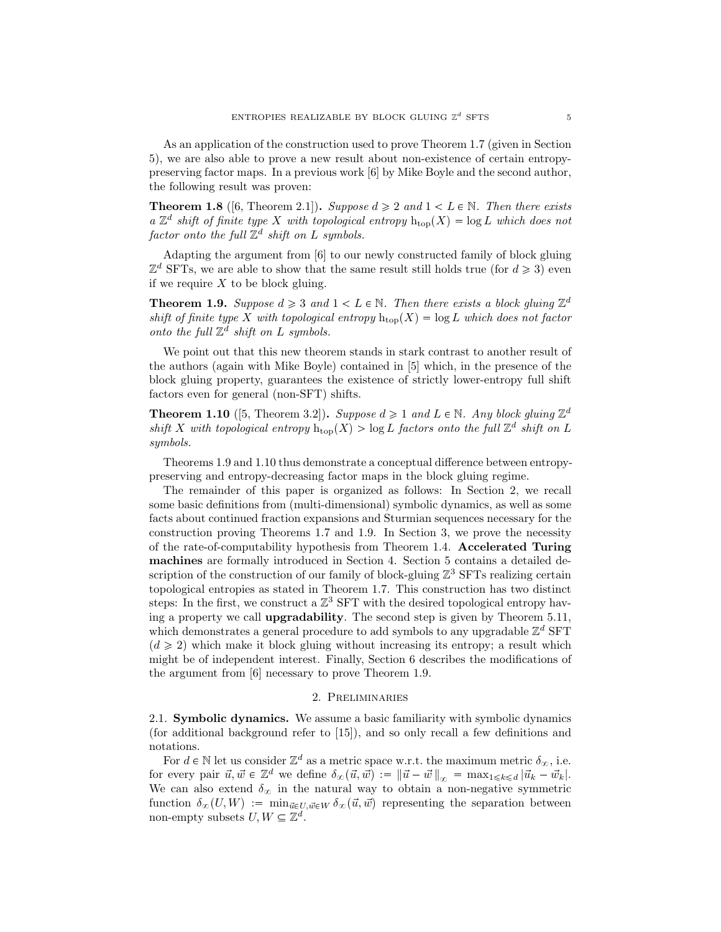As an application of the construction used to prove Theorem 1.7 (given in Section 5), we are also able to prove a new result about non-existence of certain entropypreserving factor maps. In a previous work [6] by Mike Boyle and the second author, the following result was proven:

**Theorem 1.8** ([6, Theorem 2.1]). *Suppose*  $d \geq 2$  *and*  $1 \leq L \in \mathbb{N}$ *. Then there exists a*  $\mathbb{Z}^d$  *shift of finite type X with topological entropy*  $h_{top}(X) = log L$  *which does not*  $factor \ onto \ the \ full \ \mathbb{Z}^d \ shift \ on \ L \ symbols.$ 

Adapting the argument from [6] to our newly constructed family of block gluing  $\mathbb{Z}^d$  SFTs, we are able to show that the same result still holds true (for  $d \geq 3$ ) even if we require *X* to be block gluing.

**Theorem 1.9.** *Suppose*  $d \geq 3$  *and*  $1 < L \in \mathbb{N}$ *. Then there exists a block gluing*  $\mathbb{Z}^d$ *shift of finite type* X with topological entropy  $h_{\text{top}}(X) = \log L$  which does not factor *onto the full*  $\mathbb{Z}^d$  *shift on L symbols.* 

We point out that this new theorem stands in stark contrast to another result of the authors (again with Mike Boyle) contained in [5] which, in the presence of the block gluing property, guarantees the existence of strictly lower-entropy full shift factors even for general (non-SFT) shifts.

**Theorem 1.10** ([5, Theorem 3.2]). *Suppose*  $d \ge 1$  *and*  $L \in \mathbb{N}$ *. Any block gluing*  $\mathbb{Z}^d$ shift *X* with topological entropy  $h_{\text{top}}(X) > \log L$  factors onto the full  $\mathbb{Z}^d$  shift on L *symbols.*

Theorems 1.9 and 1.10 thus demonstrate a conceptual difference between entropypreserving and entropy-decreasing factor maps in the block gluing regime.

The remainder of this paper is organized as follows: In Section 2, we recall some basic definitions from (multi-dimensional) symbolic dynamics, as well as some facts about continued fraction expansions and Sturmian sequences necessary for the construction proving Theorems 1.7 and 1.9. In Section 3, we prove the necessity of the rate-of-computability hypothesis from Theorem 1.4. **Accelerated Turing machines** are formally introduced in Section 4. Section 5 contains a detailed description of the construction of our family of block-gluing  $\mathbb{Z}^3$  SFTs realizing certain topological entropies as stated in Theorem 1.7. This construction has two distinct steps: In the first, we construct a  $\mathbb{Z}^3$  SFT with the desired topological entropy having a property we call **upgradability**. The second step is given by Theorem 5.11, which demonstrates a general procedure to add symbols to any upgradable  $\mathbb{Z}^d$  SFT  $(d \geq 2)$  which make it block gluing without increasing its entropy; a result which might be of independent interest. Finally, Section 6 describes the modifications of the argument from [6] necessary to prove Theorem 1.9.

### 2. Preliminaries

2.1. **Symbolic dynamics.** We assume a basic familiarity with symbolic dynamics (for additional background refer to [15]), and so only recall a few definitions and notations.

For  $d \in \mathbb{N}$  let us consider  $\mathbb{Z}^d$  as a metric space w.r.t. the maximum metric  $\delta_{\infty}$ , i.e. for every pair  $\vec{u}, \vec{w} \in \mathbb{Z}^d$  we define  $\delta_{\infty}(\vec{u}, \vec{w}) := ||\vec{u} - \vec{w}||_{\infty} = \max_{1 \leq k \leq d} |\vec{u}_k - \vec{w}_k|$ . We can also extend  $\delta_{\infty}$  in the natural way to obtain a non-negative symmetric function  $\delta_{\infty}(U, W) := \min_{\vec{u} \in U, \vec{w} \in W} \delta_{\infty}(\vec{u}, \vec{w})$  representing the separation between non-empty subsets  $U, W \subseteq \mathbb{Z}^d$ .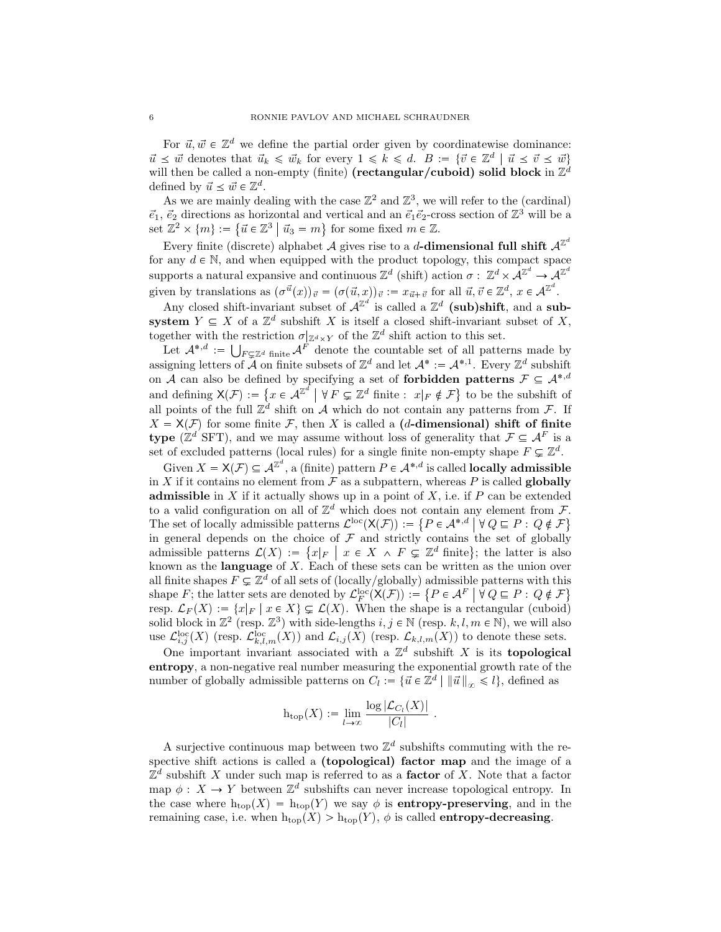For  $\vec{u}, \vec{w} \in \mathbb{Z}^d$  we define the partial order given by coordinatewise dominance:  $\vec{u} \leq \vec{w}$  denotes that  $\vec{u}_k \leq \vec{w}_k$  for every  $1 \leq k \leq d$ .  $B := {\vec{v} \in \mathbb{Z}^d \mid \vec{u} \leq \vec{v} \leq \vec{w}}$ will then be called a non-empty (finite)  $(\text{rectangular}/\text{cuboid})$  solid block in  $\mathbb{Z}^d$ defined by  $\vec{u} \leq \vec{w} \in \mathbb{Z}^d$ .

As we are mainly dealing with the case  $\mathbb{Z}^2$  and  $\mathbb{Z}^3$ , we will refer to the (cardinal)  $\vec{e}_1, \vec{e}_2$  directions as horizontal and vertical and an  $\vec{e}_1 \vec{e}_2$ -cross section of  $\mathbb{Z}^3$  will be a set  $\mathbb{Z}^2 \times \{m\} := \{ \vec{u} \in \mathbb{Z}^3 \mid \vec{u}_3 = m \}$  for some fixed  $m \in \mathbb{Z}$ .

Every finite (discrete) alphabet *A* gives rise to a *d***-dimensional full shift**  $A^{\mathbb{Z}^d}$ for any  $d \in \mathbb{N}$ , and when equipped with the product topology, this compact space supports a natural expansive and continuous  $\mathbb{Z}^d$  (shift) action  $\sigma : \mathbb{Z}^d \times \mathcal{A}^{\mathbb{Z}^d} \to \mathcal{A}^{\mathbb{Z}^d}$ given by translations as  $(\sigma^{\vec{u}}(x))_{\vec{v}} = (\sigma(\vec{u}, x))_{\vec{v}} := x_{\vec{u}+\vec{v}}$  for all  $\vec{u}, \vec{v} \in \mathbb{Z}^d$ ,  $x \in \mathcal{A}^{\mathbb{Z}^d}$ .

Any closed shift-invariant subset of  $\mathcal{A}^{\mathbb{Z}^d}$  is called a  $\mathbb{Z}^d$  (sub)shift, and a sub**system**  $Y \subseteq X$  of a  $\mathbb{Z}^d$  subshift X is itself a closed shift-invariant subset of X, together with the restriction  $\sigma|_{\mathbb{Z}^d \times Y}$  of the  $\mathbb{Z}^d$  shift action to this set.

Let  $\mathcal{A}^{*,d} := \bigcup_{F \subsetneq \mathbb{Z}^d} f_{\text{finite}} \mathcal{A}^F$  denote the countable set of all patterns made by assigning letters of *A* on finite subsets of  $\mathbb{Z}^d$  and let  $\mathcal{A}^* := \mathcal{A}^{*,1}$ . Every  $\mathbb{Z}^d$  subshift on *A* can also be defined by specifying a set of **forbidden patterns**  $\mathcal{F} \subseteq A^{*,d}$ and defining  $X(\mathcal{F}) := \{x \in \mathcal{A}^{\mathbb{Z}^d} \mid \forall F \subsetneq \mathbb{Z}^d \text{ finite : } x|_F \notin \mathcal{F}\}$  to be the subshift of all points of the full  $\mathbb{Z}^d$  shift on *A* which do not contain any patterns from *F*. If  $X = X(F)$  for some finite *F*, then *X* is called a **(***d***-dimensional) shift of finite type** ( $\mathbb{Z}^d$  SFT), and we may assume without loss of generality that  $\mathcal{F} \subseteq \mathcal{A}^F$  is a set of excluded patterns (local rules) for a single finite non-empty shape  $F \subsetneq \mathbb{Z}^d$ .

Given  $X = X(\mathcal{F}) \subseteq \mathcal{A}^{\mathbb{Z}^d}$ , a (finite) pattern  $P \in \mathcal{A}^{*,d}$  is called **locally admissible** in *X* if it contains no element from  $\mathcal F$  as a subpattern, whereas *P* is called **globally admissible** in  $X$  if it actually shows up in a point of  $X$ , i.e. if  $P$  can be extended to a valid configuration on all of  $\mathbb{Z}^d$  which does not contain any element from  $\mathcal{F}$ . The set of locally admissible patterns  $\mathcal{L}^{\text{loc}}(\mathsf{X}(\mathcal{F})) := \{P \in \mathcal{A}^{*,d} \mid \forall Q \sqsubseteq P : Q \notin \mathcal{F}\}\$ in general depends on the choice of  $\mathcal F$  and strictly contains the set of globally admissible patterns  $\mathcal{L}(X) := \{x|_F \mid x \in X \land F \subsetneq \mathbb{Z}^d \text{ finite}\};\$  the latter is also known as the **language** of *X*. Each of these sets can be written as the union over all finite shapes  $F \subsetneq \mathbb{Z}^d$  of all sets of (locally/globally) admissible patterns with this shape *F*; the latter sets are denoted by  $\mathcal{L}_F^{\text{loc}}(\mathsf{X}(\mathcal{F})) := \{ P \in \mathcal{A}^F \mid \forall Q \sqsubseteq P : Q \notin \mathcal{F} \}$ resp.  $\mathcal{L}_F(X) := \{x|_F \mid x \in X\} \subsetneq \mathcal{L}(X)$ . When the shape is a rectangular (cuboid) solid block in  $\mathbb{Z}^2$  (resp.  $\mathbb{Z}^3$ ) with side-lengths  $i, j \in \mathbb{N}$  (resp.  $k, l, m \in \mathbb{N}$ ), we will also use  $\mathcal{L}_{i,j}^{\text{loc}}(X)$  (resp.  $\mathcal{L}_{k,l,m}^{\text{loc}}(X)$ ) and  $\mathcal{L}_{i,j}(X)$  (resp.  $\mathcal{L}_{k,l,m}(X)$ ) to denote these sets.

One important invariant associated with a  $\mathbb{Z}^d$  subshift X is its **topological entropy**, a non-negative real number measuring the exponential growth rate of the number of globally admissible patterns on  $C_l := \{ \vec{u} \in \mathbb{Z}^d \mid ||\vec{u}||_{\infty} \leq l \}$ , defined as

$$
h_{\text{top}}(X) := \lim_{l \to \infty} \frac{\log |\mathcal{L}_{C_l}(X)|}{|C_l|} .
$$

A surjective continuous map between two  $\mathbb{Z}^d$  subshifts commuting with the respective shift actions is called a **(topological) factor map** and the image of a  $\mathbb{Z}^d$  subshift *X* under such map is referred to as a **factor** of *X*. Note that a factor map  $\phi: X \to Y$  between  $\mathbb{Z}^d$  subshifts can never increase topological entropy. In the case where  $h_{\text{top}}(X) = h_{\text{top}}(Y)$  we say  $\phi$  is **entropy-preserving**, and in the remaining case, i.e. when  $h_{\text{top}}(X) > h_{\text{top}}(Y)$ ,  $\phi$  is called **entropy-decreasing**.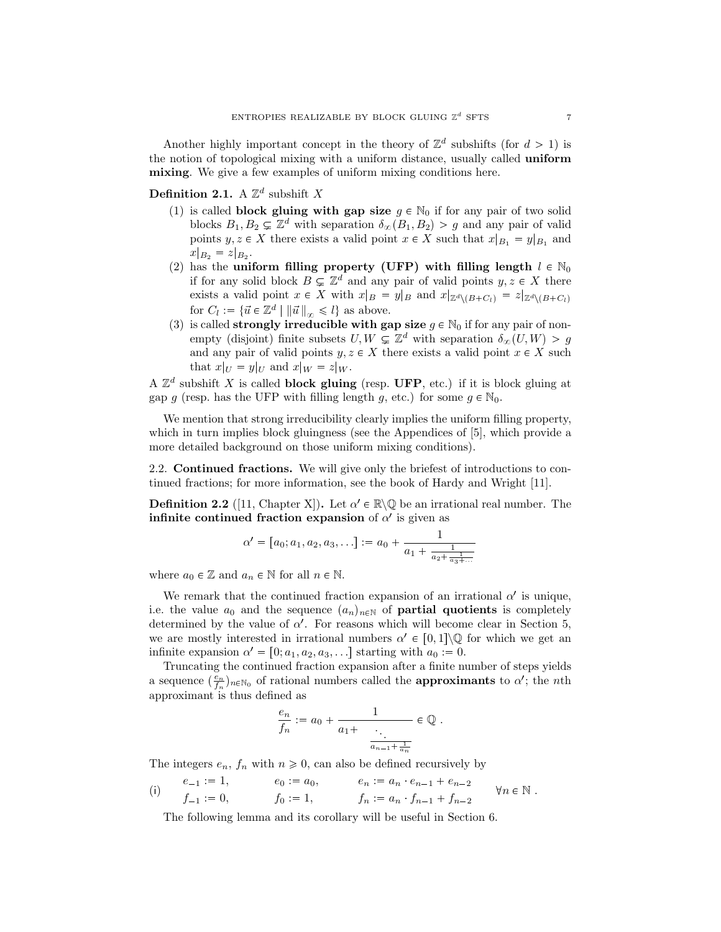Another highly important concept in the theory of  $\mathbb{Z}^d$  subshifts (for  $d > 1$ ) is the notion of topological mixing with a uniform distance, usually called **uniform mixing**. We give a few examples of uniform mixing conditions here.

**Definition 2.1.** A  $\mathbb{Z}^d$  subshift *X* 

- (1) is called **block gluing with gap size**  $g \in \mathbb{N}_0$  if for any pair of two solid blocks  $B_1, B_2 \subsetneq \mathbb{Z}^d$  with separation  $\delta_{\infty}(B_1, B_2) > g$  and any pair of valid points  $y, z \in X$  there exists a valid point  $x \in X$  such that  $x|_{B_1} = y|_{B_1}$  and  $x|_{B_2} = z|_{B_2}.$
- (2) has the **uniform filling property (UFP) with filling length**  $l \in \mathbb{N}_0$ if for any solid block  $B \subsetneq \mathbb{Z}^d$  and any pair of valid points  $y, z \in X$  there exists a valid point  $x \in X$  with  $x|_B = y|_B$  and  $x|_{\mathbb{Z}^d \setminus (B+C_l)} = z|_{\mathbb{Z}^d \setminus (B+C_l)}$ for  $C_l := \{ \vec{u} \in \mathbb{Z}^d \mid ||\vec{u}||_{\infty} \leq l \}$  as above.
- (3) is called **strongly irreducible with gap size**  $g \in \mathbb{N}_0$  if for any pair of nonempty (disjoint) finite subsets  $U, W \subsetneq \mathbb{Z}^d$  with separation  $\delta_{\infty}(U, W) > g$ and any pair of valid points  $y, z \in X$  there exists a valid point  $x \in X$  such that  $x|_U = y|_U$  and  $x|_W = z|_W$ .

A  $\mathbb{Z}^d$  subshift X is called **block gluing** (resp. UFP, etc.) if it is block gluing at gap *g* (resp. has the UFP with filling length *g*, etc.) for some  $g \in \mathbb{N}_0$ .

We mention that strong irreducibility clearly implies the uniform filling property, which in turn implies block gluingness (see the Appendices of [5], which provide a more detailed background on those uniform mixing conditions).

2.2. **Continued fractions.** We will give only the briefest of introductions to continued fractions; for more information, see the book of Hardy and Wright [11].

**Definition 2.2** ([11, Chapter X]). Let  $\alpha' \in \mathbb{R} \setminus \mathbb{Q}$  be an irrational real number. The **infinite continued fraction expansion** of  $\alpha'$  is given as

$$
\alpha' = [a_0; a_1, a_2, a_3, \ldots] := a_0 + \frac{1}{a_1 + \frac{1}{a_2 + \frac{1}{a_3 + \ldots}}}
$$

where  $a_0 \in \mathbb{Z}$  and  $a_n \in \mathbb{N}$  for all  $n \in \mathbb{N}$ .

We remark that the continued fraction expansion of an irrational  $\alpha'$  is unique, i.e. the value  $a_0$  and the sequence  $(a_n)_{n\in\mathbb{N}}$  of **partial quotients** is completely determined by the value of *α'*. For reasons which will become clear in Section 5, we are mostly interested in irrational numbers  $\alpha' \in [0,1] \backslash \mathbb{Q}$  for which we get an infinite expansion  $\alpha' = [0; a_1, a_2, a_3, \ldots]$  starting with  $a_0 := 0$ .

Truncating the continued fraction expansion after a finite number of steps yields a sequence  $(\frac{e_n}{f_n})_{n \in \mathbb{N}_0}$  of rational numbers called the **approximants** to  $\alpha'$ ; the *n*th approximant is thus defined as

$$
\frac{e_n}{f_n} := a_0 + \frac{1}{a_1 + \frac{\ddots}{a_{n-1} + \frac{1}{a_n}}} \in \mathbb{Q}.
$$

The integers  $e_n$ ,  $f_n$  with  $n \geq 0$ , can also be defined recursively by

(i) 
$$
e_{-1} := 1
$$
,  $e_0 := a_0$ ,  $e_n := a_n \cdot e_{n-1} + e_{n-2}$   
\n $f_{-1} := 0$ ,  $f_0 := 1$ ,  $f_n := a_n \cdot f_{n-1} + f_{n-2}$   $\forall n \in \mathbb{N}$ .

The following lemma and its corollary will be useful in Section 6.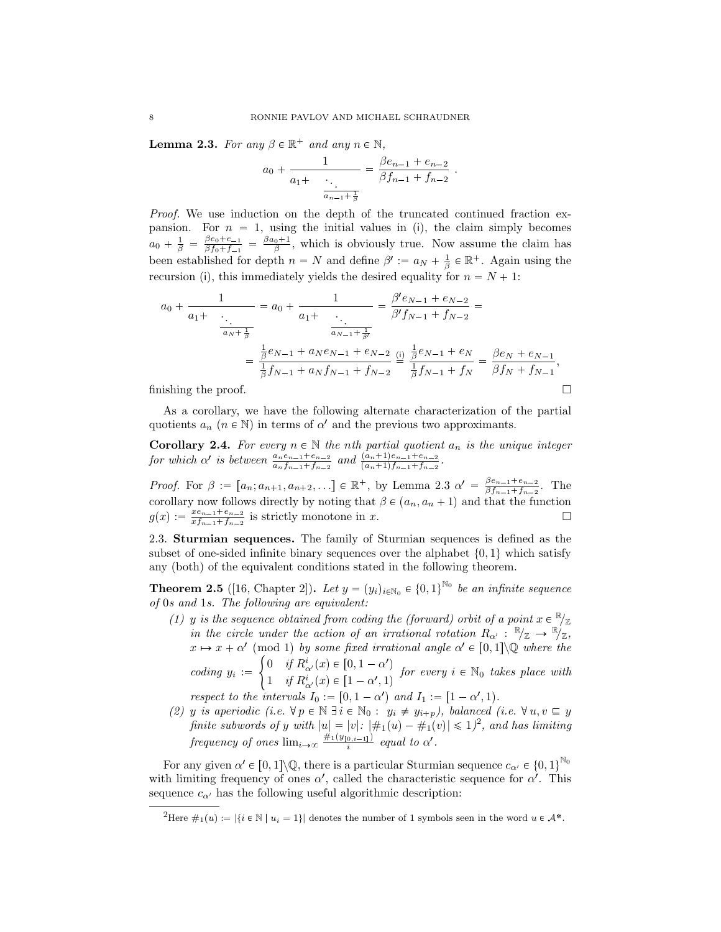**Lemma 2.3.** *For any*  $\beta \in \mathbb{R}^+$  *and any*  $n \in \mathbb{N}$ *,* 

$$
a_0 + \frac{1}{a_1 + \cdots + a_{n-1} + \frac{1}{\beta}} = \frac{\beta e_{n-1} + e_{n-2}}{\beta f_{n-1} + f_{n-2}}.
$$

*Proof.* We use induction on the depth of the truncated continued fraction expansion. For  $n = 1$ , using the initial values in (i), the claim simply becomes  $a_0 + \frac{1}{\beta} = \frac{\beta e_0 + e_{-1}}{\beta f_0 + f_{-1}}$  $\frac{\beta e_0 + e_{-1}}{\beta f_0 + f_{-1}} = \frac{\beta a_0 + 1}{\beta}$ , which is obviously true. Now assume the claim has been established for depth  $n = N$  and define  $\beta' := a_N + \frac{1}{\beta} \in \mathbb{R}^+$ . Again using the recursion (i), this immediately yields the desired equality for  $n = N + 1$ :

$$
a_0 + \frac{1}{a_1 + \frac{a_1 + \frac{1}{\ddots}}{a_N + \frac{1}{\beta}}} = a_0 + \frac{1}{a_1 + \frac{a_1 + \frac{1}{\ddots}}{a_N - 1 + \frac{1}{\beta'}}} = \frac{\beta' e_{N-1} + e_{N-2}}{\beta' f_{N-1} + f_{N-2}} =
$$
  
= 
$$
\frac{\frac{1}{\beta} e_{N-1} + a_N e_{N-1} + e_{N-2}}{\frac{1}{\beta} f_{N-1} + a_N f_{N-1} + f_{N-2}} \stackrel{\text{(i)}}{=} \frac{\frac{1}{\beta} e_{N-1} + e_N}{\frac{1}{\beta} f_{N-1} + f_N} = \frac{\beta e_N + e_{N-1}}{\beta f_N + f_{N-1}},
$$
finishing the proof.

As a corollary, we have the following alternate characterization of the partial quotients  $a_n$  ( $n \in \mathbb{N}$ ) in terms of  $\alpha'$  and the previous two approximants.

**Corollary 2.4.** For every  $n \in \mathbb{N}$  the *n*th partial quotient  $a_n$  is the unique integer for which  $\alpha'$  is between  $\frac{a_n e_{n-1} + e_{n-2}}{a_n f_{n-1} + f_{n-2}}$  and  $\frac{(a_n + 1)e_{n-1} + e_{n-2}}{(a_n + 1)f_{n-1} + f_{n-2}}$ .

*Proof.* For  $\beta := [a_n; a_{n+1}, a_{n+2}, \dots] \in \mathbb{R}^+$ , by Lemma 2.3  $\alpha' = \frac{\beta e_{n-1} + e_{n-2}}{\beta f_{n-1} + f_{n-2}}$  $\frac{\beta e_{n-1} + e_{n-2}}{\beta f_{n-1} + f_{n-2}}$ . The corollary now follows directly by noting that  $\beta \in (a_n, a_n + 1)$  and that the function  $g(x) := \frac{xe_{n-1}+e_{n-2}}{xf_{n-1}+f_{n-2}}$  $\frac{x_{n-1}+e_{n-2}}{x_{f_{n-1}+f_{n-2}}}$  is strictly monotone in *x*.

2.3. **Sturmian sequences.** The family of Sturmian sequences is defined as the subset of one-sided infinite binary sequences over the alphabet  $\{0, 1\}$  which satisfy any (both) of the equivalent conditions stated in the following theorem.

**Theorem 2.5** ([16, Chapter 2]). Let  $y = (y_i)_{i \in \mathbb{N}_0} \in \{0,1\}^{\mathbb{N}_0}$  be an infinite sequence *of* 0*s and* 1*s. The following are equivalent:*

*(1) y is the sequence obtained from coding the (forward) orbit of a point*  $x \in \mathbb{R}_{\mathbb{Z}}$ *in the circle under the action of an irrational rotation*  $R_{\alpha'} : \mathbb{R}_{\mathbb{Z}} \to \mathbb{R}_{\mathbb{Z}}$ ,  $x \mapsto x + \alpha' \pmod{1}$  by some fixed irrational angle  $\alpha' \in [0,1] \backslash \mathbb{Q}$  where the

*coding*  $y_i :=$  $\int 0$  *if*  $R^i_{\alpha'}(x) \in [0, 1 - \alpha')$ 1 *if*  $R^i_{\alpha'}(x) \in [1-\alpha', 1)$  for every  $i \in \mathbb{N}_0$  takes place with

*respect to the intervals*  $I_0 := [0, 1 - \alpha')$  *and*  $I_1 := [1 - \alpha', 1)$ *.* 

*(2) y is aperiodic (i.e.*  $\forall p \in \mathbb{N} \exists i \in \mathbb{N}_0 : y_i \neq y_{i+p}$ ), balanced (i.e.  $\forall u, v \sqsubseteq y$ *finite subwords of y with*  $|u| = |v|$ :  $|\#_1(u) - \#_1(v)| \leq 1$ <sup>2</sup>, and has limiting *frequency of ones*  $\lim_{i\to\infty} \frac{\#_1(y_{[0,i-1]})}{i}$  *equal to*  $\alpha'$ *.* 

For any given  $\alpha' \in [0,1] \backslash \mathbb{Q}$ , there is a particular Sturmian sequence  $c_{\alpha'} \in \{0,1\}^{\mathbb{N}_0}$ with limiting frequency of ones  $\alpha'$ , called the characteristic sequence for  $\alpha'$ . This sequence  $c_{\alpha'}$  has the following useful algorithmic description:

<sup>&</sup>lt;sup>2</sup>Here  $\#_1(u) := |\{i \in \mathbb{N} \mid u_i = 1\}|$  denotes the number of 1 symbols seen in the word  $u \in \mathcal{A}^*$ .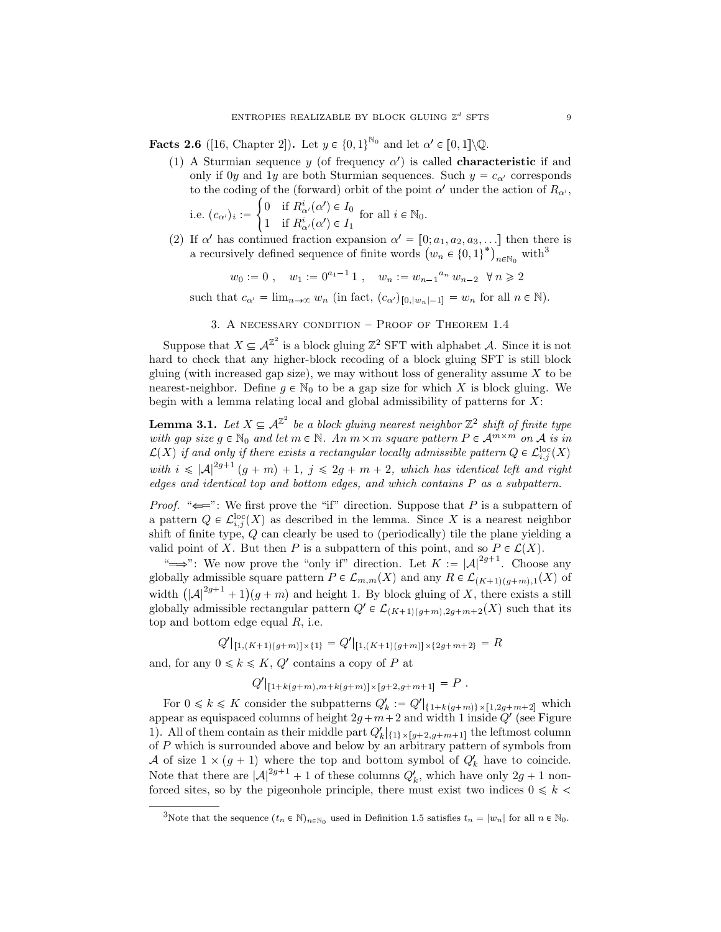**Facts 2.6** ([16, Chapter 2]). Let  $y \in \{0, 1\}^{\mathbb{N}_0}$  and let  $\alpha' \in [0, 1] \backslash \mathbb{Q}$ .

(1) A Sturmian sequence *y* (of frequency  $\alpha'$ ) is called **characteristic** if and only if 0*y* and 1*y* are both Sturmian sequences. Such  $y = c_{\alpha}$  corresponds to the coding of the (forward) orbit of the point  $\alpha'$  under the action of  $R_{\alpha'}$ ,  $\int 0$  if  $R^i_{\alpha'}(\alpha') \in I_0$ 

i.e. 
$$
(c_{\alpha'})_i := \begin{cases} 0 & \text{if } R_{\alpha'}(\alpha') \in I_0 \\ 1 & \text{if } R_{\alpha'}^i(\alpha') \in I_1 \end{cases}
$$
 for all  $i \in \mathbb{N}_0$ .

(2) If  $\alpha'$  has continued fraction expansion  $\alpha' = [0; a_1, a_2, a_3, \ldots]$  then there is a recursively defined sequence of finite words  $(w_n \in \{0,1\}^*)$  $n \in \mathbb{N}_0$  with<sup>3</sup>

$$
w_0 := 0
$$
,  $w_1 := 0^{a_1-1} 1$ ,  $w_n := w_{n-1}^{a_n} w_{n-2} \quad \forall n \ge 2$ 

such that  $c_{\alpha'} = \lim_{n \to \infty} w_n$  (in fact,  $(c_{\alpha'})_{[0,|w_n|-1]} = w_n$  for all  $n \in \mathbb{N}$ ).

3. A necessary condition – Proof of Theorem 1.4

Suppose that  $X \subseteq \mathcal{A}^{\mathbb{Z}^2}$  is a block gluing  $\mathbb{Z}^2$  SFT with alphabet *A*. Since it is not hard to check that any higher-block recoding of a block gluing SFT is still block gluing (with increased gap size), we may without loss of generality assume *X* to be nearest-neighbor. Define  $g \in \mathbb{N}_0$  to be a gap size for which X is block gluing. We begin with a lemma relating local and global admissibility of patterns for *X*:

**Lemma 3.1.** Let  $X \subseteq \mathcal{A}^{\mathbb{Z}^2}$  be a block gluing nearest neighbor  $\mathbb{Z}^2$  shift of finite type *with gap size*  $g \in \mathbb{N}_0$  *and let*  $m \in \mathbb{N}$ *. An*  $m \times m$  *square pattern*  $P \in \mathcal{A}^{m \times m}$  *on*  $\mathcal{A}$  *is in*  $\mathcal{L}(X)$  *if and only if there exists a rectangular locally admissible pattern*  $Q \in \mathcal{L}_{i,j}^{\text{loc}}(X)$ *with*  $i \leq |\mathcal{A}|^{2g+1} (g+m) + 1$ ,  $j \leq 2g+m+2$ , which has identical left and right *edges and identical top and bottom edges, and which contains P as a subpattern.*

*Proof.* " $\Longleftarrow$ ": We first prove the "if" direction. Suppose that *P* is a subpattern of a pattern  $Q \in \mathcal{L}^{\text{loc}}_{i,j}(X)$  as described in the lemma. Since X is a nearest neighbor shift of finite type, *Q* can clearly be used to (periodically) tile the plane yielding a valid point of *X*. But then *P* is a subpattern of this point, and so  $P \in \mathcal{L}(X)$ .

" $\implies$ ": We now prove the "only if" direction. Let  $K := |\mathcal{A}|^{2g+1}$ . Choose any globally admissible square pattern  $P \in \mathcal{L}_{m,m}(X)$  and any  $R \in \mathcal{L}_{K+1/(g+m),1}(X)$  of width  $(|A|^{2g+1} + 1)(g+m)$  and height 1. By block gluing of *X*, there exists a still globally admissible rectangular pattern  $Q' \in \mathcal{L}_{(K+1)(g+m),2g+m+2}(X)$  such that its top and bottom edge equal *R*, i.e.

$$
Q'|_{[1,(K+1)(g+m)]\times\{1\}} = Q'|_{[1,(K+1)(g+m)]\times\{2g+m+2\}} = R
$$

and, for any  $0 \leq k \leq K$ ,  $Q'$  contains a copy of  $P$  at

$$
Q'|_{[1+k(g+m),m+k(g+m)] \times [g+2,g+m+1]} = P.
$$

For  $0 \leq k \leq K$  consider the subpatterns  $Q'_k := Q' |_{\{1+k(g+m)\}\times[1,2g+m+2]}$  which appear as equispaced columns of height  $2g+m+2$  and width 1 inside  $Q'$  (see Figure 1). All of them contain as their middle part  $Q'_k|_{\{1\}\times[g+2,g+m+1]}$  the leftmost column of *P* which is surrounded above and below by an arbitrary pattern of symbols from *A* of size  $1 \times (g + 1)$  where the top and bottom symbol of  $Q'_k$  have to coincide. Note that there are  $|A|^{2g+1} + 1$  of these columns  $Q'_k$ , which have only  $2g + 1$  nonforced sites, so by the pigeonhole principle, there must exist two indices  $0 \le k$ 

Note that the sequence  $(t_n \in \mathbb{N})_{n \in \mathbb{N}_0}$  used in Definition 1.5 satisfies  $t_n = |w_n|$  for all  $n \in \mathbb{N}_0$ .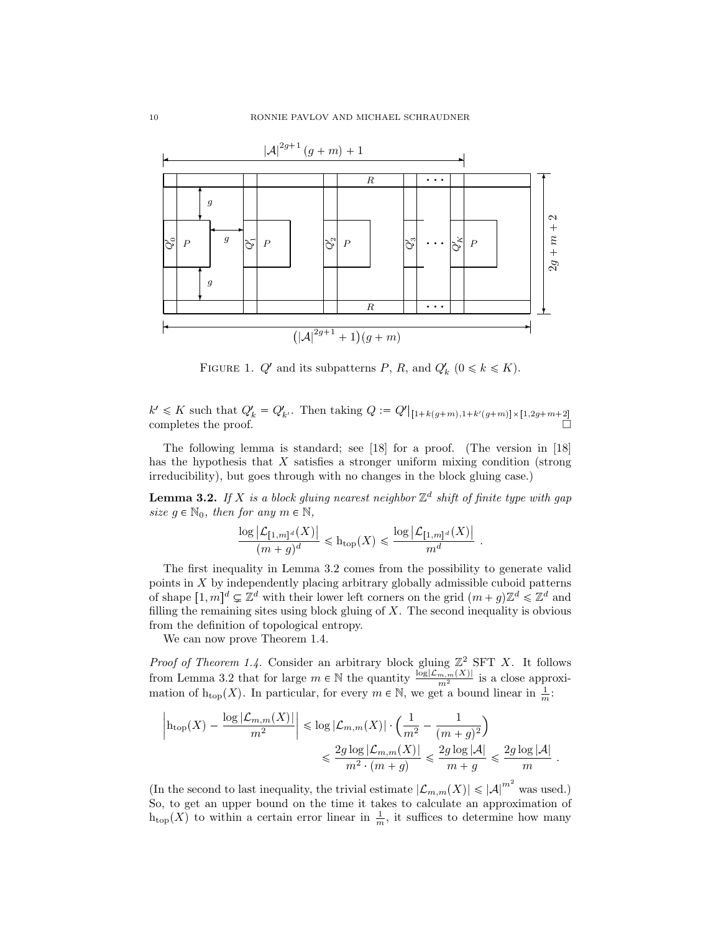

FIGURE 1.  $Q'$  and its subpatterns  $P$ ,  $R$ , and  $Q'_{k}$   $(0 \le k \le K)$ .

 $k' \leq K$  such that  $Q'_k = Q'_{k'}$ . Then taking  $Q := Q' |_{[1+k(g+m),1+k'(g+m)] \times [1,2g+m+2]}$ <br>completes the proof.

The following lemma is standard; see [18] for a proof. (The version in [18] has the hypothesis that *X* satisfies a stronger uniform mixing condition (strong irreducibility), but goes through with no changes in the block gluing case.)

**Lemma 3.2.** If *X* is a block gluing nearest neighbor  $\mathbb{Z}^d$  shift of finite type with gap *size*  $g \in \mathbb{N}_0$ *, then for any*  $m \in \mathbb{N}$ *,* 

$$
\frac{\log \left| \mathcal{L}_{[1,m]^d}(X) \right|}{(m+g)^d} \leqslant \mathrm{h}_{\mathrm{top}}(X) \leqslant \frac{\log \left| \mathcal{L}_{[1,m]^d}(X) \right|}{m^d}
$$

*.*

*.*

The first inequality in Lemma 3.2 comes from the possibility to generate valid points in *X* by independently placing arbitrary globally admissible cuboid patterns of shape  $[1, m]^d \subsetneq \mathbb{Z}^d$  with their lower left corners on the grid  $(m + g)\mathbb{Z}^d \leq \mathbb{Z}^d$  and filling the remaining sites using block gluing of *X*. The second inequality is obvious from the definition of topological entropy.

We can now prove Theorem 1.4.

*Proof of Theorem 1.4.* Consider an arbitrary block gluing  $\mathbb{Z}^2$  SFT X. It follows from Lemma 3.2 that for large  $m \in \mathbb{N}$  the quantity  $\frac{\log |\mathcal{L}_{m,m}(X)|}{m^2}$  is a close approximation of  $h_{\text{top}}(X)$ . In particular, for every  $m \in \mathbb{N}$ , we get a bound linear in  $\frac{1}{m}$ .

$$
\left|\mathrm{h_{top}}(X) - \frac{\log |\mathcal{L}_{m,m}(X)|}{m^2}\right| \leqslant \log |\mathcal{L}_{m,m}(X)| \cdot \Big( \frac{1}{m^2} - \frac{1}{(m+g)^2}\Big) \leqslant \frac{2g \log |\mathcal{L}_{m,m}(X)|}{m^2 \cdot (m+g)} \leqslant \frac{2g \log |\mathcal{A}|}{m+g} \leqslant \frac{2g \log |\mathcal{A}|}{m}
$$

(In the second to last inequality, the trivial estimate  $|\mathcal{L}_{m,m}(X)| \leq |\mathcal{A}|^{m^2}$  was used.) So, to get an upper bound on the time it takes to calculate an approximation of  $h_{\text{top}}(X)$  to within a certain error linear in  $\frac{1}{m}$ , it suffices to determine how many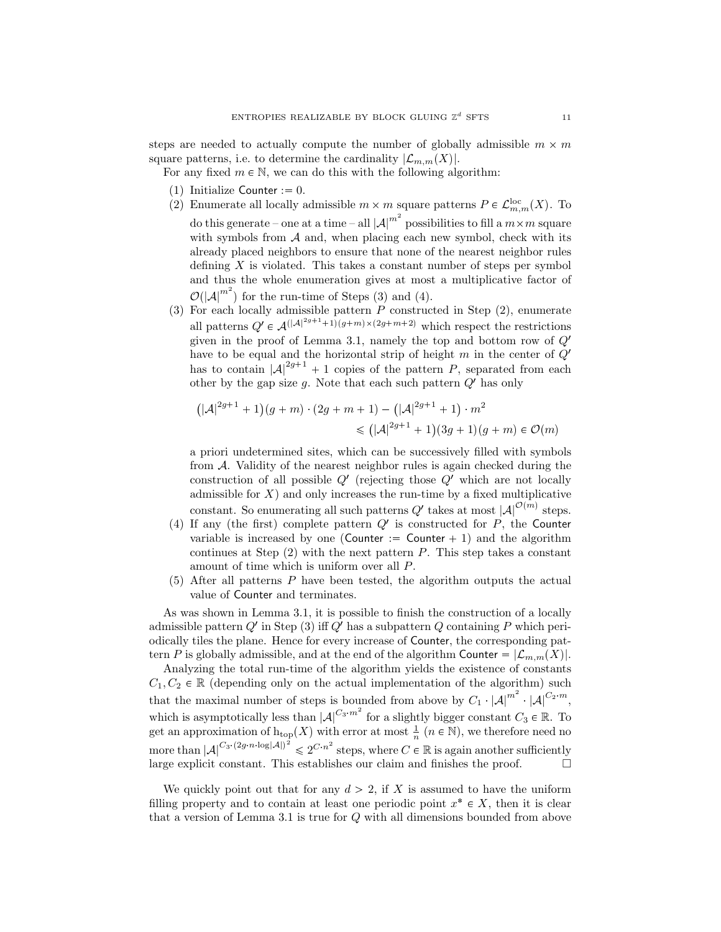steps are needed to actually compute the number of globally admissible  $m \times m$ square patterns, i.e. to determine the cardinality  $|\mathcal{L}_{m,m}(X)|$ .

For any fixed  $m \in \mathbb{N}$ , we can do this with the following algorithm:

- (1) Initialize Counter  $:= 0$ .
- (2) Enumerate all locally admissible  $m \times m$  square patterns  $P \in \mathcal{L}^{\text{loc}}_{m,m}(X)$ . To do this generate – one at a time – all  $|\mathcal{A}|^{m^2}$  possibilities to fill a  $m \times m$  square with symbols from *A* and, when placing each new symbol, check with its already placed neighbors to ensure that none of the nearest neighbor rules defining  $X$  is violated. This takes a constant number of steps per symbol and thus the whole enumeration gives at most a multiplicative factor of  $\mathcal{O}(|A|^{m^2})$  for the run-time of Steps (3) and (4).
- (3) For each locally admissible pattern *P* constructed in Step (2), enumerate all patterns  $Q' \in \mathcal{A}(|A|^{2g+1}+1)(g+m)\times(2g+m+2)$  which respect the restrictions given in the proof of Lemma 3.1, namely the top and bottom row of *Q*<sup>1</sup> have to be equal and the horizontal strip of height *m* in the center of *Q*<sup>1</sup> has to contain  $|A|^{2g+1} + 1$  copies of the pattern *P*, separated from each other by the gap size  $g$ . Note that each such pattern  $Q'$  has only

$$
(|A|^{2g+1} + 1)(g+m) \cdot (2g+m+1) - (|A|^{2g+1} + 1) \cdot m^2
$$
  
\$\leq (|A|^{2g+1} + 1)(3g+1)(g+m) \in \mathcal{O}(m)\$

a priori undetermined sites, which can be successively filled with symbols from *A*. Validity of the nearest neighbor rules is again checked during the construction of all possible *Q*<sup>1</sup> (rejecting those *Q*<sup>1</sup> which are not locally admissible for  $X$ ) and only increases the run-time by a fixed multiplicative constant. So enumerating all such patterns  $Q'$  takes at most  $|A|^{O(m)}$  steps.

- (4) If any (the first) complete pattern  $Q'$  is constructed for  $P$ , the Counter variable is increased by one (Counter  $:=$  Counter  $+1$ ) and the algorithm continues at Step (2) with the next pattern *P*. This step takes a constant amount of time which is uniform over all *P*.
- (5) After all patterns *P* have been tested, the algorithm outputs the actual value of Counter and terminates.

As was shown in Lemma 3.1, it is possible to finish the construction of a locally admissible pattern *Q*<sup>1</sup> in Step (3) iff *Q*<sup>1</sup> has a subpattern *Q* containing *P* which periodically tiles the plane. Hence for every increase of Counter, the corresponding pattern *P* is globally admissible, and at the end of the algorithm Counter  $= |{\mathcal{L}}_{m,m}(X)|$ .

Analyzing the total run-time of the algorithm yields the existence of constants  $C_1, C_2 \in \mathbb{R}$  (depending only on the actual implementation of the algorithm) such that the maximal number of steps is bounded from above by  $C_1 \cdot |A|^{m^2} \cdot |A|^{C_2 \cdot m}$ , which is asymptotically less than  $|A|^{C_3 m^2}$  for a slightly bigger constant  $C_3 \in \mathbb{R}$ . To get an approximation of  $h_{\text{top}}(X)$  with error at most  $\frac{1}{n}$  ( $n \in \mathbb{N}$ ), we therefore need no more than  $|A|^{C_3 \cdot (2g \cdot n \cdot \log |A|)^2} \leq 2^{C \cdot n^2}$  steps, where  $C \in \mathbb{R}$  is again another sufficiently large explicit constant. This establishes our claim and finishes the proof.  $\Box$ 

We quickly point out that for any  $d > 2$ , if X is assumed to have the uniform filling property and to contain at least one periodic point  $x^* \in X$ , then it is clear that a version of Lemma 3.1 is true for *Q* with all dimensions bounded from above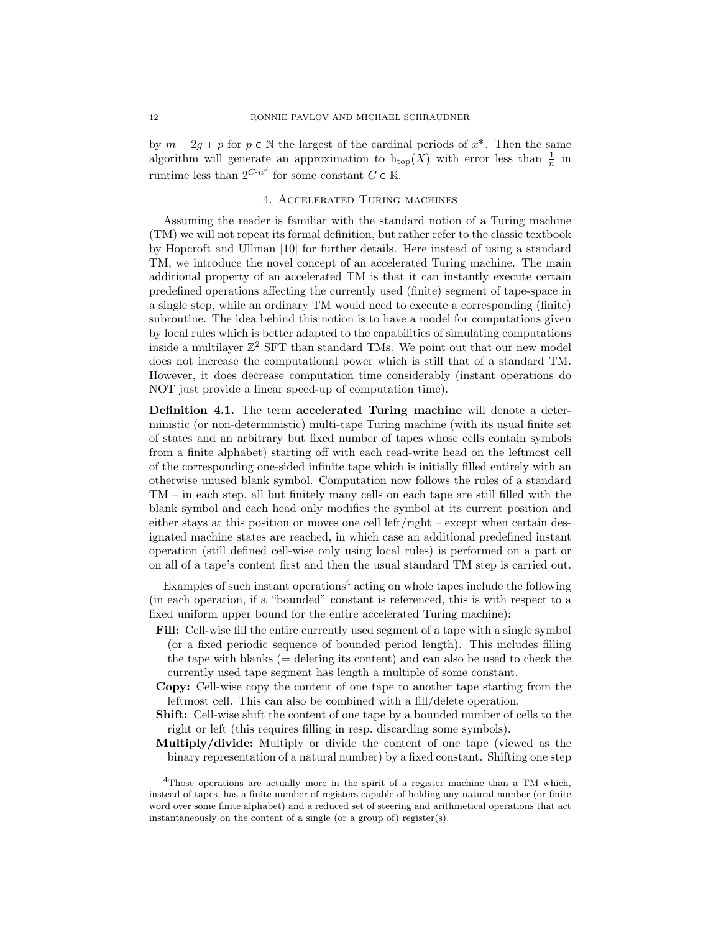by  $m + 2g + p$  for  $p \in \mathbb{N}$  the largest of the cardinal periods of  $x^*$ . Then the same algorithm will generate an approximation to  $h_{top}(X)$  with error less than  $\frac{1}{n}$  in runtime less than  $2^{C \cdot n^d}$  for some constant  $C \in \mathbb{R}$ .

## 4. Accelerated Turing machines

Assuming the reader is familiar with the standard notion of a Turing machine (TM) we will not repeat its formal definition, but rather refer to the classic textbook by Hopcroft and Ullman [10] for further details. Here instead of using a standard TM, we introduce the novel concept of an accelerated Turing machine. The main additional property of an accelerated TM is that it can instantly execute certain predefined operations affecting the currently used (finite) segment of tape-space in a single step, while an ordinary TM would need to execute a corresponding (finite) subroutine. The idea behind this notion is to have a model for computations given by local rules which is better adapted to the capabilities of simulating computations inside a multilayer  $\mathbb{Z}^2$  SFT than standard TMs. We point out that our new model does not increase the computational power which is still that of a standard TM. However, it does decrease computation time considerably (instant operations do NOT just provide a linear speed-up of computation time).

**Definition 4.1.** The term **accelerated Turing machine** will denote a deterministic (or non-deterministic) multi-tape Turing machine (with its usual finite set of states and an arbitrary but fixed number of tapes whose cells contain symbols from a finite alphabet) starting off with each read-write head on the leftmost cell of the corresponding one-sided infinite tape which is initially filled entirely with an otherwise unused blank symbol. Computation now follows the rules of a standard TM – in each step, all but finitely many cells on each tape are still filled with the blank symbol and each head only modifies the symbol at its current position and either stays at this position or moves one cell left/right – except when certain designated machine states are reached, in which case an additional predefined instant operation (still defined cell-wise only using local rules) is performed on a part or on all of a tape's content first and then the usual standard TM step is carried out.

Examples of such instant operations<sup>4</sup> acting on whole tapes include the following (in each operation, if a "bounded" constant is referenced, this is with respect to a fixed uniform upper bound for the entire accelerated Turing machine):

- **Fill:** Cell-wise fill the entire currently used segment of a tape with a single symbol (or a fixed periodic sequence of bounded period length). This includes filling the tape with blanks  $(=$  deleting its content) and can also be used to check the currently used tape segment has length a multiple of some constant.
- **Copy:** Cell-wise copy the content of one tape to another tape starting from the leftmost cell. This can also be combined with a fill/delete operation.
- **Shift:** Cell-wise shift the content of one tape by a bounded number of cells to the right or left (this requires filling in resp. discarding some symbols).
- **Multiply/divide:** Multiply or divide the content of one tape (viewed as the binary representation of a natural number) by a fixed constant. Shifting one step

<sup>4</sup>Those operations are actually more in the spirit of a register machine than a TM which, instead of tapes, has a finite number of registers capable of holding any natural number (or finite word over some finite alphabet) and a reduced set of steering and arithmetical operations that act instantaneously on the content of a single (or a group of) register(s).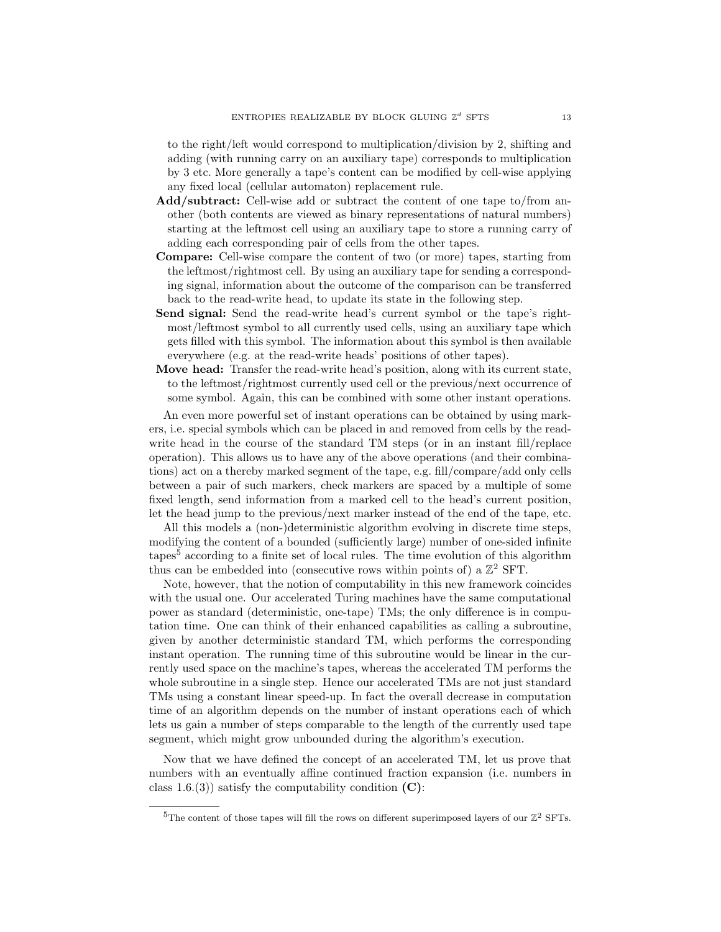to the right/left would correspond to multiplication/division by 2, shifting and adding (with running carry on an auxiliary tape) corresponds to multiplication by 3 etc. More generally a tape's content can be modified by cell-wise applying any fixed local (cellular automaton) replacement rule.

- **Add/subtract:** Cell-wise add or subtract the content of one tape to/from another (both contents are viewed as binary representations of natural numbers) starting at the leftmost cell using an auxiliary tape to store a running carry of adding each corresponding pair of cells from the other tapes.
- **Compare:** Cell-wise compare the content of two (or more) tapes, starting from the leftmost/rightmost cell. By using an auxiliary tape for sending a corresponding signal, information about the outcome of the comparison can be transferred back to the read-write head, to update its state in the following step.
- **Send signal:** Send the read-write head's current symbol or the tape's rightmost/leftmost symbol to all currently used cells, using an auxiliary tape which gets filled with this symbol. The information about this symbol is then available everywhere (e.g. at the read-write heads' positions of other tapes).
- **Move head:** Transfer the read-write head's position, along with its current state, to the leftmost/rightmost currently used cell or the previous/next occurrence of some symbol. Again, this can be combined with some other instant operations.

An even more powerful set of instant operations can be obtained by using markers, i.e. special symbols which can be placed in and removed from cells by the readwrite head in the course of the standard TM steps (or in an instant fill/replace operation). This allows us to have any of the above operations (and their combinations) act on a thereby marked segment of the tape, e.g. fill/compare/add only cells between a pair of such markers, check markers are spaced by a multiple of some fixed length, send information from a marked cell to the head's current position, let the head jump to the previous/next marker instead of the end of the tape, etc.

All this models a (non-)deterministic algorithm evolving in discrete time steps, modifying the content of a bounded (sufficiently large) number of one-sided infinite tapes<sup>5</sup> according to a finite set of local rules. The time evolution of this algorithm thus can be embedded into (consecutive rows within points of) a  $\mathbb{Z}^2$  SFT.

Note, however, that the notion of computability in this new framework coincides with the usual one. Our accelerated Turing machines have the same computational power as standard (deterministic, one-tape) TMs; the only difference is in computation time. One can think of their enhanced capabilities as calling a subroutine, given by another deterministic standard TM, which performs the corresponding instant operation. The running time of this subroutine would be linear in the currently used space on the machine's tapes, whereas the accelerated TM performs the whole subroutine in a single step. Hence our accelerated TMs are not just standard TMs using a constant linear speed-up. In fact the overall decrease in computation time of an algorithm depends on the number of instant operations each of which lets us gain a number of steps comparable to the length of the currently used tape segment, which might grow unbounded during the algorithm's execution.

Now that we have defined the concept of an accelerated TM, let us prove that numbers with an eventually affine continued fraction expansion (i.e. numbers in class 1.6.(3)) satisfy the computability condition **(C)**:

 ${}^{5}$ The content of those tapes will fill the rows on different superimposed layers of our  $\mathbb{Z}^2$  SFTs.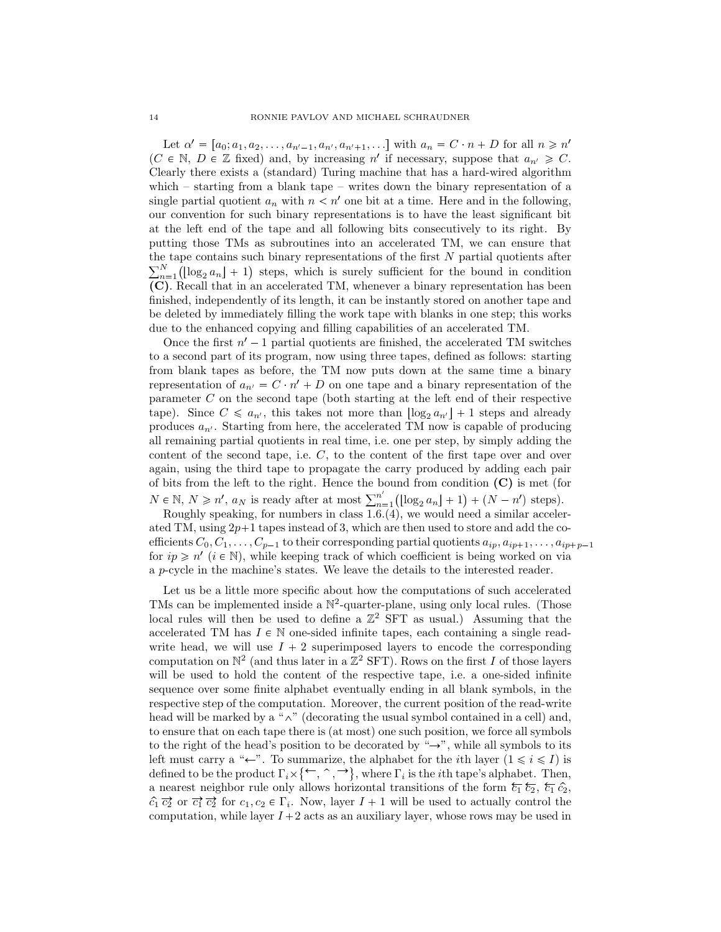Let  $\alpha' = [a_0; a_1, a_2, \dots, a_{n'-1}, a_{n'}, a_{n'+1}, \dots]$  with  $a_n = C \cdot n + D$  for all  $n \ge n'$ (*C*  $\in$  N, *D*  $\in$  Z fixed) and, by increasing *n*<sup>1</sup> if necessary, suppose that  $a_{n'} \ge C$ . Clearly there exists a (standard) Turing machine that has a hard-wired algorithm which – starting from a blank tape – writes down the binary representation of a single partial quotient  $a_n$  with  $n < n'$  one bit at a time. Here and in the following, our convention for such binary representations is to have the least significant bit at the left end of the tape and all following bits consecutively to its right. By putting those TMs as subroutines into an accelerated TM, we can ensure that the tape contains such binary representations of the first *N* partial quotients after  $\sum_{n=1}^{N} (\log_2 a_n + 1)$  steps, which is surely sufficient for the bound in condition **(C)**. Recall that in an accelerated TM, whenever a binary representation has been finished, independently of its length, it can be instantly stored on another tape and be deleted by immediately filling the work tape with blanks in one step; this works due to the enhanced copying and filling capabilities of an accelerated TM.

Once the first  $n' - 1$  partial quotients are finished, the accelerated TM switches to a second part of its program, now using three tapes, defined as follows: starting from blank tapes as before, the TM now puts down at the same time a binary representation of  $a_{n'} = C \cdot n' + D$  on one tape and a binary representation of the parameter *C* on the second tape (both starting at the left end of their respective tape). Since  $C \leq a_{n'}$ , this takes not more than  $\log_2 a_{n'}$  + 1 steps and already produces  $a_{n'}$ . Starting from here, the accelerated TM now is capable of producing all remaining partial quotients in real time, i.e. one per step, by simply adding the content of the second tape, i.e. *C*, to the content of the first tape over and over again, using the third tape to propagate the carry produced by adding each pair of bits from the left to the right. Hence the bound from condition **(C)** is met (for  $N \in \mathbb{N}, N \geq n'$ ,  $a_N$  is ready after at most  $\sum_{n=1}^{n'}$  $\frac{n'}{n-1}(\lfloor \log_2 a_n \rfloor + 1) + (N - n')$  steps).

Roughly speaking, for numbers in class 1.6.(4), we would need a similar accelerated TM, using  $2p+1$  tapes instead of 3, which are then used to store and add the coefficients  $C_0, C_1, \ldots, C_{p-1}$  to their corresponding partial quotients  $a_{ip}, a_{ip+1}, \ldots, a_{ip+p-1}$ for  $ip \geq n'$  ( $i \in \mathbb{N}$ ), while keeping track of which coefficient is being worked on via a *p*-cycle in the machine's states. We leave the details to the interested reader.

Let us be a little more specific about how the computations of such accelerated TMs can be implemented inside a  $\mathbb{N}^2$ -quarter-plane, using only local rules. (Those local rules will then be used to define a  $\mathbb{Z}^2$  SFT as usual.) Assuming that the accelerated TM has  $I \in \mathbb{N}$  one-sided infinite tapes, each containing a single readwrite head, we will use  $I + 2$  superimposed layers to encode the corresponding computation on  $\mathbb{N}^2$  (and thus later in a  $\mathbb{Z}^2$  SFT). Rows on the first *I* of those layers will be used to hold the content of the respective tape, i.e. a one-sided infinite sequence over some finite alphabet eventually ending in all blank symbols, in the respective step of the computation. Moreover, the current position of the read-write head will be marked by a " $\wedge$ " (decorating the usual symbol contained in a cell) and, to ensure that on each tape there is (at most) one such position, we force all symbols to the right of the head's position to be decorated by " $\rightarrow$ ", while all symbols to its left must carry a " $\leftarrow$ ". To summarize, the alphabet for the *i*th layer  $(1 \leq i \leq I)$  is defined to be the product  $\Gamma_i \times \{\leftarrow, \uparrow, \uparrow\}$ , where  $\Gamma_i$  is the *i*<sup>th</sup> tape's alphabet. Then, a nearest neighbor rule only allows horizontal transitions of the form  $\overline{\xi_1} \overline{\xi_2}$ ,  $\overline{\xi_1} \hat{c_2}$ ,  $\hat{c}_1 \overrightarrow{c}_2$  or  $\overrightarrow{c}_1 \overrightarrow{c}_2$  for  $c_1, c_2 \in \Gamma_i$ . Now, layer  $I + 1$  will be used to actually control the computation, while layer  $I + 2$  acts as an auxiliary layer, whose rows may be used in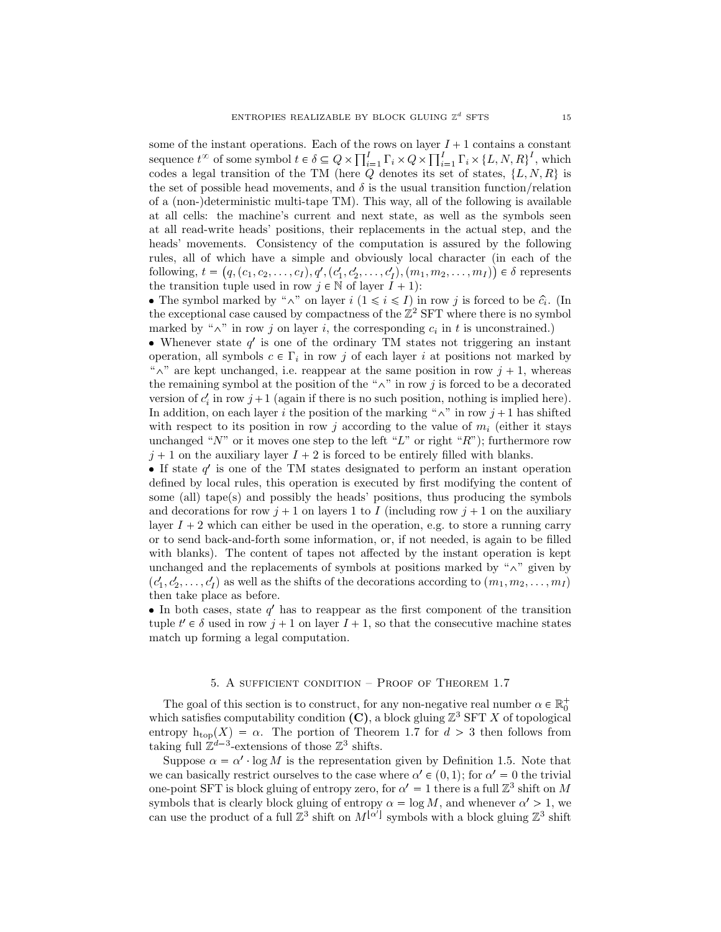some of the instant operations. Each of the rows on layer  $I + 1$  contains a constant sequence  $t^{\infty}$  of some symbol  $t \in \delta \subseteq Q \times \prod_{i=1}^{I} \Gamma_i \times Q \times \prod_{i=1}^{I} \Gamma_i \times \{L, N, R\}^I$ , which codes a legal transition of the TM (here  $Q$  denotes its set of states,  $\{L, N, R\}$  is the set of possible head movements, and  $\delta$  is the usual transition function/relation of a (non-)deterministic multi-tape TM). This way, all of the following is available at all cells: the machine's current and next state, as well as the symbols seen at all read-write heads' positions, their replacements in the actual step, and the heads' movements. Consistency of the computation is assured by the following rules, all of which have a simple and obviously local character (in each of the following,  $t = (q, (c_1, c_2, \ldots, c_I), q', (c'_1, c'_2, \ldots, c'_I), (m_1, m_2, \ldots, m_I)) \in \delta$  represents the transition tuple used in row  $j \in \mathbb{N}$  of layer  $I + 1$ :

• The symbol marked by " $\wedge$ " on layer *i* ( $1 \le i \le I$ ) in row *j* is forced to be  $\hat{c}_i$ . (In the exceptional case caused by compactness of the  $\mathbb{Z}^2$  SFT where there is no symbol marked by " $\wedge$ " in row *j* on layer *i*, the corresponding  $c_i$  in *t* is unconstrained.)

• Whenever state  $q'$  is one of the ordinary TM states not triggering an instant operation, all symbols  $c \in \Gamma_i$  in row *j* of each layer *i* at positions not marked by  $\alpha^*$ <sup>"</sup> are kept unchanged, i.e. reappear at the same position in row  $j + 1$ , whereas the remaining symbol at the position of the " $\wedge$ " in row *j* is forced to be a decorated version of  $c_i$  in row  $j+1$  (again if there is no such position, nothing is implied here). In addition, on each layer *i* the position of the marking " $\wedge$ " in row *j* + 1 has shifted with respect to its position in row  $j$  according to the value of  $m_i$  (either it stays unchanged "*N*" or it moves one step to the left "*L*" or right "*R*"); furthermore row  $j+1$  on the auxiliary layer  $I+2$  is forced to be entirely filled with blanks.

 $\bullet$  If state  $q'$  is one of the TM states designated to perform an instant operation defined by local rules, this operation is executed by first modifying the content of some (all) tape(s) and possibly the heads' positions, thus producing the symbols and decorations for row  $j + 1$  on layers 1 to *I* (including row  $j + 1$  on the auxiliary layer  $I + 2$  which can either be used in the operation, e.g. to store a running carry or to send back-and-forth some information, or, if not needed, is again to be filled with blanks). The content of tapes not affected by the instant operation is kept unchanged and the replacements of symbols at positions marked by " $\wedge$ " given by  $(c'_1, c'_2, \ldots, c'_I)$  as well as the shifts of the decorations according to  $(m_1, m_2, \ldots, m_I)$ then take place as before.

 $\bullet$  In both cases, state  $q'$  has to reappear as the first component of the transition tuple  $t' \in \delta$  used in row  $j + 1$  on layer  $I + 1$ , so that the consecutive machine states match up forming a legal computation.

### 5. A sufficient condition – Proof of Theorem 1.7

The goal of this section is to construct, for any non-negative real number  $\alpha \in \mathbb{R}_0^+$ which satisfies computability condition  $(C)$ , a block gluing  $\mathbb{Z}^3$  SFT X of topological entropy  $h_{top}(X) = \alpha$ . The portion of Theorem 1.7 for  $d > 3$  then follows from taking full  $\mathbb{Z}^{d-3}$ -extensions of those  $\mathbb{Z}^3$  shifts.

Suppose  $\alpha = \alpha'$  log *M* is the representation given by Definition 1.5. Note that we can basically restrict ourselves to the case where  $\alpha' \in (0,1)$ ; for  $\alpha' = 0$  the trivial one-point SFT is block gluing of entropy zero, for  $\alpha' = 1$  there is a full  $\mathbb{Z}^3$  shift on M symbols that is clearly block gluing of entropy  $\alpha = \log M$ , and whenever  $\alpha' > 1$ , we can use the product of a full  $\mathbb{Z}^3$  shift on  $M^{[\alpha']}$  symbols with a block gluing  $\mathbb{Z}^3$  shift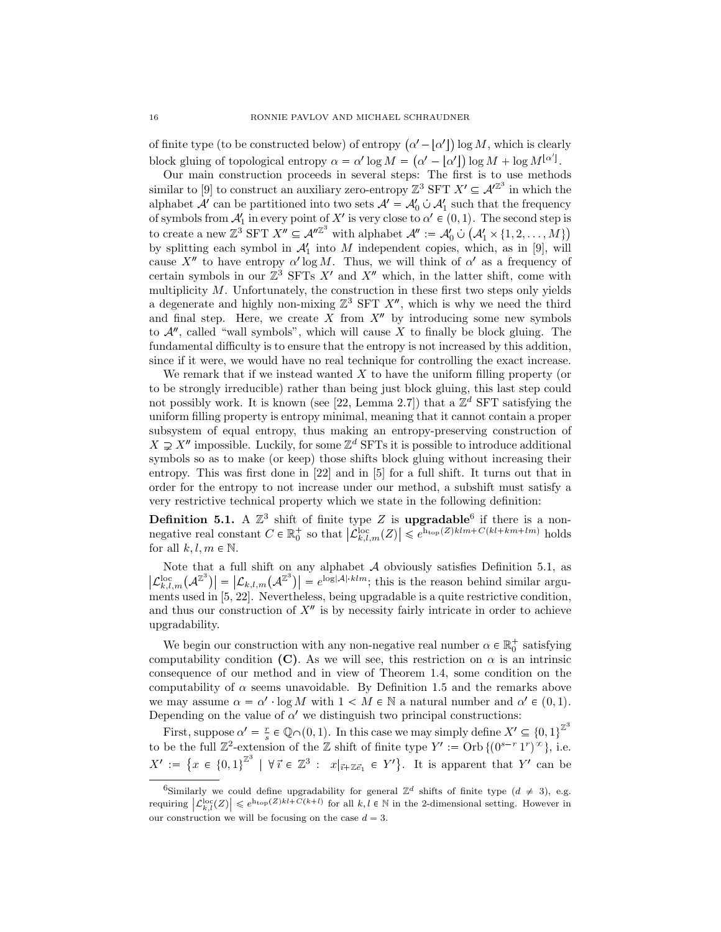of finite type (to be constructed below) of entropy  $(\alpha' - [\alpha'])$  log *M*, which is clearly block gluing of topological entropy  $\alpha = \alpha' \log M = (\alpha' - [\alpha']) \log M + \log M^{[\alpha']}$ .

Our main construction proceeds in several steps: The first is to use methods similar to [9] to construct an auxiliary zero-entropy  $\mathbb{Z}^3$  SFT  $X' \subseteq \mathcal{A}^{\mathbb{Z}^3}$  in which the alphabet  $A'$  can be partitioned into two sets  $A' = A'_0 \cup A'_1$  such that the frequency of symbols from  $\mathcal{A}'_1$  in every point of X' is very close to  $\alpha' \in (0,1)$ . The second step is to create a new  $\mathbb{Z}^3$  SFT  $X'' \subseteq \mathcal{A}''^{\mathbb{Z}^3}$  with alphabet  $\mathcal{A}'' := \mathcal{A}'_0 \cup (\mathcal{A}'_1 \times \{1, 2, ..., M\})$ *A*1 by splitting each symbol in  $A'_1$  into  $M$  independent copies, which, as in [9], will cause  $X''$  to have entropy  $\alpha'$  log M. Thus, we will think of  $\alpha'$  as a frequency of certain symbols in our  $\mathbb{Z}^3$  SFTs  $X'$  and  $X''$  which, in the latter shift, come with multiplicity *M*. Unfortunately, the construction in these first two steps only yields a degenerate and highly non-mixing  $\mathbb{Z}^3$  SFT  $X''$ , which is why we need the third and final step. Here, we create  $X$  from  $X''$  by introducing some new symbols to  $\mathcal{A}$ <sup>n</sup>, called "wall symbols", which will cause  $X$  to finally be block gluing. The fundamental difficulty is to ensure that the entropy is not increased by this addition, since if it were, we would have no real technique for controlling the exact increase.

We remark that if we instead wanted *X* to have the uniform filling property (or to be strongly irreducible) rather than being just block gluing, this last step could not possibly work. It is known (see [22, Lemma 2.7]) that a  $\mathbb{Z}^d$  SFT satisfying the uniform filling property is entropy minimal, meaning that it cannot contain a proper subsystem of equal entropy, thus making an entropy-preserving construction of  $X \supsetneq X''$  impossible. Luckily, for some  $\mathbb{Z}^d$  SFTs it is possible to introduce additional symbols so as to make (or keep) those shifts block gluing without increasing their entropy. This was first done in [22] and in [5] for a full shift. It turns out that in order for the entropy to not increase under our method, a subshift must satisfy a very restrictive technical property which we state in the following definition:

**Definition 5.1.** A  $\mathbb{Z}^3$  shift of finite type Z is **upgradable**<sup>6</sup> if there is a nonnegative real constant  $C \in \mathbb{R}_0^+$  so that  $|\mathcal{L}_{k,l,m}^{\text{loc}}(Z)| \leq e^{\text{h}_{\text{top}}(Z)klm + C(kl + km + lm)}$  holds for all  $k, l, m \in \mathbb{N}$ .

Note that a full shift on any alphabet *A* obviously satisfies Definition 5.1, as  $\left| \mathcal{L}_{k,l,m}^{\text{loc}}(\mathcal{A}^{\mathbb{Z}^3}) \right| = \left| \mathcal{L}_{k,l,m}(\mathcal{A}^{\mathbb{Z}^3}) \right| = e^{\log |\mathcal{A}| \cdot klm}$ ; this is the reason behind similar arguments used in [5, 22]. Nevertheless, being upgradable is a quite restrictive condition, and thus our construction of  $X<sup>n</sup>$  is by necessity fairly intricate in order to achieve upgradability.

We begin our construction with any non-negative real number  $\alpha \in \mathbb{R}_0^+$  satisfying computability condition **(C)**. As we will see, this restriction on  $\alpha$  is an intrinsic consequence of our method and in view of Theorem 1.4, some condition on the computability of  $\alpha$  seems unavoidable. By Definition 1.5 and the remarks above we may assume  $\alpha = \alpha'$  log *M* with  $1 < M \in \mathbb{N}$  a natural number and  $\alpha' \in (0,1)$ . Depending on the value of  $\alpha'$  we distinguish two principal constructions:

First, suppose  $\alpha' = \frac{r}{s} \in \mathbb{Q} \cap (0, 1)$ . In this case we may simply define  $X' \subseteq \{0, 1\}^{\mathbb{Z}^3}$ to be the full  $\mathbb{Z}^2$ -extension of the  $\mathbb Z$  shift of finite type  $Y' := \text{Orb} \{ (0^{s-r} 1^r)^{\infty} \},$  i.e.  $X' := \{x \in \{0,1\}^{\mathbb{Z}^3} \mid \forall i \in \mathbb{Z}^3 : x|_{\vec{i} + \mathbb{Z}\vec{e}_1} \in Y'\}.$  It is apparent that *Y'* can be

<sup>&</sup>lt;sup>6</sup>Similarly we could define upgradability for general  $\mathbb{Z}^d$  shifts of finite type  $(d \neq 3)$ , e.g. requiring  $\left| \mathcal{L}_{k,l}^{\text{loc}}(Z) \right| \leqslant e^{\text{h}_{\text{top}}(Z)kl + C(k+l)}$  for all  $k, l \in \mathbb{N}$  in the 2-dimensional setting. However in our construction we will be focusing on the case  $d = 3$ .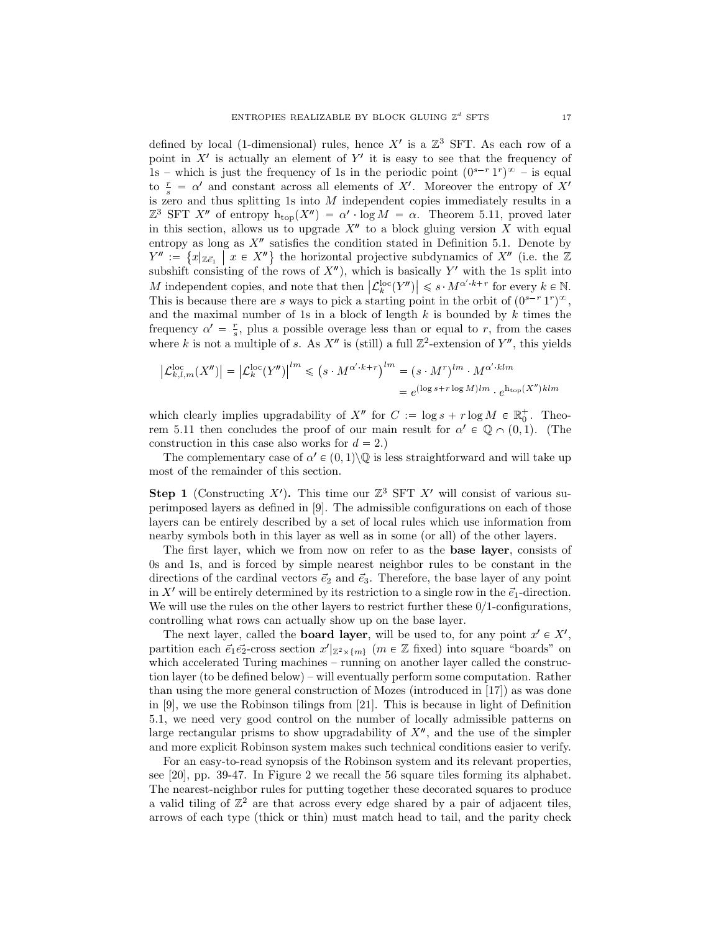defined by local (1-dimensional) rules, hence  $X'$  is a  $\mathbb{Z}^3$  SFT. As each row of a point in  $X'$  is actually an element of  $Y'$  it is easy to see that the frequency of 1s – which is just the frequency of 1s in the periodic point  $(0^{s-r} 1^r)$ <sup> $\infty$ </sup> – is equal to  $\frac{r}{s} = \alpha'$  and constant across all elements of X'. Moreover the entropy of X' is zero and thus splitting 1s into *M* independent copies immediately results in a  $\mathbb{Z}^3$  SFT  $X''$  of entropy  $h_{\text{top}}(X'') = \alpha' \cdot \log M = \alpha$ . Theorem 5.11, proved later in this section, allows us to upgrade  $X''$  to a block gluing version X with equal entropy as long as  $X''$  satisfies the condition stated in Definition 5.1. Denote by  $Y'' := \{x | \mathbb{Z}e_1 \mid x \in X''\}$  the horizontal projective subdynamics of  $X''$  (i.e. the  $\mathbb{Z}$ subshift consisting of the rows of  $X<sup>n</sup>$ ), which is basically  $Y<sup>'</sup>$  with the 1s split into *M* independent copies, and note that then  $|\mathcal{L}_k^{\text{loc}}(Y'')| \leq s \cdot M^{\alpha' \cdot k + r}$  for every  $k \in \mathbb{N}$ . This is because there are *s* ways to pick a starting point in the orbit of  $(0^{s-r} 1^r)^\infty$ , and the maximal number of 1s in a block of length *k* is bounded by *k* times the frequency  $\alpha' = \frac{r}{s}$ , plus a possible overage less than or equal to *r*, from the cases where *k* is not a multiple of *s*. As  $X''$  is (still) a full  $\mathbb{Z}^2$ -extension of  $Y''$ , this yields

$$
\left| \mathcal{L}_{k,l,m}^{\text{loc}}(X'') \right| = \left| \mathcal{L}_{k}^{\text{loc}}(Y'') \right|^{lm} \leqslant \left( s \cdot M^{\alpha' \cdot k + r} \right)^{lm} = \left( s \cdot M^{r} \right)^{lm} \cdot M^{\alpha' \cdot klm}
$$

$$
= e^{(\log s + r \log M)lm} \cdot e^{h_{\text{top}}(X'')klm}
$$

which clearly implies upgradability of  $X''$  for  $C := \log s + r \log M \in \mathbb{R}_0^+$ . Theorem 5.11 then concludes the proof of our main result for  $\alpha' \in \mathbb{Q} \cap (0,1)$ . (The construction in this case also works for  $d = 2$ .)

The complementary case of  $\alpha' \in (0,1) \setminus \mathbb{Q}$  is less straightforward and will take up most of the remainder of this section.

**Step 1** (Constructing *X'*). This time our  $\mathbb{Z}^3$  SFT *X'* will consist of various superimposed layers as defined in [9]. The admissible configurations on each of those layers can be entirely described by a set of local rules which use information from nearby symbols both in this layer as well as in some (or all) of the other layers.

The first layer, which we from now on refer to as the **base layer**, consists of 0s and 1s, and is forced by simple nearest neighbor rules to be constant in the directions of the cardinal vectors  $\vec{e}_2$  and  $\vec{e}_3$ . Therefore, the base layer of any point in X' will be entirely determined by its restriction to a single row in the  $\vec{e}_1$ -direction. We will use the rules on the other layers to restrict further these  $0/1$ -configurations, controlling what rows can actually show up on the base layer.

The next layer, called the **board layer**, will be used to, for any point  $x' \in X'$ , partition each  $\vec{e}_1 \vec{e}_2$ -cross section  $x'|_{\mathbb{Z}^2 \times \{m\}}$  ( $m \in \mathbb{Z}$  fixed) into square "boards" on which accelerated Turing machines – running on another layer called the construction layer (to be defined below) – will eventually perform some computation. Rather than using the more general construction of Mozes (introduced in [17]) as was done in [9], we use the Robinson tilings from [21]. This is because in light of Definition 5.1, we need very good control on the number of locally admissible patterns on large rectangular prisms to show upgradability of  $X<sup>n</sup>$ , and the use of the simpler and more explicit Robinson system makes such technical conditions easier to verify.

For an easy-to-read synopsis of the Robinson system and its relevant properties, see [20], pp. 39-47. In Figure 2 we recall the 56 square tiles forming its alphabet. The nearest-neighbor rules for putting together these decorated squares to produce a valid tiling of  $\mathbb{Z}^2$  are that across every edge shared by a pair of adjacent tiles, arrows of each type (thick or thin) must match head to tail, and the parity check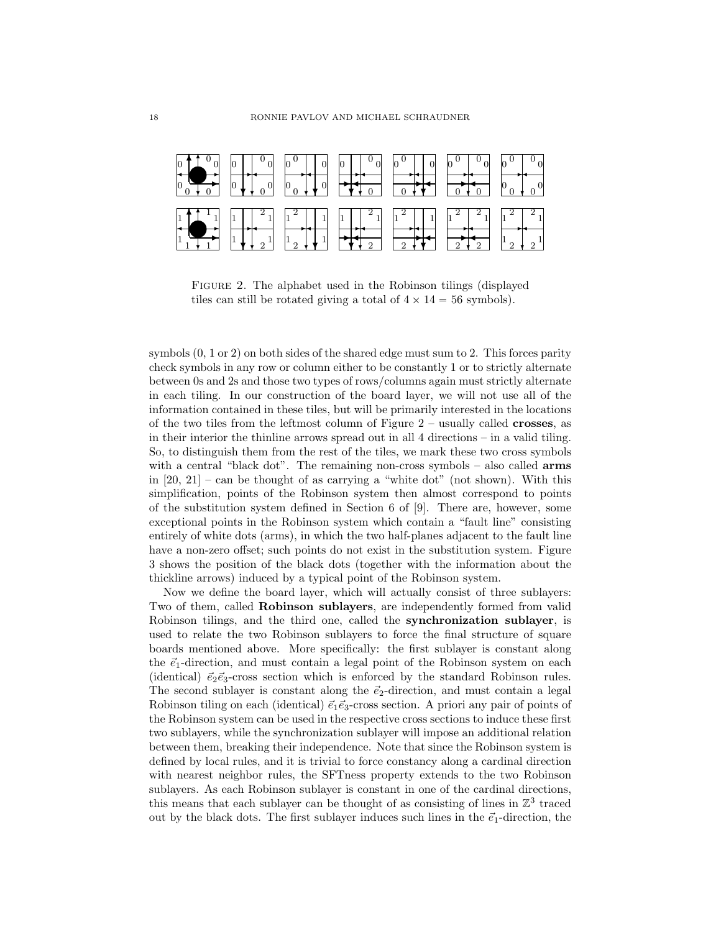

Figure 2. The alphabet used in the Robinson tilings (displayed tiles can still be rotated giving a total of  $4 \times 14 = 56$  symbols).

symbols (0, 1 or 2) on both sides of the shared edge must sum to 2. This forces parity check symbols in any row or column either to be constantly 1 or to strictly alternate between 0s and 2s and those two types of rows/columns again must strictly alternate in each tiling. In our construction of the board layer, we will not use all of the information contained in these tiles, but will be primarily interested in the locations of the two tiles from the leftmost column of Figure 2 – usually called **crosses**, as in their interior the thinline arrows spread out in all 4 directions – in a valid tiling. So, to distinguish them from the rest of the tiles, we mark these two cross symbols with a central "black dot". The remaining non-cross symbols – also called **arms** in  $[20, 21]$  – can be thought of as carrying a "white dot" (not shown). With this simplification, points of the Robinson system then almost correspond to points of the substitution system defined in Section 6 of [9]. There are, however, some exceptional points in the Robinson system which contain a "fault line" consisting entirely of white dots (arms), in which the two half-planes adjacent to the fault line have a non-zero offset; such points do not exist in the substitution system. Figure 3 shows the position of the black dots (together with the information about the thickline arrows) induced by a typical point of the Robinson system.

Now we define the board layer, which will actually consist of three sublayers: Two of them, called **Robinson sublayers**, are independently formed from valid Robinson tilings, and the third one, called the **synchronization sublayer**, is used to relate the two Robinson sublayers to force the final structure of square boards mentioned above. More specifically: the first sublayer is constant along the  $\vec{e}_1$ -direction, and must contain a legal point of the Robinson system on each (identical)  $\vec{e}_2 \vec{e}_3$ -cross section which is enforced by the standard Robinson rules. The second sublayer is constant along the  $\vec{e}_2$ -direction, and must contain a legal Robinson tiling on each (identical)  $\vec{e}_1 \vec{e}_3$ -cross section. A priori any pair of points of the Robinson system can be used in the respective cross sections to induce these first two sublayers, while the synchronization sublayer will impose an additional relation between them, breaking their independence. Note that since the Robinson system is defined by local rules, and it is trivial to force constancy along a cardinal direction with nearest neighbor rules, the SFTness property extends to the two Robinson sublayers. As each Robinson sublayer is constant in one of the cardinal directions, this means that each sublayer can be thought of as consisting of lines in  $\mathbb{Z}^3$  traced out by the black dots. The first sublayer induces such lines in the  $\vec{e}_1$ -direction, the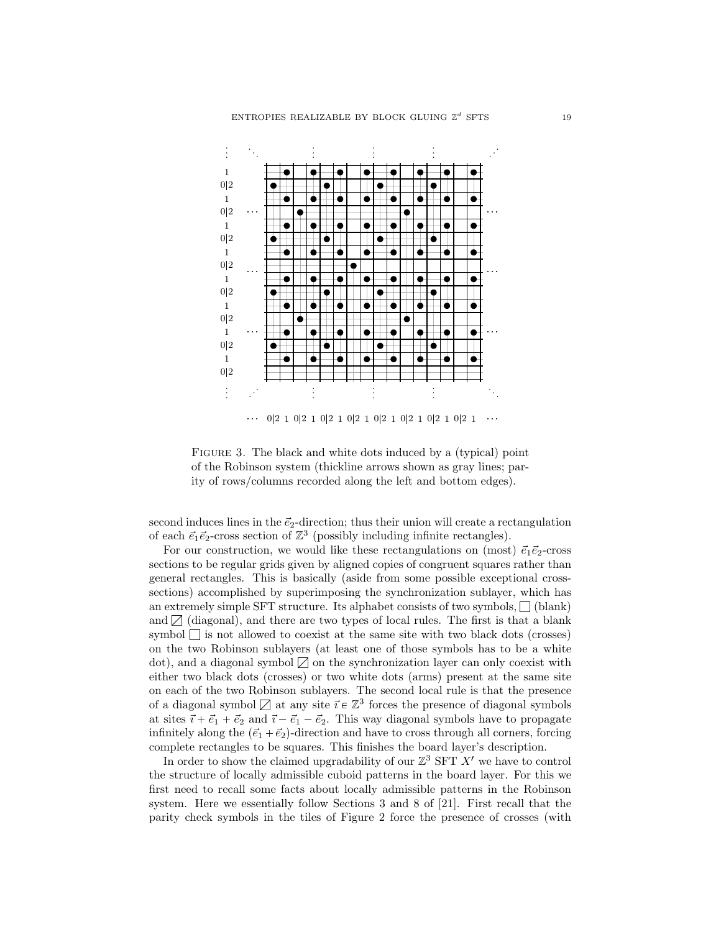

FIGURE 3. The black and white dots induced by a (typical) point of the Robinson system (thickline arrows shown as gray lines; parity of rows/columns recorded along the left and bottom edges).

second induces lines in the  $\vec{e}_2$ -direction; thus their union will create a rectangulation of each  $\vec{e}_1 \vec{e}_2$ -cross section of  $\mathbb{Z}^3$  (possibly including infinite rectangles).

For our construction, we would like these rectangulations on (most)  $\vec{e}_1 \vec{e}_2$ -cross sections to be regular grids given by aligned copies of congruent squares rather than general rectangles. This is basically (aside from some possible exceptional crosssections) accomplished by superimposing the synchronization sublayer, which has an extremely simple SFT structure. Its alphabet consists of two symbols,  $\Box$  (blank) and  $\Box$  (diagonal), and there are two types of local rules. The first is that a blank symbol  $\Box$  is not allowed to coexist at the same site with two black dots (crosses) on the two Robinson sublayers (at least one of those symbols has to be a white dot), and a diagonal symbol  $\Box$  on the synchronization layer can only coexist with either two black dots (crosses) or two white dots (arms) present at the same site on each of the two Robinson sublayers. The second local rule is that the presence of a diagonal symbol  $\Box$  at any site  $\vec{i} \in \mathbb{Z}^3$  forces the presence of diagonal symbols at sites  $\vec{i} + \vec{e}_1 + \vec{e}_2$  and  $\vec{i} - \vec{e}_1 - \vec{e}_2$ . This way diagonal symbols have to propagate infinitely along the  $(\vec{e}_1 + \vec{e}_2)$ -direction and have to cross through all corners, forcing complete rectangles to be squares. This finishes the board layer's description.

In order to show the claimed upgradability of our  $\mathbb{Z}^3$  SFT  $X'$  we have to control the structure of locally admissible cuboid patterns in the board layer. For this we first need to recall some facts about locally admissible patterns in the Robinson system. Here we essentially follow Sections 3 and 8 of [21]. First recall that the parity check symbols in the tiles of Figure 2 force the presence of crosses (with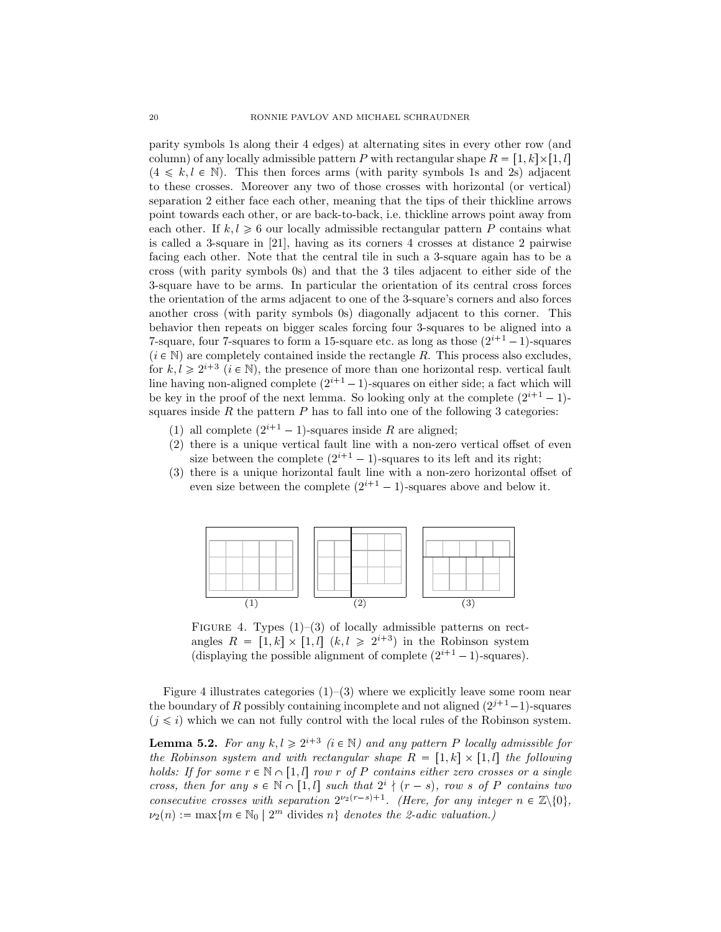parity symbols 1s along their 4 edges) at alternating sites in every other row (and column) of any locally admissible pattern *P* with rectangular shape  $R = [1, k] \times [1, l]$  $(4 \le k, l \in \mathbb{N})$ . This then forces arms (with parity symbols 1s and 2s) adjacent to these crosses. Moreover any two of those crosses with horizontal (or vertical) separation 2 either face each other, meaning that the tips of their thickline arrows point towards each other, or are back-to-back, i.e. thickline arrows point away from each other. If  $k, l \geq 6$  our locally admissible rectangular pattern P contains what is called a 3-square in [21], having as its corners 4 crosses at distance 2 pairwise facing each other. Note that the central tile in such a 3-square again has to be a cross (with parity symbols 0s) and that the 3 tiles adjacent to either side of the 3-square have to be arms. In particular the orientation of its central cross forces the orientation of the arms adjacent to one of the 3-square's corners and also forces another cross (with parity symbols 0s) diagonally adjacent to this corner. This behavior then repeats on bigger scales forcing four 3-squares to be aligned into a 7-square, four 7-squares to form a 15-square etc. as long as those  $(2^{i+1}-1)$ -squares  $(i \in \mathbb{N})$  are completely contained inside the rectangle *R*. This process also excludes, for  $k, l \geq 2^{i+3}$  ( $i \in \mathbb{N}$ ), the presence of more than one horizontal resp. vertical fault line having non-aligned complete  $(2^{i+1}-1)$ -squares on either side; a fact which will be key in the proof of the next lemma. So looking only at the complete  $(2^{i+1} - 1)$ squares inside  $R$  the pattern  $P$  has to fall into one of the following 3 categories:

- (1) all complete  $(2^{i+1} 1)$ -squares inside *R* are aligned;
- (2) there is a unique vertical fault line with a non-zero vertical offset of even size between the complete  $(2^{i+1} - 1)$ -squares to its left and its right;
- (3) there is a unique horizontal fault line with a non-zero horizontal offset of even size between the complete  $(2^{i+1} - 1)$ -squares above and below it.



FIGURE 4. Types  $(1)$ – $(3)$  of locally admissible patterns on rectangles  $R = [1, k] \times [1, l]$   $(k, l \geq 2^{i+3})$  in the Robinson system (displaying the possible alignment of complete  $(2^{i+1} - 1)$ -squares).

Figure 4 illustrates categories  $(1)$ – $(3)$  where we explicitly leave some room near the boundary of *R* possibly containing incomplete and not aligned  $(2^{j+1}-1)$ -squares  $(i \leq i)$  which we can not fully control with the local rules of the Robinson system.

**Lemma 5.2.** For any  $k, l \geq 2^{i+3}$  ( $i \in \mathbb{N}$ ) and any pattern P locally admissible for *the Robinson system and with rectangular shape*  $R = \{1, k\} \times \{1, l\}$  *the following holds:* If for some  $r \in \mathbb{N} \cap [1, l]$  row r of P contains either zero crosses or a single *cross, then for any*  $s \in \mathbb{N} \cap [1, l]$  *such that*  $2^{i} \nmid (r - s)$ *, row s of P contains two consecutive crosses with separation*  $2^{\nu_2(r-s)+1}$ *. (Here, for any integer*  $n \in \mathbb{Z}\backslash\{0\}$ *,*  $\nu_2(n) := \max\{m \in \mathbb{N}_0 \mid 2^m \text{ divides } n\}$  denotes the 2-adic valuation.)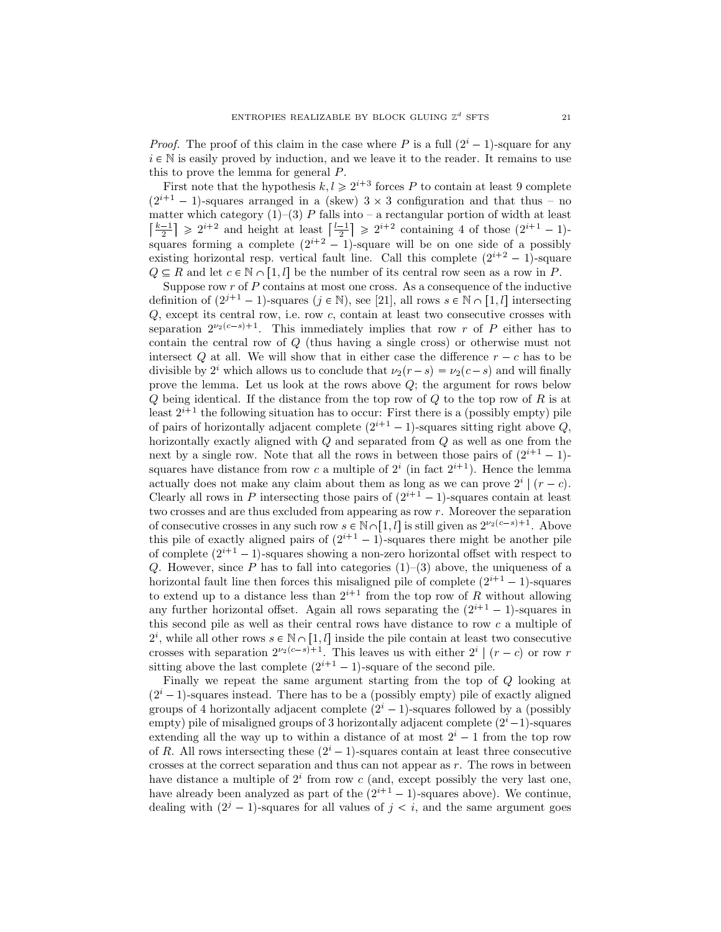*Proof.* The proof of this claim in the case where *P* is a full  $(2^{i} - 1)$ -square for any  $i \in \mathbb{N}$  is easily proved by induction, and we leave it to the reader. It remains to use this to prove the lemma for general *P*.

First note that the hypothesis  $k, l \geq 2^{i+3}$  forces P to contain at least 9 complete  $(2^{i+1} - 1)$ -squares arranged in a (skew)  $3 \times 3$  configuration and that thus – no matter which category  $(1)$ – $(3)$  *P* falls into – a rectangular portion of width at least  $\left\lfloor \frac{k-1}{2} \right\rfloor \geq 2^{i+2}$  and height at least  $\left\lfloor \frac{l-1}{2} \right\rfloor \geq 2^{i+2}$  containing 4 of those  $(2^{i+1}-1)$ squares forming a complete  $(2^{i+2} - 1)$ -square will be on one side of a possibly existing horizontal resp. vertical fault line. Call this complete  $(2^{i+2} - 1)$ -square  $Q \subseteq R$  and let  $c \in \mathbb{N} \cap [1, l]$  be the number of its central row seen as a row in *P*.

Suppose row *r* of *P* contains at most one cross. As a consequence of the inductive definition of  $(2^{j+1} - 1)$ -squares  $(j \in \mathbb{N})$ , see [21], all rows  $s \in \mathbb{N} \cap [1, l]$  intersecting *Q*, except its central row, i.e. row *c*, contain at least two consecutive crosses with separation  $2^{\nu_2(c-s)+1}$ . This immediately implies that row *r* of *P* either has to contain the central row of *Q* (thus having a single cross) or otherwise must not intersect *Q* at all. We will show that in either case the difference  $r - c$  has to be divisible by  $2^{i}$  which allows us to conclude that  $\nu_2(r-s) = \nu_2(c-s)$  and will finally prove the lemma. Let us look at the rows above *Q*; the argument for rows below *Q* being identical. If the distance from the top row of *Q* to the top row of *R* is at least  $2^{i+1}$  the following situation has to occur: First there is a (possibly empty) pile of pairs of horizontally adjacent complete  $(2^{i+1} - 1)$ -squares sitting right above *Q*, horizontally exactly aligned with *Q* and separated from *Q* as well as one from the next by a single row. Note that all the rows in between those pairs of  $(2^{i+1} - 1)$ squares have distance from row c a multiple of  $2^i$  (in fact  $2^{i+1}$ ). Hence the lemma actually does not make any claim about them as long as we can prove  $2^{i}$  |  $(r - c)$ . Clearly all rows in *P* intersecting those pairs of  $(2^{i+1} - 1)$ -squares contain at least two crosses and are thus excluded from appearing as row *r*. Moreover the separation of consecutive crosses in any such row  $s \in \mathbb{N} \cap [1, l]$  is still given as  $2^{\nu_2(c-s)+1}$ . Above this pile of exactly aligned pairs of  $(2^{i+1} - 1)$ -squares there might be another pile of complete  $(2^{i+1} - 1)$ -squares showing a non-zero horizontal offset with respect to *Q*. However, since *P* has to fall into categories  $(1)$ – $(3)$  above, the uniqueness of a horizontal fault line then forces this misaligned pile of complete  $(2^{i+1} - 1)$ -squares to extend up to a distance less than  $2^{i+1}$  from the top row of R without allowing any further horizontal offset. Again all rows separating the  $(2^{i+1} - 1)$ -squares in this second pile as well as their central rows have distance to row *c* a multiple of  $2^i$ , while all other rows  $s \in \mathbb{N} \cap [1, l]$  inside the pile contain at least two consecutive crosses with separation  $2^{\nu_2(c-s)+1}$ . This leaves us with either  $2^i | (r-c)$  or row r sitting above the last complete  $(2^{i+1} - 1)$ -square of the second pile.

Finally we repeat the same argument starting from the top of *Q* looking at  $(2<sup>i</sup> - 1)$ -squares instead. There has to be a (possibly empty) pile of exactly aligned groups of 4 horizontally adjacent complete  $(2<sup>i</sup> - 1)$ -squares followed by a (possibly  $\text{empty}$  pile of misaligned groups of 3 horizontally adjacent complete  $(2^i-1)$ -squares extending all the way up to within a distance of at most  $2^{i} - 1$  from the top row of *R*. All rows intersecting these  $(2^{i} - 1)$ -squares contain at least three consecutive crosses at the correct separation and thus can not appear as *r*. The rows in between have distance a multiple of  $2^i$  from row  $c$  (and, except possibly the very last one, have already been analyzed as part of the  $(2^{i+1} - 1)$ -squares above). We continue, dealing with  $(2^{j} - 1)$ -squares for all values of  $j < i$ , and the same argument goes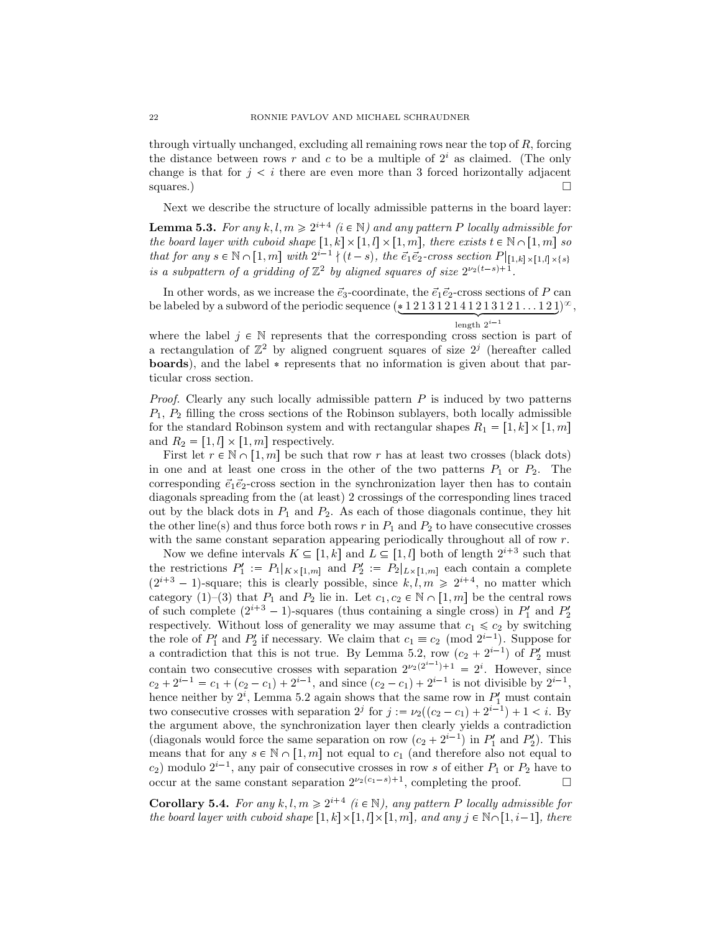through virtually unchanged, excluding all remaining rows near the top of *R*, forcing the distance between rows  $r$  and  $c$  to be a multiple of  $2<sup>i</sup>$  as claimed. (The only change is that for  $j < i$  there are even more than 3 forced horizontally adjacent squares.)  $\Box$ 

Next we describe the structure of locally admissible patterns in the board layer:

**Lemma 5.3.** For any  $k, l, m \geq 2^{i+4}$  ( $i \in \mathbb{N}$ ) and any pattern P locally admissible for *the board layer with cuboid shape*  $[1, k] \times [1, l] \times [1, m]$ , there exists  $t \in \mathbb{N} \cap [1, m]$  so *that for any*  $s \in \mathbb{N} \cap [1, m]$  *with*  $2^{i-1} \nmid (t-s)$ , *the*  $\vec{e_1} \vec{e_2}$ -cross section  $P|_{[1,k] \times [1,l] \times \{s\}}$ *is a subpattern of a gridding of*  $\mathbb{Z}^2$  *by aligned squares of size*  $2^{\nu_2(t-s)+1}$ *.* 

In other words, as we increase the  $\vec{e}_3$ -coordinate, the  $\vec{e}_1 \vec{e}_2$ -cross sections of *P* can be labeled by a subword of the periodic sequence  $(\underbrace{*121312141213121\ldots121})^{\infty}$ , length  $2^{i-1}$ 

where the label  $j \in \mathbb{N}$  represents that the corresponding cross section is part of a rectangulation of  $\mathbb{Z}^2$  by aligned congruent squares of size  $2^j$  (hereafter called **boards**), and the label  $*$  represents that no information is given about that particular cross section.

*Proof.* Clearly any such locally admissible pattern *P* is induced by two patterns *P*1*, P*<sup>2</sup> filling the cross sections of the Robinson sublayers, both locally admissible for the standard Robinson system and with rectangular shapes  $R_1 = [1, k] \times [1, m]$ and  $R_2 = [1, l] \times [1, m]$  respectively.

First let  $r \in \mathbb{N} \cap [1, m]$  be such that row  $r$  has at least two crosses (black dots) in one and at least one cross in the other of the two patterns  $P_1$  or  $P_2$ . The corresponding  $\vec{e}_1 \vec{e}_2$ -cross section in the synchronization layer then has to contain diagonals spreading from the (at least) 2 crossings of the corresponding lines traced out by the black dots in  $P_1$  and  $P_2$ . As each of those diagonals continue, they hit the other line(s) and thus force both rows  $r$  in  $P_1$  and  $P_2$  to have consecutive crosses with the same constant separation appearing periodically throughout all of row *r*.

Now we define intervals  $K \subseteq [1, k]$  and  $L \subseteq [1, l]$  both of length  $2^{i+3}$  such that the restrictions  $P'_1 := P_1|_{K \times [1,m]}$  and  $P'_2 := P_2|_{L \times [1,m]}$  each contain a complete  $(2^{i+3} - 1)$ -square; this is clearly possible, since  $k, l, m \geq 2^{i+4}$ , no matter which category (1)–(3) that  $P_1$  and  $P_2$  lie in. Let  $c_1, c_2 \in \mathbb{N} \cap [1, m]$  be the central rows of such complete  $(2^{i+3} - 1)$ -squares (thus containing a single cross) in  $P'_1$  and  $P'_2$ respectively. Without loss of generality we may assume that  $c_1 \leq c_2$  by switching the role of  $P'_1$  and  $P'_2$  if necessary. We claim that  $c_1 \equiv c_2 \pmod{2^{i-1}}$ . Suppose for a contradiction that this is not true. By Lemma 5.2, row  $(c_2 + 2^{i-1})$  of  $P'_2$  must contain two consecutive crosses with separation  $2^{\nu_2(2^{i-1})+1} = 2^i$ . However, since  $c_2 + 2^{i-1} = c_1 + (c_2 - c_1) + 2^{i-1}$ , and since  $(c_2 - c_1) + 2^{i-1}$  is not divisible by  $2^{i-1}$ , hence neither by  $2^i$ , Lemma 5.2 again shows that the same row in  $P'_1$  must contain two consecutive crosses with separation  $2^j$  for  $j := \nu_2((c_2 - c_1) + 2^{i-1}) + 1 < i$ . By the argument above, the synchronization layer then clearly yields a contradiction (diagonals would force the same separation on row  $(c_2 + 2^{i-1})$  in  $P'_1$  and  $P'_2$ ). This means that for any  $s \in \mathbb{N} \cap [1, m]$  not equal to  $c_1$  (and therefore also not equal to  $c_2$ ) modulo  $2^{i-1}$ , any pair of consecutive crosses in row *s* of either  $P_1$  or  $P_2$  have to occur at the same constant separation  $2^{\nu_2(c_1-s)+1}$ , completing the proof.  $\Box$ 

**Corollary 5.4.** For any  $k, l, m \geq 2^{i+4}$  ( $i \in \mathbb{N}$ ), any pattern P locally admissible for *the board layer with cuboid shape*  $[1, k] \times [1, l] \times [1, m]$ *, and any*  $j \in \mathbb{N} \cap [1, i-1]$ *, there*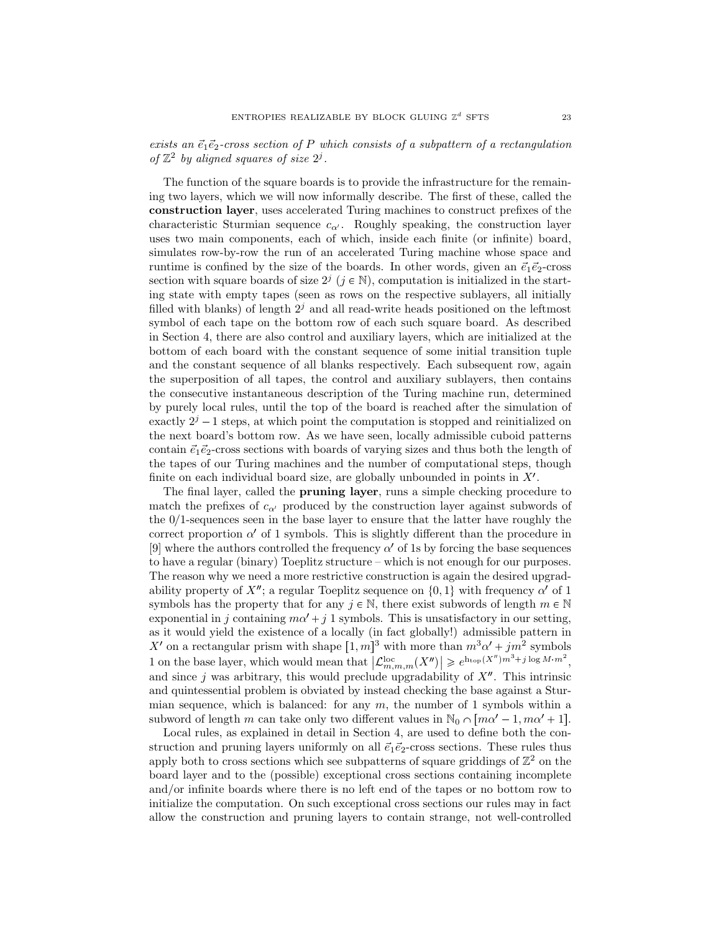$e$ *exists an*  $\vec{e}_1 \vec{e}_2$ -cross section of P which consists of a subpattern of a rectangulation of  $\mathbb{Z}^2$  by aligned squares of size  $2^j$ .

The function of the square boards is to provide the infrastructure for the remaining two layers, which we will now informally describe. The first of these, called the **construction layer**, uses accelerated Turing machines to construct prefixes of the characteristic Sturmian sequence  $c_{\alpha'}$ . Roughly speaking, the construction layer uses two main components, each of which, inside each finite (or infinite) board, simulates row-by-row the run of an accelerated Turing machine whose space and runtime is confined by the size of the boards. In other words, given an  $\vec{e}_1 \vec{e}_2$ -cross section with square boards of size  $2^j$  ( $j \in \mathbb{N}$ ), computation is initialized in the starting state with empty tapes (seen as rows on the respective sublayers, all initially filled with blanks) of length  $2<sup>j</sup>$  and all read-write heads positioned on the leftmost symbol of each tape on the bottom row of each such square board. As described in Section 4, there are also control and auxiliary layers, which are initialized at the bottom of each board with the constant sequence of some initial transition tuple and the constant sequence of all blanks respectively. Each subsequent row, again the superposition of all tapes, the control and auxiliary sublayers, then contains the consecutive instantaneous description of the Turing machine run, determined by purely local rules, until the top of the board is reached after the simulation of exactly  $2^{j} - 1$  steps, at which point the computation is stopped and reinitialized on the next board's bottom row. As we have seen, locally admissible cuboid patterns contain  $\vec{e}_1 \vec{e}_2$ -cross sections with boards of varying sizes and thus both the length of the tapes of our Turing machines and the number of computational steps, though finite on each individual board size, are globally unbounded in points in  $X'$ .

The final layer, called the **pruning layer**, runs a simple checking procedure to match the prefixes of  $c_{\alpha}$  produced by the construction layer against subwords of the 0{1-sequences seen in the base layer to ensure that the latter have roughly the correct proportion  $\alpha'$  of 1 symbols. This is slightly different than the procedure in [9] where the authors controlled the frequency  $\alpha'$  of 1s by forcing the base sequences to have a regular (binary) Toeplitz structure – which is not enough for our purposes. The reason why we need a more restrictive construction is again the desired upgradability property of  $X''$ ; a regular Toeplitz sequence on  $\{0,1\}$  with frequency  $\alpha'$  of 1 symbols has the property that for any  $j \in \mathbb{N}$ , there exist subwords of length  $m \in \mathbb{N}$ exponential in *j* containing  $m\alpha' + j$  1 symbols. This is unsatisfactory in our setting, as it would yield the existence of a locally (in fact globally!) admissible pattern in *X*<sup>1</sup> on a rectangular prism with shape  $[1, m]$ <sup>3</sup> with more than  $m^3\alpha' + jm^2$  symbols 1 on the base layer, which would mean that  $\left|\mathcal{L}_{m,m,m}^{\text{loc}}(X'')\right| \geq e^{\text{ht}_{\text{op}}(X'')m^3+j\log M \cdot m^2}$ , and since  $j$  was arbitrary, this would preclude upgradability of  $X<sup>n</sup>$ . This intrinsic and quintessential problem is obviated by instead checking the base against a Sturmian sequence, which is balanced: for any  $m$ , the number of 1 symbols within a subword of length *m* can take only two different values in  $\mathbb{N}_0 \cap [m\alpha' - 1, m\alpha' + 1].$ 

Local rules, as explained in detail in Section 4, are used to define both the construction and pruning layers uniformly on all  $\vec{e}_1 \vec{e}_2$ -cross sections. These rules thus apply both to cross sections which see subpatterns of square griddings of  $\mathbb{Z}^2$  on the board layer and to the (possible) exceptional cross sections containing incomplete and/or infinite boards where there is no left end of the tapes or no bottom row to initialize the computation. On such exceptional cross sections our rules may in fact allow the construction and pruning layers to contain strange, not well-controlled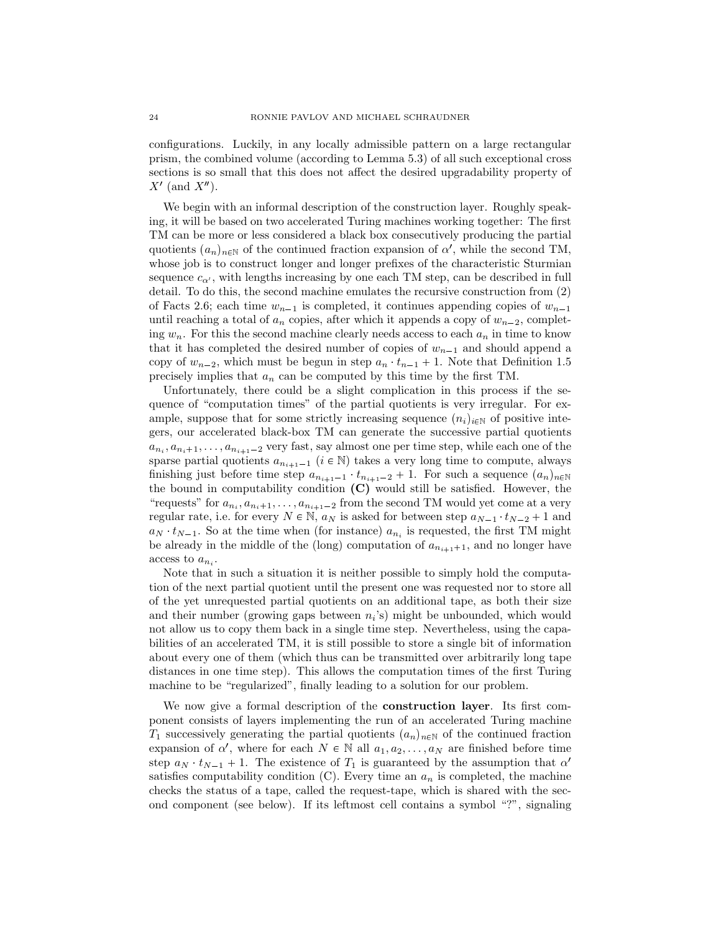configurations. Luckily, in any locally admissible pattern on a large rectangular prism, the combined volume (according to Lemma 5.3) of all such exceptional cross sections is so small that this does not affect the desired upgradability property of *X*<sup> $\prime$ </sup> (and *X*<sup> $\prime$ </sup>).

We begin with an informal description of the construction layer. Roughly speaking, it will be based on two accelerated Turing machines working together: The first TM can be more or less considered a black box consecutively producing the partial quotients  $(a_n)_{n \in \mathbb{N}}$  of the continued fraction expansion of *α*', while the second TM, whose job is to construct longer and longer prefixes of the characteristic Sturmian sequence  $c_{\alpha}$ , with lengths increasing by one each TM step, can be described in full detail. To do this, the second machine emulates the recursive construction from (2) of Facts 2.6; each time  $w_{n-1}$  is completed, it continues appending copies of  $w_{n-1}$ until reaching a total of  $a_n$  copies, after which it appends a copy of  $w_{n-2}$ , completing  $w_n$ . For this the second machine clearly needs access to each  $a_n$  in time to know that it has completed the desired number of copies of  $w_{n-1}$  and should append a copy of  $w_{n-2}$ , which must be begun in step  $a_n \, t_{n-1} + 1$ . Note that Definition 1.5 precisely implies that *a<sup>n</sup>* can be computed by this time by the first TM.

Unfortunately, there could be a slight complication in this process if the sequence of "computation times" of the partial quotients is very irregular. For example, suppose that for some strictly increasing sequence  $(n_i)_{i\in\mathbb{N}}$  of positive integers, our accelerated black-box TM can generate the successive partial quotients  $a_{n_i}, a_{n_i+1}, \ldots, a_{n_{i+1}-2}$  very fast, say almost one per time step, while each one of the sparse partial quotients  $a_{n_{i+1}-1}$  ( $i \in \mathbb{N}$ ) takes a very long time to compute, always finishing just before time step  $a_{n_{i+1}-1}$   $t_{n_{i+1}-2}$  + 1. For such a sequence  $(a_n)_{n\in\mathbb{N}}$ the bound in computability condition **(C)** would still be satisfied. However, the "requests" for  $a_{n_i}, a_{n_i+1}, \ldots, a_{n_{i+1}-2}$  from the second TM would yet come at a very regular rate, i.e. for every  $N \in \mathbb{N}$ ,  $a_N$  is asked for between step  $a_{N-1} \cdot t_{N-2} + 1$  and  $a_N$   $t_{N-1}$ . So at the time when (for instance)  $a_{n_i}$  is requested, the first TM might be already in the middle of the (long) computation of  $a_{n_{i+1}+1}$ , and no longer have access to  $a_{n_i}$ .

Note that in such a situation it is neither possible to simply hold the computation of the next partial quotient until the present one was requested nor to store all of the yet unrequested partial quotients on an additional tape, as both their size and their number (growing gaps between  $n_i$ 's) might be unbounded, which would not allow us to copy them back in a single time step. Nevertheless, using the capabilities of an accelerated TM, it is still possible to store a single bit of information about every one of them (which thus can be transmitted over arbitrarily long tape distances in one time step). This allows the computation times of the first Turing machine to be "regularized", finally leading to a solution for our problem.

We now give a formal description of the **construction layer**. Its first component consists of layers implementing the run of an accelerated Turing machine  $T_1$  successively generating the partial quotients  $(a_n)_{n\in\mathbb{N}}$  of the continued fraction expansion of  $\alpha'$ , where for each  $N \in \mathbb{N}$  all  $a_1, a_2, \ldots, a_N$  are finished before time step  $a_N \cdot t_{N-1} + 1$ . The existence of  $T_1$  is guaranteed by the assumption that  $\alpha'$ satisfies computability condition  $(C)$ . Every time an  $a_n$  is completed, the machine checks the status of a tape, called the request-tape, which is shared with the second component (see below). If its leftmost cell contains a symbol "?", signaling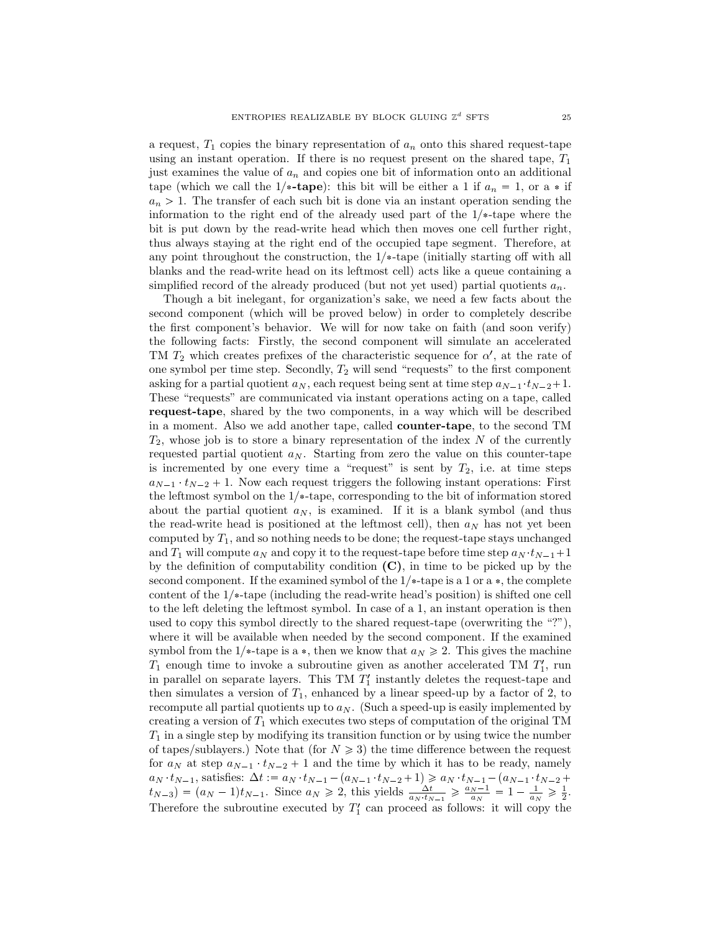a request,  $T_1$  copies the binary representation of  $a_n$  onto this shared request-tape using an instant operation. If there is no request present on the shared tape, *T*<sup>1</sup> just examines the value of *a<sup>n</sup>* and copies one bit of information onto an additional tape (which we call the 1/\*-tape): this bit will be either a 1 if  $a_n = 1$ , or a  $*$  if  $a_n > 1$ . The transfer of each such bit is done via an instant operation sending the information to the right end of the already used part of the  $1/*$ -tape where the bit is put down by the read-write head which then moves one cell further right, thus always staying at the right end of the occupied tape segment. Therefore, at any point throughout the construction, the  $1/*$ -tape (initially starting off with all blanks and the read-write head on its leftmost cell) acts like a queue containing a simplified record of the already produced (but not yet used) partial quotients *an*.

Though a bit inelegant, for organization's sake, we need a few facts about the second component (which will be proved below) in order to completely describe the first component's behavior. We will for now take on faith (and soon verify) the following facts: Firstly, the second component will simulate an accelerated TM  $T_2$  which creates prefixes of the characteristic sequence for  $\alpha'$ , at the rate of one symbol per time step. Secondly, *T*<sup>2</sup> will send "requests" to the first component asking for a partial quotient  $a_N$ , each request being sent at time step  $a_{N-1}$ ,  $t_{N-2}+1$ . These "requests" are communicated via instant operations acting on a tape, called **request-tape**, shared by the two components, in a way which will be described in a moment. Also we add another tape, called **counter-tape**, to the second TM *T*2, whose job is to store a binary representation of the index *N* of the currently requested partial quotient  $a_N$ . Starting from zero the value on this counter-tape is incremented by one every time a "request" is sent by  $T_2$ , i.e. at time steps  $a_{N-1} \tcdot t_{N-2} + 1$ . Now each request triggers the following instant operations: First the leftmost symbol on the  $1/*$ -tape, corresponding to the bit of information stored about the partial quotient  $a_N$ , is examined. If it is a blank symbol (and thus the read-write head is positioned at the leftmost cell), then  $a_N$  has not yet been computed by *T*1, and so nothing needs to be done; the request-tape stays unchanged and  $T_1$  will compute  $a_N$  and copy it to the request-tape before time step  $a_N$   $t_{N-1}+1$ by the definition of computability condition **(C)**, in time to be picked up by the second component. If the examined symbol of the  $1/*$ -tape is a 1 or a  $*$ , the complete content of the  $1/*$ -tape (including the read-write head's position) is shifted one cell to the left deleting the leftmost symbol. In case of a 1, an instant operation is then used to copy this symbol directly to the shared request-tape (overwriting the "?"), where it will be available when needed by the second component. If the examined symbol from the 1/ $*$ -tape is a  $*$ , then we know that  $a_N \ge 2$ . This gives the machine *T*<sup>1</sup> enough time to invoke a subroutine given as another accelerated TM *T* 1 1 , run in parallel on separate layers. This  $TM$   $T'$  instantly deletes the request-tape and then simulates a version of  $T_1$ , enhanced by a linear speed-up by a factor of 2, to recompute all partial quotients up to  $a_N$ . (Such a speed-up is easily implemented by creating a version of *T*<sup>1</sup> which executes two steps of computation of the original TM  $T_1$  in a single step by modifying its transition function or by using twice the number of tapes/sublayers.) Note that (for  $N \geq 3$ ) the time difference between the request for  $a_N$  at step  $a_{N-1}$   $t_{N-2}$  + 1 and the time by which it has to be ready, namely  $a_N \cdot t_{N-1}$ , satisfies:  $\Delta t := a_N \cdot t_{N-1} - (a_{N-1} \cdot t_{N-2} + 1) \geq a_N \cdot t_{N-1} - (a_{N-1} \cdot t_{N-2} + 1)$  $t_{N-3}$  =  $(a_N - 1)t_{N-1}$ . Since  $a_N \ge 2$ , this yields  $\frac{\Delta t}{a_N \cdot t_{N-1}} \ge \frac{a_N - 1}{a_N} = 1 - \frac{1}{a_N} \ge \frac{1}{2}$ . Therefore the subroutine executed by  $T_1'$  can proceed as follows: it will copy the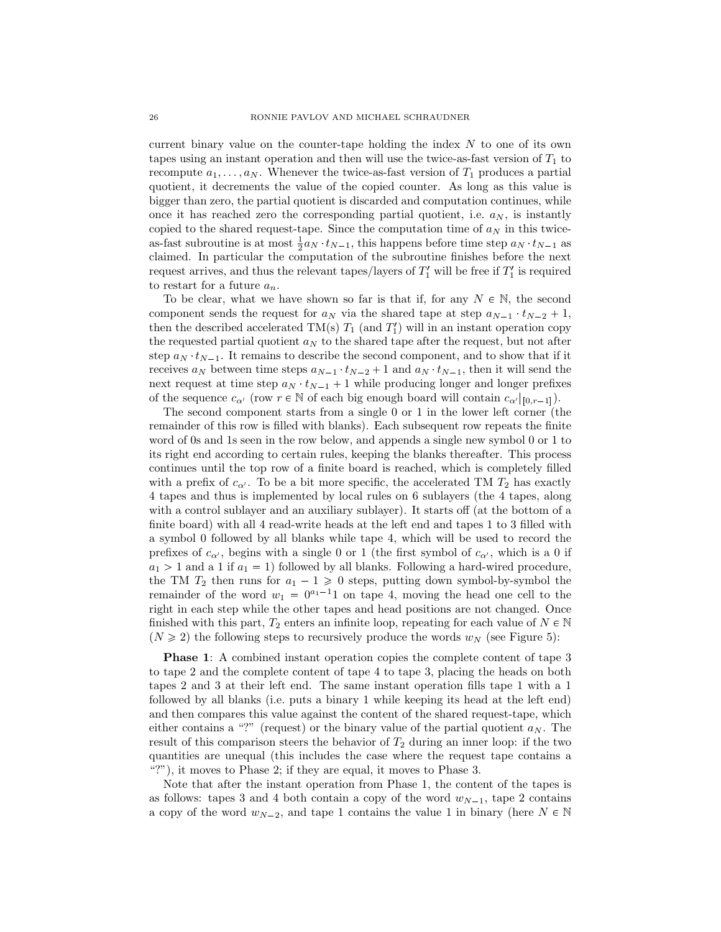current binary value on the counter-tape holding the index *N* to one of its own tapes using an instant operation and then will use the twice-as-fast version of *T*<sup>1</sup> to recompute  $a_1, \ldots, a_N$ . Whenever the twice-as-fast version of  $T_1$  produces a partial quotient, it decrements the value of the copied counter. As long as this value is bigger than zero, the partial quotient is discarded and computation continues, while once it has reached zero the corresponding partial quotient, i.e.  $a_N$ , is instantly copied to the shared request-tape. Since the computation time of  $a_N$  in this twiceas-fast subroutine is at most  $\frac{1}{2}a_N \cdot t_{N-1}$ , this happens before time step  $a_N \cdot t_{N-1}$  as claimed. In particular the computation of the subroutine finishes before the next request arrives, and thus the relevant tapes/layers of  $T_1'$  will be free if  $T_1'$  is required to restart for a future *an*.

To be clear, what we have shown so far is that if, for any  $N \in \mathbb{N}$ , the second component sends the request for  $a_N$  via the shared tape at step  $a_{N-1} \cdot t_{N-2} + 1$ , then the described accelerated  $TM(s) T_1$  (and  $T_1'$ ) will in an instant operation copy the requested partial quotient  $a_N$  to the shared tape after the request, but not after step  $a_N \tcdot t_{N-1}$ . It remains to describe the second component, and to show that if it receives  $a_N$  between time steps  $a_{N-1} \cdot t_{N-2} + 1$  and  $a_N \cdot t_{N-1}$ , then it will send the next request at time step  $a_N \cdot t_{N-1} + 1$  while producing longer and longer prefixes of the sequence  $c_{\alpha'}$  (row  $r \in \mathbb{N}$  of each big enough board will contain  $c_{\alpha'}|_{[0,r-1]}$ ).

The second component starts from a single 0 or 1 in the lower left corner (the remainder of this row is filled with blanks). Each subsequent row repeats the finite word of 0s and 1s seen in the row below, and appends a single new symbol 0 or 1 to its right end according to certain rules, keeping the blanks thereafter. This process continues until the top row of a finite board is reached, which is completely filled with a prefix of  $c_{\alpha'}$ . To be a bit more specific, the accelerated TM  $T_2$  has exactly 4 tapes and thus is implemented by local rules on 6 sublayers (the 4 tapes, along with a control sublayer and an auxiliary sublayer). It starts off (at the bottom of a finite board) with all 4 read-write heads at the left end and tapes 1 to 3 filled with a symbol 0 followed by all blanks while tape 4, which will be used to record the prefixes of  $c_{\alpha}$ , begins with a single 0 or 1 (the first symbol of  $c_{\alpha}$ , which is a 0 if  $a_1 > 1$  and a 1 if  $a_1 = 1$ ) followed by all blanks. Following a hard-wired procedure, the TM  $T_2$  then runs for  $a_1 - 1 \ge 0$  steps, putting down symbol-by-symbol the remainder of the word  $w_1 = 0^{a_1-1}1$  on tape 4, moving the head one cell to the right in each step while the other tapes and head positions are not changed. Once finished with this part,  $T_2$  enters an infinite loop, repeating for each value of  $N \in \mathbb{N}$  $(N \geq 2)$  the following steps to recursively produce the words  $w_N$  (see Figure 5):

**Phase 1**: A combined instant operation copies the complete content of tape 3 to tape 2 and the complete content of tape 4 to tape 3, placing the heads on both tapes 2 and 3 at their left end. The same instant operation fills tape 1 with a 1 followed by all blanks (i.e. puts a binary 1 while keeping its head at the left end) and then compares this value against the content of the shared request-tape, which either contains a "?" (request) or the binary value of the partial quotient  $a_N$ . The result of this comparison steers the behavior of  $T_2$  during an inner loop: if the two quantities are unequal (this includes the case where the request tape contains a "?"), it moves to Phase 2; if they are equal, it moves to Phase 3.

Note that after the instant operation from Phase 1, the content of the tapes is as follows: tapes 3 and 4 both contain a copy of the word  $w_{N-1}$ , tape 2 contains a copy of the word  $w_{N-2}$ , and tape 1 contains the value 1 in binary (here  $N \in \mathbb{N}$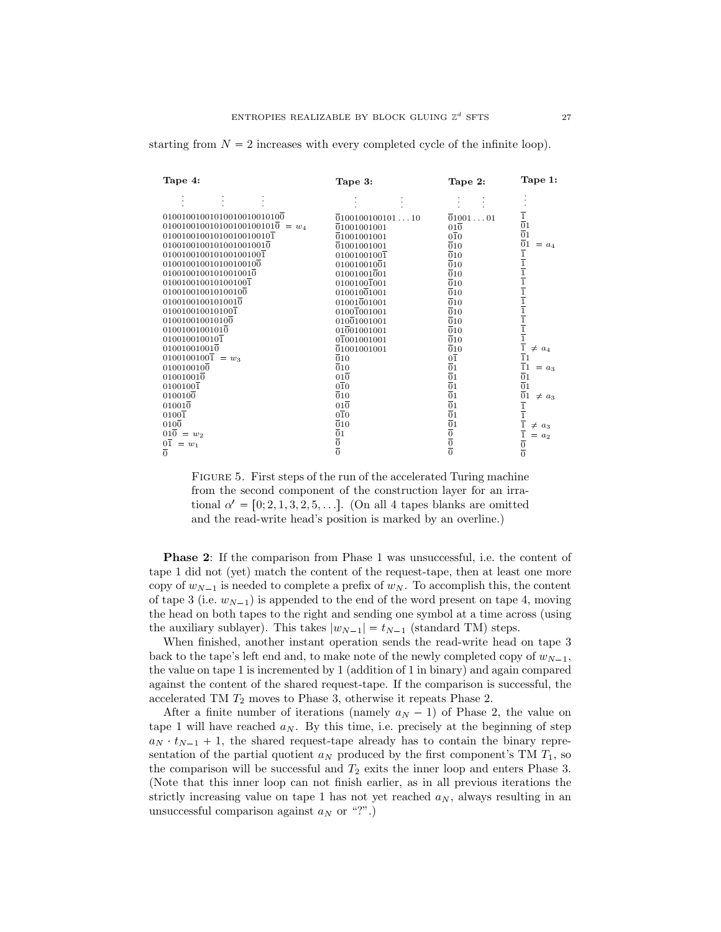| Tape 4:                           | Tape 3:                              | Tape 2:                                                                     | Tape 1:                                                                                                                                                                                                                                                            |
|-----------------------------------|--------------------------------------|-----------------------------------------------------------------------------|--------------------------------------------------------------------------------------------------------------------------------------------------------------------------------------------------------------------------------------------------------------------|
|                                   |                                      |                                                                             |                                                                                                                                                                                                                                                                    |
| 01001001001010010010010100        | 010010010010110                      | 0100101                                                                     |                                                                                                                                                                                                                                                                    |
| $0100100100101001001001010 = w_4$ | 01001001001                          | $01\overline{0}$                                                            | $\frac{1}{0}$                                                                                                                                                                                                                                                      |
| 010010010010100100100101          | 01001001001                          | $0\overline{1}0$                                                            |                                                                                                                                                                                                                                                                    |
| 01001001001010010010010           | 01001001001                          | $\overline{0}10$                                                            | $= a_4$                                                                                                                                                                                                                                                            |
| 0100100100101001001001            | $0100100100\overline{1}$             | $\overline{0}10$                                                            |                                                                                                                                                                                                                                                                    |
| 010010010010100100100             | 01001001001                          | $\overline{0}10$                                                            |                                                                                                                                                                                                                                                                    |
| 01001001001010010010              | 01001001001                          | $\overline{0}10$                                                            |                                                                                                                                                                                                                                                                    |
| 0100100100101001001               | 01001001001                          | $\overline{0}10$                                                            |                                                                                                                                                                                                                                                                    |
| 010010010010100100                | 01001001001                          | $\overline{0}10$                                                            |                                                                                                                                                                                                                                                                    |
| 01001001001010010                 | 01001001001                          | $\overline{0}10$                                                            |                                                                                                                                                                                                                                                                    |
| 0100100100101001                  | 01001001001                          | $\overline{0}10$                                                            |                                                                                                                                                                                                                                                                    |
| 010010010010100                   | 01001001001                          | $\overline{0}10$                                                            |                                                                                                                                                                                                                                                                    |
| 01001001001010                    | 01001001001                          | $\overline{0}10$                                                            |                                                                                                                                                                                                                                                                    |
| 0100100100101                     | 01001001001                          | $\overline{0}10$                                                            |                                                                                                                                                                                                                                                                    |
| 010010010010                      | 01001001001                          | $\overline{0}10$                                                            | $\neq a_4$                                                                                                                                                                                                                                                         |
| $0100100100\overline{1} = w_3$    | $\overline{0}10$                     | $0\overline{1}$                                                             | $\overline{0}1$<br>$\overline{1}$ $\overline{1}$ $\overline{1}$ $\overline{1}$ $\overline{1}$ $\overline{1}$ $\overline{1}$ $\overline{1}$ $\overline{1}$ $\overline{1}$ $\overline{1}$ $\overline{1}$ $\overline{1}$ $\overline{1}$ $\overline{1}$ $\overline{1}$ |
| 0100100100                        | $\overline{0}10$                     | $\overline{0}1$                                                             | $\frac{1}{11}$<br>$= a_3$                                                                                                                                                                                                                                          |
| 010010010                         | $01\overline{0}$                     | $\overline{0}1$                                                             | $\overline{0}1$                                                                                                                                                                                                                                                    |
| $0100100\overline{1}$             | $0\overline{1}0$                     | $\overline{0}1$                                                             | $\overline{0}$ <sub>1</sub>                                                                                                                                                                                                                                        |
| 0100100                           | $\overline{0}10$                     | $\overline{0}1$                                                             | $\neq a_3$                                                                                                                                                                                                                                                         |
| 010010                            | $01\overline{0}$                     | $\overline{0}1$                                                             |                                                                                                                                                                                                                                                                    |
| $0100\overline{1}$                | $0\overline{1}0$                     | $\overline{0}1$                                                             |                                                                                                                                                                                                                                                                    |
| $010\overline{0}$                 | $\overline{0}10$                     |                                                                             | $\neq a_3$                                                                                                                                                                                                                                                         |
| $010 = w_2$                       |                                      | $\frac{\overline{0}1}{\overline{0}}$<br>$\frac{\overline{0}}{\overline{0}}$ | $= a_2$                                                                                                                                                                                                                                                            |
| $0\overline{1}$<br>$= w_1$        | $\frac{\overline{0}1}{\overline{0}}$ |                                                                             |                                                                                                                                                                                                                                                                    |
| $\overline{0}$                    |                                      |                                                                             | $\frac{\overline{0}1}{\frac{1}{1}}$ $\frac{\overline{1}}{\frac{1}{0}}$ $\frac{\overline{0}}{0}$                                                                                                                                                                    |

starting from  $N = 2$  increases with every completed cycle of the infinite loop).

FIGURE 5. First steps of the run of the accelerated Turing machine from the second component of the construction layer for an irrational  $\alpha' = [0; 2, 1, 3, 2, 5, \ldots]$ . (On all 4 tapes blanks are omitted and the read-write head's position is marked by an overline.)

**Phase 2:** If the comparison from Phase 1 was unsuccessful, i.e. the content of tape 1 did not (yet) match the content of the request-tape, then at least one more copy of  $w_{N-1}$  is needed to complete a prefix of  $w_N$ . To accomplish this, the content of tape 3 (i.e.  $w_{N-1}$ ) is appended to the end of the word present on tape 4, moving the head on both tapes to the right and sending one symbol at a time across (using the auxiliary sublayer). This takes  $|w_{N-1}| = t_{N-1}$  (standard TM) steps.

When finished, another instant operation sends the read-write head on tape 3 back to the tape's left end and, to make note of the newly completed copy of  $w_{N-1}$ , the value on tape 1 is incremented by 1 (addition of 1 in binary) and again compared against the content of the shared request-tape. If the comparison is successful, the accelerated TM *T*<sup>2</sup> moves to Phase 3, otherwise it repeats Phase 2.

After a finite number of iterations (namely  $a_N - 1$ ) of Phase 2, the value on tape 1 will have reached  $a_N$ . By this time, i.e. precisely at the beginning of step  $a_N \tcdot t_{N-1} + 1$ , the shared request-tape already has to contain the binary representation of the partial quotient  $a_N$  produced by the first component's TM  $T_1$ , so the comparison will be successful and  $T_2$  exits the inner loop and enters Phase 3. (Note that this inner loop can not finish earlier, as in all previous iterations the strictly increasing value on tape 1 has not yet reached  $a_N$ , always resulting in an unsuccessful comparison against *a<sup>N</sup>* or "?".)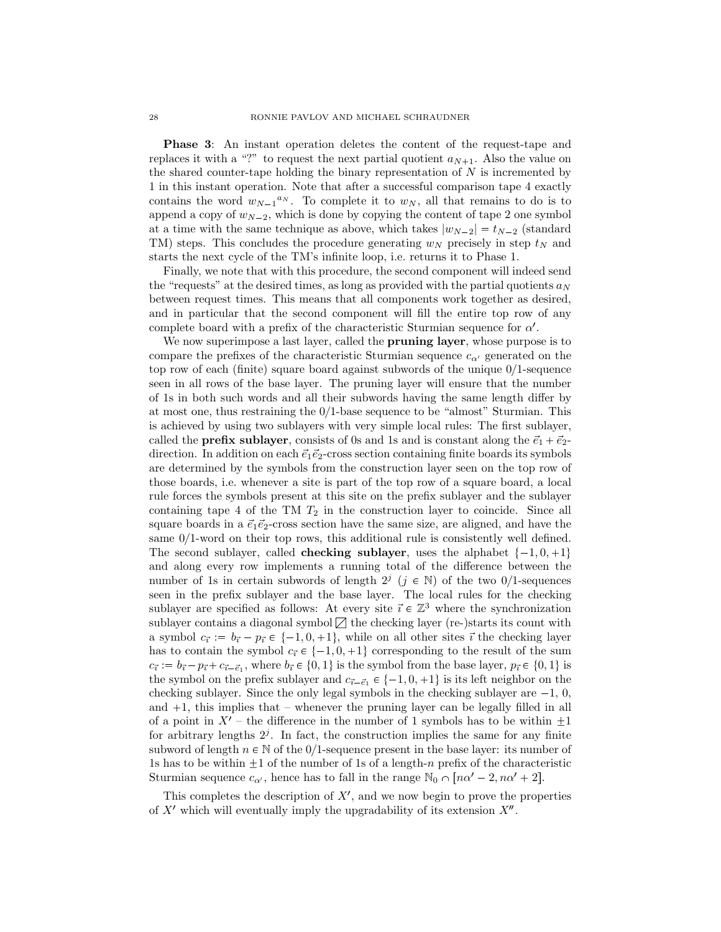**Phase 3:** An instant operation deletes the content of the request-tape and replaces it with a "?" to request the next partial quotient  $a_{N+1}$ . Also the value on the shared counter-tape holding the binary representation of *N* is incremented by 1 in this instant operation. Note that after a successful comparison tape 4 exactly contains the word  $w_{N-1}^{a_N}$ . To complete it to  $w_N$ , all that remains to do is to append a copy of  $w_{N-2}$ , which is done by copying the content of tape 2 one symbol at a time with the same technique as above, which takes  $|w_{N-2}| = t_{N-2}$  (standard TM) steps. This concludes the procedure generating *w<sup>N</sup>* precisely in step *t<sup>N</sup>* and starts the next cycle of the TM's infinite loop, i.e. returns it to Phase 1.

Finally, we note that with this procedure, the second component will indeed send the "requests" at the desired times, as long as provided with the partial quotients  $a_N$ between request times. This means that all components work together as desired, and in particular that the second component will fill the entire top row of any complete board with a prefix of the characteristic Sturmian sequence for *α* 1 .

We now superimpose a last layer, called the **pruning layer**, whose purpose is to compare the prefixes of the characteristic Sturmian sequence  $c_{\alpha'}$  generated on the top row of each (finite) square board against subwords of the unique  $0/1$ -sequence seen in all rows of the base layer. The pruning layer will ensure that the number of 1s in both such words and all their subwords having the same length differ by at most one, thus restraining the  $0/1$ -base sequence to be "almost" Sturmian. This is achieved by using two sublayers with very simple local rules: The first sublayer, called the **prefix sublayer**, consists of 0s and 1s and is constant along the  $\vec{e}_1 + \vec{e}_2$ direction. In addition on each  $\vec{e}_1 \vec{e}_2$ -cross section containing finite boards its symbols are determined by the symbols from the construction layer seen on the top row of those boards, i.e. whenever a site is part of the top row of a square board, a local rule forces the symbols present at this site on the prefix sublayer and the sublayer containing tape 4 of the TM *T*<sup>2</sup> in the construction layer to coincide. Since all square boards in a  $\vec{e}_1 \vec{e}_2$ -cross section have the same size, are aligned, and have the same  $0/1$ -word on their top rows, this additional rule is consistently well defined. The second sublayer, called **checking sublayer**, uses the alphabet  $\{-1, 0, +1\}$ and along every row implements a running total of the difference between the number of 1s in certain subwords of length  $2^j$  ( $j \in \mathbb{N}$ ) of the two 0/1-sequences seen in the prefix sublayer and the base layer. The local rules for the checking sublayer are specified as follows: At every site  $\vec{i} \in \mathbb{Z}^3$  where the synchronization sublayer contains a diagonal symbol  $\nabla$  the checking layer (re-)starts its count with a symbol  $c_{\vec{i}} := b_{\vec{i}} - p_{\vec{i}} \in \{-1, 0, +1\}$ , while on all other sites  $\vec{i}$  the checking layer has to contain the symbol  $c_{\vec{i}} \in \{-1, 0, +1\}$  corresponding to the result of the sum  $c_{\vec{i}} := b_{\vec{i}} - p_{\vec{i}} + c_{\vec{i} - \vec{e}_1}$ , where  $b_{\vec{i}} \in \{0, 1\}$  is the symbol from the base layer,  $p_{\vec{i}} \in \{0, 1\}$  is the symbol on the prefix sublayer and  $c_{\vec{i}-\vec{e}_1} \in \{-1,0,+1\}$  is its left neighbor on the checking sublayer. Since the only legal symbols in the checking sublayer are  $-1, 0$ , and  $+1$ , this implies that – whenever the pruning layer can be legally filled in all of a point in  $X'$  – the difference in the number of 1 symbols has to be within  $\pm 1$ for arbitrary lengths  $2<sup>j</sup>$ . In fact, the construction implies the same for any finite subword of length  $n \in \mathbb{N}$  of the 0/1-sequence present in the base layer: its number of 1s has to be within  $\pm 1$  of the number of 1s of a length-*n* prefix of the characteristic Sturmian sequence  $c_{\alpha'}$ , hence has to fall in the range  $\mathbb{N}_0 \cap [n\alpha'-2, n\alpha'+2]$ .

This completes the description of  $X'$ , and we now begin to prove the properties of  $X'$  which will eventually imply the upgradability of its extension  $X''$ .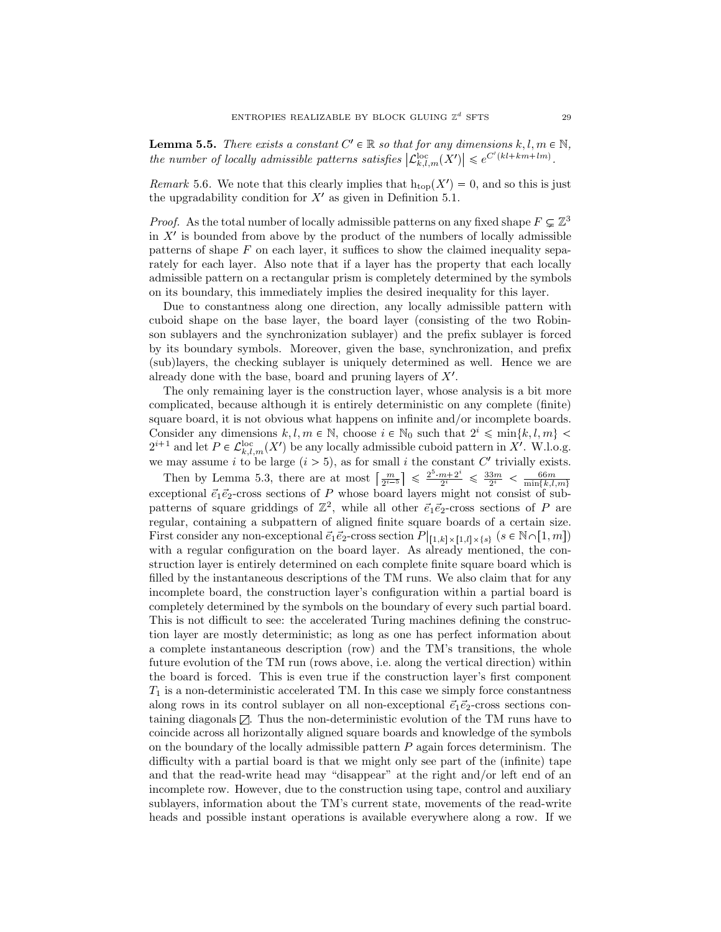**Lemma 5.5.** *There exists a constant*  $C' \in \mathbb{R}$  *so that for any dimensions*  $k, l, m \in \mathbb{N}$ *, the number of locally admissible patterns satisfies*  $|\mathcal{L}_{k,l,m}^{\text{loc}}(X')| \leq e^{C'(kl+km+lm)}$ .

*Remark* 5.6. We note that this clearly implies that  $h_{top}(X') = 0$ , and so this is just the upgradability condition for  $X'$  as given in Definition 5.1.

*Proof.* As the total number of locally admissible patterns on any fixed shape  $F \subsetneq \mathbb{Z}^3$ in  $X'$  is bounded from above by the product of the numbers of locally admissible patterns of shape *F* on each layer, it suffices to show the claimed inequality separately for each layer. Also note that if a layer has the property that each locally admissible pattern on a rectangular prism is completely determined by the symbols on its boundary, this immediately implies the desired inequality for this layer.

Due to constantness along one direction, any locally admissible pattern with cuboid shape on the base layer, the board layer (consisting of the two Robinson sublayers and the synchronization sublayer) and the prefix sublayer is forced by its boundary symbols. Moreover, given the base, synchronization, and prefix (sub)layers, the checking sublayer is uniquely determined as well. Hence we are already done with the base, board and pruning layers of *X*<sup>1</sup> .

The only remaining layer is the construction layer, whose analysis is a bit more complicated, because although it is entirely deterministic on any complete (finite) square board, it is not obvious what happens on infinite and/or incomplete boards. Consider any dimensions  $k, l, m \in \mathbb{N}$ , choose  $i \in \mathbb{N}_0$  such that  $2^i \leq \min\{k, l, m\}$  $2^{i+1}$  and let  $P \in \mathcal{L}_{k,l,m}^{\text{loc}}(X')$  be any locally admissible cuboid pattern in X'. W.l.o.g. we may assume *i* to be large  $(i > 5)$ , as for small *i* the constant  $C'$  trivially exists.

Then by Lemma 5.3, there are at most  $\left\lceil \frac{m}{2^{i-5}} \right\rceil \leq \frac{2^5 \cdot m + 2^i}{2^i}$  $\frac{m+2^i}{2^i} \leq \frac{33m}{2^i} < \frac{66m}{\min\{k,l,m\}}$ exceptional  $\vec{e}_1 \vec{e}_2$ -cross sections of *P* whose board layers might not consist of subpatterns of square griddings of  $\mathbb{Z}^2$ , while all other  $\vec{e}_1 \vec{e}_2$ -cross sections of *P* are regular, containing a subpattern of aligned finite square boards of a certain size. First consider any non-exceptional  $\vec{e}_1 \vec{e}_2$ -cross section  $P|_{[1,k] \times [1,l] \times \{s\}} (s \in \mathbb{N} \cap [1,m])$ with a regular configuration on the board layer. As already mentioned, the construction layer is entirely determined on each complete finite square board which is filled by the instantaneous descriptions of the TM runs. We also claim that for any incomplete board, the construction layer's configuration within a partial board is completely determined by the symbols on the boundary of every such partial board. This is not difficult to see: the accelerated Turing machines defining the construction layer are mostly deterministic; as long as one has perfect information about a complete instantaneous description (row) and the TM's transitions, the whole future evolution of the TM run (rows above, i.e. along the vertical direction) within the board is forced. This is even true if the construction layer's first component *T*<sup>1</sup> is a non-deterministic accelerated TM. In this case we simply force constantness along rows in its control sublayer on all non-exceptional  $\vec{e}_1 \vec{e}_2$ -cross sections containing diagonals  $\mathbb{Z}$ . Thus the non-deterministic evolution of the TM runs have to coincide across all horizontally aligned square boards and knowledge of the symbols on the boundary of the locally admissible pattern *P* again forces determinism. The difficulty with a partial board is that we might only see part of the (infinite) tape and that the read-write head may "disappear" at the right and/or left end of an incomplete row. However, due to the construction using tape, control and auxiliary sublayers, information about the TM's current state, movements of the read-write heads and possible instant operations is available everywhere along a row. If we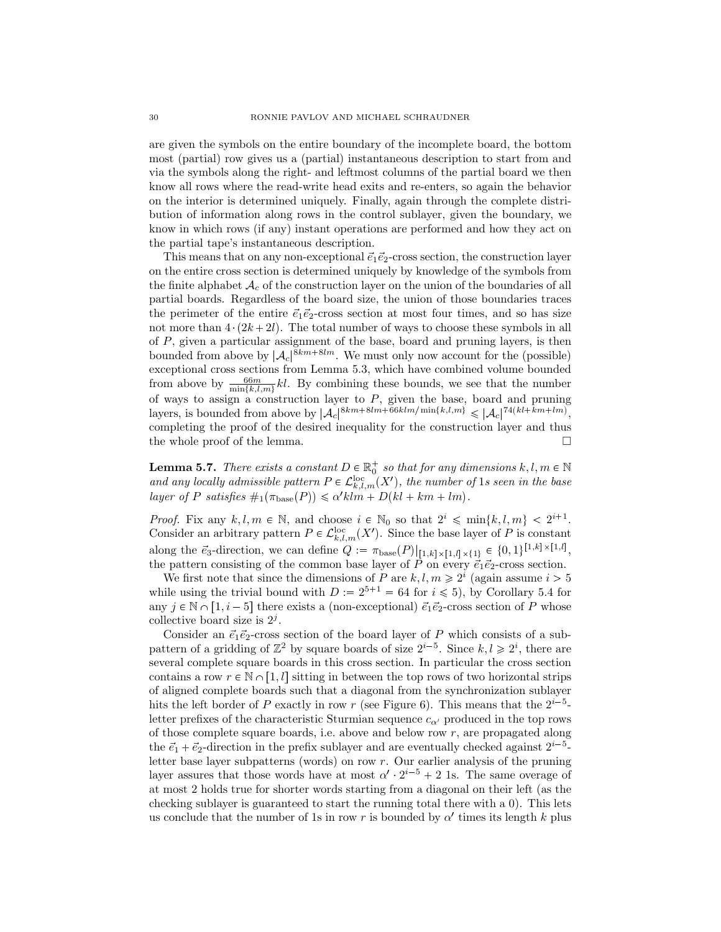are given the symbols on the entire boundary of the incomplete board, the bottom most (partial) row gives us a (partial) instantaneous description to start from and via the symbols along the right- and leftmost columns of the partial board we then know all rows where the read-write head exits and re-enters, so again the behavior on the interior is determined uniquely. Finally, again through the complete distribution of information along rows in the control sublayer, given the boundary, we know in which rows (if any) instant operations are performed and how they act on the partial tape's instantaneous description.

This means that on any non-exceptional  $\vec{e}_1 \vec{e}_2$ -cross section, the construction layer on the entire cross section is determined uniquely by knowledge of the symbols from the finite alphabet  $A_c$  of the construction layer on the union of the boundaries of all partial boards. Regardless of the board size, the union of those boundaries traces the perimeter of the entire  $\vec{e}_1 \vec{e}_2$ -cross section at most four times, and so has size not more than  $4 \cdot (2k+2l)$ . The total number of ways to choose these symbols in all of *P*, given a particular assignment of the base, board and pruning layers, is then bounded from above by  $|\mathcal{A}_c|^{8km+8lm}$ . We must only now account for the (possible) exceptional cross sections from Lemma 5.3, which have combined volume bounded from above by  $\frac{66m}{\min\{k,l,m\}}kl$ . By combining these bounds, we see that the number of ways to assign a construction layer to *P*, given the base, board and pruning layers, is bounded from above by  $|\mathcal{A}_c|^{8km+8lm+66klm/\min\{k,l,m\}} \leq |\mathcal{A}_c|^{74(kl+km+lm)}$ , completing the proof of the desired inequality for the construction layer and thus the whole proof of the lemma.

**Lemma 5.7.** *There exists a constant*  $D \in \mathbb{R}_0^+$  *so that for any dimensions*  $k, l, m \in \mathbb{N}$ *and any locally admissible pattern*  $P \in \mathcal{L}_{k,l,m}^{\text{loc}}(X')$ , the number of 1*s seen in the base*  $layer \ of \ P \ satisfies \#_1(\pi_{base}(P)) \leq \alpha' klm + D(kl + km + lm).$ 

*Proof.* Fix any  $k, l, m \in \mathbb{N}$ , and choose  $i \in \mathbb{N}_0$  so that  $2^i \leq \min\{k, l, m\} < 2^{i+1}$ . Consider an arbitrary pattern  $P \in \mathcal{L}_{k,l,m}^{\text{loc}}(X')$ . Since the base layer of *P* is constant along the  $\vec{e}_3$ -direction, we can define  $Q := \pi_{base}(P)|_{[1,k] \times [1,l] \times \{1\}} \in \{0,1\}^{[1,k] \times [1,l]},$ the pattern consisting of the common base layer of *P* on every  $\vec{e}_1 \vec{e}_2$ -cross section.

We first note that since the dimensions of *P* are  $k, l, m \geq 2^i$  (again assume  $i > 5$ while using the trivial bound with  $D := 2^{5+1} = 64$  for  $i \le 5$ , by Corollary 5.4 for any  $j \in \mathbb{N} \cap [1, i-5]$  there exists a (non-exceptional)  $\vec{e}_1 \vec{e}_2$ -cross section of *P* whose collective board size is 2*<sup>j</sup>* .

Consider an  $\vec{e}_1 \vec{e}_2$ -cross section of the board layer of *P* which consists of a subpattern of a gridding of  $\mathbb{Z}^2$  by square boards of size  $2^{i-5}$ . Since  $k, l \geq 2^i$ , there are several complete square boards in this cross section. In particular the cross section contains a row  $r \in \mathbb{N} \cap [1, l]$  sitting in between the top rows of two horizontal strips of aligned complete boards such that a diagonal from the synchronization sublayer hits the left border of *P* exactly in row *r* (see Figure 6). This means that the  $2^{i-5}$ letter prefixes of the characteristic Sturmian sequence  $c_{\alpha}$  produced in the top rows of those complete square boards, i.e. above and below row *r*, are propagated along the  $\vec{e}_1 + \vec{e}_2$ -direction in the prefix sublayer and are eventually checked against  $2^{i-5}$ letter base layer subpatterns (words) on row *r*. Our earlier analysis of the pruning layer assures that those words have at most  $\alpha' \cdot 2^{i-5} + 2$  1s. The same overage of at most 2 holds true for shorter words starting from a diagonal on their left (as the checking sublayer is guaranteed to start the running total there with a 0). This lets us conclude that the number of 1s in row *r* is bounded by  $\alpha'$  times its length *k* plus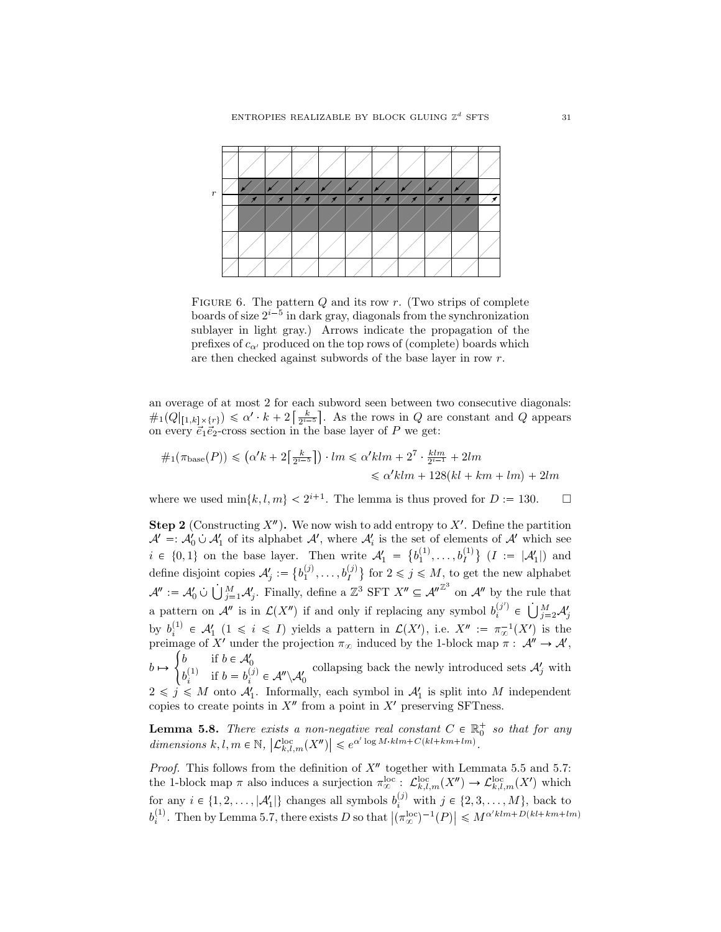

FIGURE 6. The pattern *Q* and its row *r*. (Two strips of complete boards of size  $2^{i-5}$  in dark gray, diagonals from the synchronization sublayer in light gray.) Arrows indicate the propagation of the prefixes of  $c_{\alpha}$  produced on the top rows of (complete) boards which are then checked against subwords of the base layer in row *r*.

an overage of at most 2 for each subword seen between two consecutive diagonals:  $\#_1(Q|_{[1,k]\times\{r\}}) \leq \alpha' \cdot k + 2\left[\frac{k}{2^{i-5}}\right]$ . As the rows in *Q* are constant and *Q* appears on every  $\vec{e}_1 \vec{e}_2$ -cross section in the base layer of *P* we get:

$$
\#_1(\pi_{\text{base}}(P)) \leq (\alpha' k + 2\lceil \frac{k}{2^{i-5}} \rceil) \cdot lm \leq \alpha' klm + 2^7 \cdot \frac{klm}{2^{i-1}} + 2lm
$$
  

$$
\leq \alpha' klm + 128(kl + km + lm) + 2lm
$$

where we used  $\min\{k, l, m\} < 2^{i+1}$ . The lemma is thus proved for  $D := 130$ .  $\Box$ 

**Step 2** (Constructing  $X''$ ). We now wish to add entropy to  $X'$ . Define the partition  $A' =: A'_0 \cup A'_1$  of its alphabet  $A'$ , where  $A'_i$  is the set of elements of  $A'$  which see  $i \in \{0,1\}$  on the base layer. Then write  $\mathcal{A}'_1 = \{b_1^{(1)},...,b_I^{(1)}\}$   $(I := |\mathcal{A}'_1|)$  and define disjoint copies  $\mathcal{A}'_j := \{b_1^{(j)}, \ldots, b_I^{(j)}\}$  for  $2 \leq j \leq M$ , to get the new alphabet  $\mathcal{A}'' := \mathcal{A}'_0 \cup \bigcup_{j=1}^M \mathcal{A}'_j$ . Finally, define a  $\mathbb{Z}^3$  SFT  $X'' \subseteq \mathcal{A}''^{\mathbb{Z}^3}$  on  $\mathcal{A}''$  by the rule that a pattern on  $\mathcal{A}''$  is in  $\mathcal{L}(X'')$  if and only if replacing any symbol  $b_i^{(j')} \in \bigcup_{j=2}^M \mathcal{A}'_j$ by  $b_i^{(1)} \in \mathcal{A}'_1 \ (1 \leq i \leq I)$  yields a pattern in  $\mathcal{L}(X')$ , i.e.  $X'' := \pi_{\infty}^{-1}(X')$  is the preimage of *X*<sup>1</sup> under the projection  $\pi_{\infty}$  induced by the 1-block map  $\pi$  :  $\mathcal{A}^{\prime\prime} \to \mathcal{A}^{\prime}$ ,  $b \mapsto$  $\int b$  if  $b \in A_0'$  $b_i^{(1)}$  if  $b = b_i^{(j)} \in \mathcal{A}'' \backslash \mathcal{A}_0'$  collapsing back the newly introduced sets  $\mathcal{A}'_j$  with  $2 \leq j \leq M$  onto  $\mathcal{A}'_1$ . Informally, each symbol in  $\mathcal{A}'_1$  is split into M independent copies to create points in  $X''$  from a point in  $X'$  preserving SFTness.

**Lemma 5.8.** *There exists a non-negative real constant*  $C \in \mathbb{R}^+_0$  *so that for any*  $dimensions k, l, m \in \mathbb{N}, \left| \mathcal{L}_{k,l,m}^{\text{loc}}(X'') \right| \leqslant e^{\alpha' \log M \cdot klm + C(kl+km+lm)}.$ 

*Proof.* This follows from the definition of  $X''$  together with Lemmata 5.5 and 5.7: the 1-block map  $\pi$  also induces a surjection  $\pi_{\infty}^{\text{loc}}$ :  $\mathcal{L}_{k,l,m}^{\text{loc}}(X'') \to \mathcal{L}_{k,l,m}^{\text{loc}}(X')$  which for any  $i \in \{1, 2, \ldots, |\mathcal{A}'_1|\}$  changes all symbols  $b_i^{(j)}$  with  $j \in \{2, 3, \ldots, M\}$ , back to  $b_i^{(1)}$ . Then by Lemma 5.7, there exists *D* so that  $|(\pi_{\infty}^{\text{loc}})^{-1}(P)| \leq M^{\alpha' k l m + D(k l + k m + l m)}$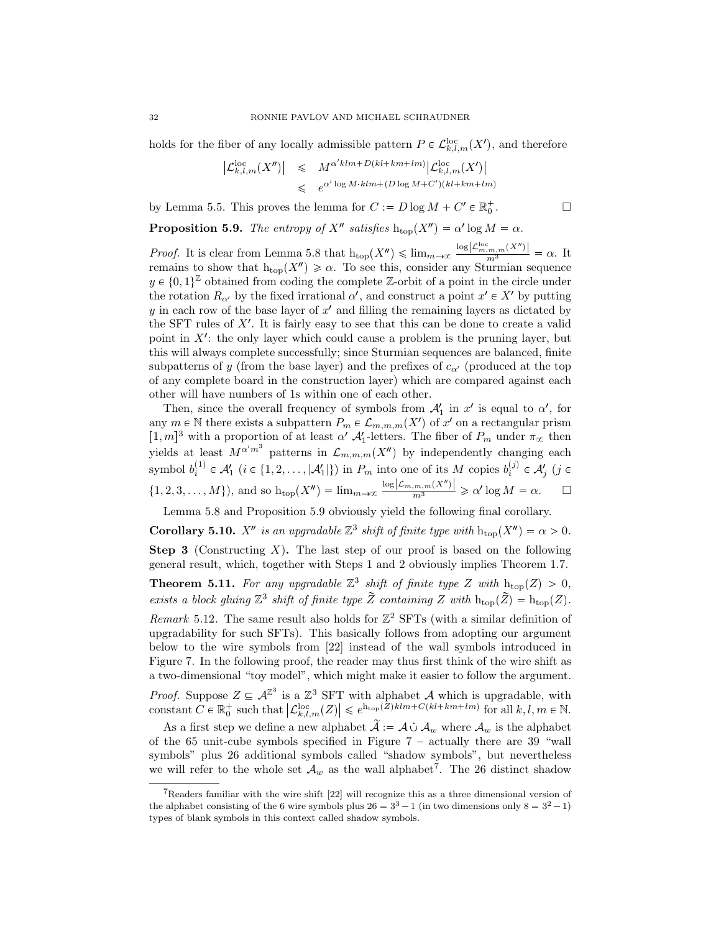holds for the fiber of any locally admissible pattern  $P \in \mathcal{L}_{k,l,m}^{\text{loc}}(X')$ , and therefore

$$
\begin{array}{rcl} \left| \mathcal{L}^{\rm loc}_{k,l,m}(X'') \right| & \leqslant & M^{\alpha' klm+D(kl+km+lm)} \left| \mathcal{L}^{\rm loc}_{k,l,m}(X') \right| \\ & \leqslant & e^{\alpha' \log M \cdot klm + (D \log M + C') (kl+km+lm)} \end{array}
$$

 $\Box$ 

by Lemma 5.5. This proves the lemma for  $C := D \log M + C' \in \mathbb{R}_0^+$ 

**Proposition 5.9.** *The entropy of*  $X''$  *satisfies*  $h_{top}(X'') = \alpha' \log M = \alpha$ *.* 

*Proof.* It is clear from Lemma 5.8 that  $h_{top}(X'') \leq \lim_{m \to \infty} \frac{\log |\mathcal{L}_{m,m,m}^{loc}(X'')|}{m^3} = \alpha$ . It remains to show that  $h_{top}(X'') \ge \alpha$ . To see this, consider any Sturmian sequence  $y \in \{0,1\}^{\mathbb{Z}}$  obtained from coding the complete  $\mathbb{Z}$ -orbit of a point in the circle under the rotation  $R_{\alpha}$  by the fixed irrational  $\alpha'$ , and construct a point  $x' \in X'$  by putting *y* in each row of the base layer of  $x'$  and filling the remaining layers as dictated by the SFT rules of  $X'$ . It is fairly easy to see that this can be done to create a valid point in  $X'$ : the only layer which could cause a problem is the pruning layer, but this will always complete successfully; since Sturmian sequences are balanced, finite subpatterns of *y* (from the base layer) and the prefixes of  $c_{\alpha}$  (produced at the top of any complete board in the construction layer) which are compared against each other will have numbers of 1s within one of each other.

Then, since the overall frequency of symbols from  $A'_1$  in  $x'$  is equal to  $\alpha'$ , for any  $m \in \mathbb{N}$  there exists a subpattern  $P_m \in \mathcal{L}_{m,m,m}(X')$  of  $x'$  on a rectangular prism  $[1, m]^3$  with a proportion of at least *α'*  $\mathcal{A}'_1$ -letters. The fiber of  $P_m$  under  $\pi_\infty$  then yields at least  $M^{\alpha'm^3}$  patterns in  $\mathcal{L}_{m,m,m}(X'')$  by independently changing each symbol  $b_i^{(1)} \in \mathcal{A}'_1$  ( $i \in \{1, 2, \ldots, |\mathcal{A}'_1|\}$ ) in  $P_m$  into one of its  $M$  copies  $b_i^{(j)} \in \mathcal{A}'_j$  ( $j \in$  $\{1, 2, 3, \ldots, M\}$ , and so  $h_{top}(X'') = \lim_{m \to \infty} \frac{\log |\mathcal{L}_{m,m,m}(X'')|}{m^3} \geq \alpha' \log M = \alpha.$   $\Box$ 

Lemma 5.8 and Proposition 5.9 obviously yield the following final corollary.

**Corollary 5.10.** *X<sup>n</sup>* is an upgradable  $\mathbb{Z}^3$  shift of finite type with  $h_{top}(X'') = \alpha > 0$ .

**Step 3** (Constructing *X*)**.** The last step of our proof is based on the following general result, which, together with Steps 1 and 2 obviously implies Theorem 1.7.

**Theorem 5.11.** For any upgradable  $\mathbb{Z}^3$  shift of finite type Z with  $h_{top}(Z) > 0$ , *exists a block gluing*  $\mathbb{Z}^3$  *shift of finite type*  $\widetilde{Z}$  *containing*  $Z$  *with*  $h_{top}(\widetilde{Z}) = h_{top}(Z)$ *.* 

*Remark* 5.12. The same result also holds for  $\mathbb{Z}^2$  SFTs (with a similar definition of upgradability for such SFTs). This basically follows from adopting our argument below to the wire symbols from [22] instead of the wall symbols introduced in Figure 7. In the following proof, the reader may thus first think of the wire shift as a two-dimensional "toy model", which might make it easier to follow the argument.

*Proof.* Suppose  $Z \subseteq \mathcal{A}^{\mathbb{Z}^3}$  is a  $\mathbb{Z}^3$  SFT with alphabet  $\mathcal{A}$  which is upgradable, with constant  $C \in \mathbb{R}_0^+$  such that  $\left| \mathcal{L}_{k,l,m}^{\text{loc}}(Z) \right| \leqslant e^{\text{h}_{\text{top}}(Z)klm + C(kl + km + lm)}$  for all  $k, l, m \in \mathbb{N}$ .

As a first step we define a new alphabet  $\tilde{A} := A \cup A_w$  where  $A_w$  is the alphabet of the 65 unit-cube symbols specified in Figure 7 – actually there are 39 "wall symbols" plus 26 additional symbols called "shadow symbols", but nevertheless we will refer to the whole set  $\mathcal{A}_w$  as the wall alphabet<sup>7</sup>. The 26 distinct shadow

<sup>7</sup>Readers familiar with the wire shift [22] will recognize this as a three dimensional version of the alphabet consisting of the 6 wire symbols plus  $26 = 3^3 - 1$  (in two dimensions only  $8 = 3^2 - 1$ ) types of blank symbols in this context called shadow symbols.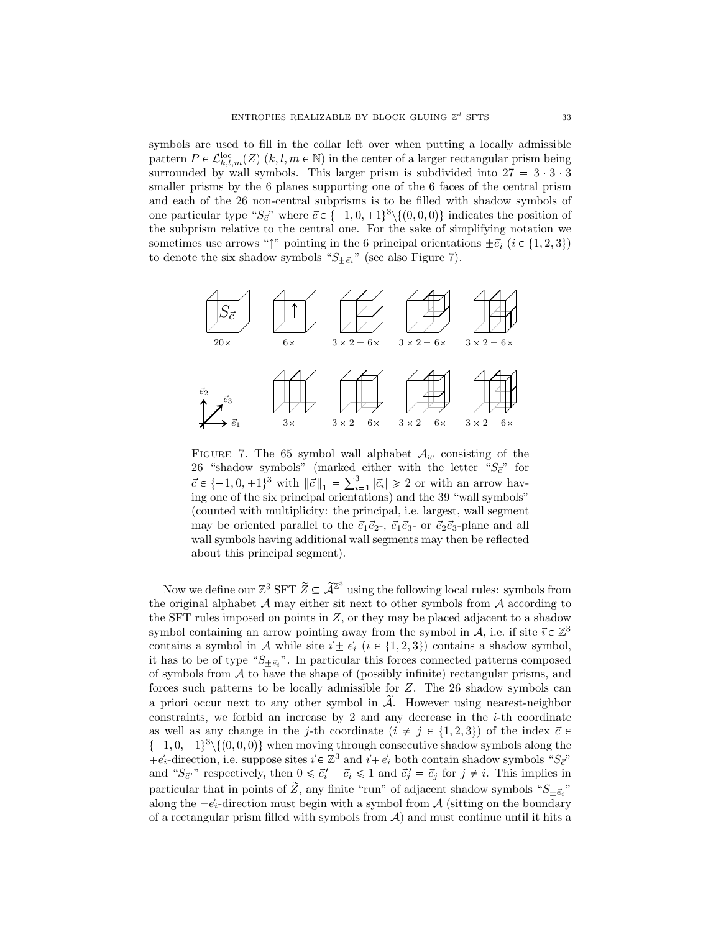symbols are used to fill in the collar left over when putting a locally admissible pattern  $P \in \mathcal{L}_{k,l,m}^{\text{loc}}(Z)$  (*k, l, m*  $\in \mathbb{N}$ ) in the center of a larger rectangular prism being surrounded by wall symbols. This larger prism is subdivided into  $27 = 3 \cdot 3 \cdot 3$ smaller prisms by the 6 planes supporting one of the 6 faces of the central prism and each of the 26 non-central subprisms is to be filled with shadow symbols of one particular type " $S_{\vec{c}}$ " where  $\vec{c} \in \{-1, 0, +1\}^3 \setminus \{(0, 0, 0)\}$  indicates the position of the subprism relative to the central one. For the sake of simplifying notation we sometimes use arrows " $\uparrow$ " pointing in the 6 principal orientations  $\pm \vec{e}_i$  ( $i \in \{1, 2, 3\}$ ) to denote the six shadow symbols " $S_{\pm \vec{e}_i}$ " (see also Figure 7).



FIGURE 7. The 65 symbol wall alphabet  $A_w$  consisting of the 26 "shadow symbols" (marked either with the letter  $"S_{\vec{c}}$ " for  $\vec{c} \in \{-1, 0, +1\}^3$  with  $\|\vec{c}\|_1 = \sum_{i=1}^3 |\vec{c}_i| \ge 2$  or with an arrow having one of the six principal orientations) and the 39 "wall symbols" (counted with multiplicity: the principal, i.e. largest, wall segment may be oriented parallel to the  $\vec{e}_1 \vec{e}_2$ -,  $\vec{e}_1 \vec{e}_3$ - or  $\vec{e}_2 \vec{e}_3$ -plane and all wall symbols having additional wall segments may then be reflected about this principal segment).

Now we define our  $\mathbb{Z}^3$  SFT  $\widetilde{Z} \subseteq \widetilde{\mathcal{A}}^{\mathbb{Z}^3}$  using the following local rules: symbols from the original alphabet *A* may either sit next to other symbols from *A* according to the SFT rules imposed on points in *Z*, or they may be placed adjacent to a shadow symbol containing an arrow pointing away from the symbol in *A*, i.e. if site  $\vec{i} \in \mathbb{Z}^3$ contains a symbol in *A* while site  $\vec{i} \pm \vec{e}_i$  ( $i \in \{1, 2, 3\}$ ) contains a shadow symbol, it has to be of type " $S_{\pm \vec{e}_i}$ ". In particular this forces connected patterns composed of symbols from *A* to have the shape of (possibly infinite) rectangular prisms, and forces such patterns to be locally admissible for *Z*. The 26 shadow symbols can a priori occur next to any other symbol in  $\tilde{A}$ . However using nearest-neighbor constraints, we forbid an increase by 2 and any decrease in the  $i$ -th coordinate as well as any change in the *j*-th coordinate  $(i \neq j \in \{1,2,3\})$  of the index  $\vec{c} \in$  $\{-1, 0, +1\}^3 \setminus \{(0, 0, 0)\}$  when moving through consecutive shadow symbols along the  $+\vec{e}_i$ -direction, i.e. suppose sites  $\vec{i} \in \mathbb{Z}^3$  and  $\vec{i} + \vec{e}_i$  both contain shadow symbols " $S_{\vec{c}}$ " and " $S_{\vec{c}}$ " respectively, then  $0 \leq \vec{c}'_i - \vec{c}_i \leq 1$  and  $\vec{c}'_j = \vec{c}_j$  for  $j \neq i$ . This implies in particular that in points of *Z*, any finite "run" of adjacent shadow symbols " $S_{\pm \vec{e}_i}$ " along the  $\pm \vec{e}_i$ -direction must begin with a symbol from *A* (sitting on the boundary of a rectangular prism filled with symbols from *A*) and must continue until it hits a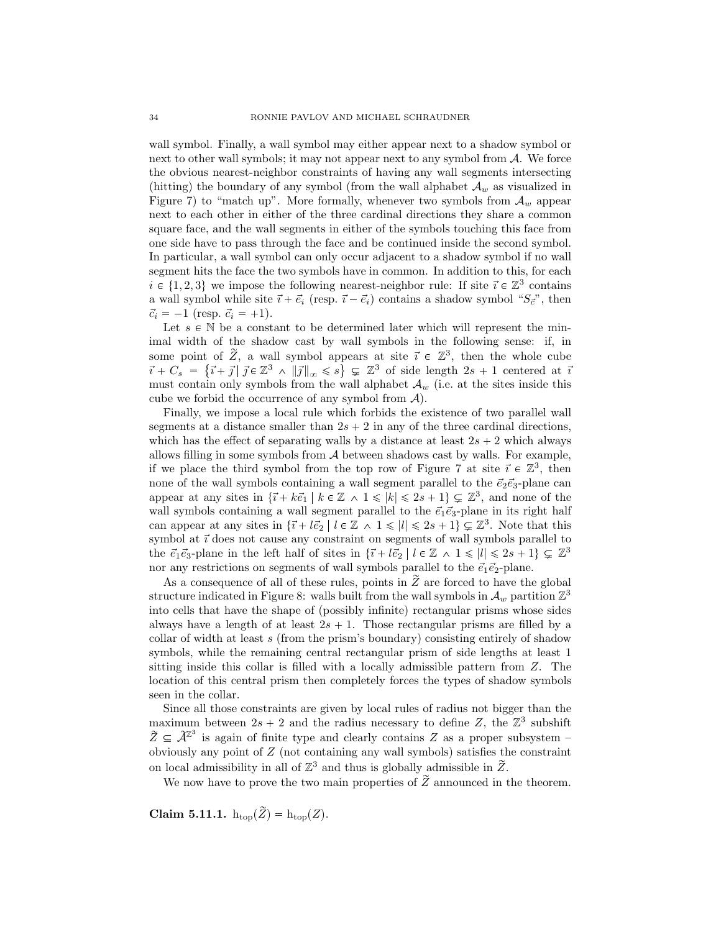wall symbol. Finally, a wall symbol may either appear next to a shadow symbol or next to other wall symbols; it may not appear next to any symbol from *A*. We force the obvious nearest-neighbor constraints of having any wall segments intersecting (hitting) the boundary of any symbol (from the wall alphabet *A<sup>w</sup>* as visualized in Figure 7) to "match up". More formally, whenever two symbols from  $A_w$  appear next to each other in either of the three cardinal directions they share a common square face, and the wall segments in either of the symbols touching this face from one side have to pass through the face and be continued inside the second symbol. In particular, a wall symbol can only occur adjacent to a shadow symbol if no wall segment hits the face the two symbols have in common. In addition to this, for each  $i \in \{1, 2, 3\}$  we impose the following nearest-neighbor rule: If site  $\vec{i} \in \mathbb{Z}^3$  contains a wall symbol while site  $\vec{i} + \vec{e}_i$  (resp.  $\vec{i} - \vec{e}_i$ ) contains a shadow symbol " $S_{\vec{c}}$ ", then  $\vec{c}_i = -1$  (resp.  $\vec{c}_i = +1$ ).

Let  $s \in \mathbb{N}$  be a constant to be determined later which will represent the minimal width of the shadow cast by wall symbols in the following sense: if, in some point of  $\tilde{Z}$ , a wall symbol appears at site  $\vec{i} \in \mathbb{Z}^3$ , then the whole cube  $\vec{i} + C_s = \{\vec{i} + \vec{j} | \ \vec{j} \in \mathbb{Z}^3 \ \wedge \ ||\vec{j}||_{\infty} \leqslant s\} \subsetneq \mathbb{Z}^3$  of side length  $2s + 1$  centered at  $\vec{i}$ must contain only symbols from the wall alphabet  $A_w$  (i.e. at the sites inside this cube we forbid the occurrence of any symbol from *A*).

Finally, we impose a local rule which forbids the existence of two parallel wall segments at a distance smaller than  $2s + 2$  in any of the three cardinal directions, which has the effect of separating walls by a distance at least  $2s + 2$  which always allows filling in some symbols from *A* between shadows cast by walls. For example, if we place the third symbol from the top row of Figure 7 at site  $\vec{i} \in \mathbb{Z}^3$ , then none of the wall symbols containing a wall segment parallel to the  $\vec{e}_2 \vec{e}_3$ -plane can appear at any sites in  $\{\vec{i} + k\vec{e}_1 \mid k \in \mathbb{Z} \land 1 \leqslant |k| \leqslant 2s + 1\} \subsetneq \mathbb{Z}^3$ , and none of the wall symbols containing a wall segment parallel to the  $\vec{e}_1 \vec{e}_3$ -plane in its right half can appear at any sites in  $\{\vec{i} + l\vec{e}_2 \mid l \in \mathbb{Z} \land 1 \leq l \leq 2s + 1\} \subsetneq \mathbb{Z}^3$ . Note that this symbol at  $\vec{i}$  does not cause any constraint on segments of wall symbols parallel to the  $\vec{e}_1 \vec{e}_3$ -plane in the left half of sites in  $\{\vec{i} + \vec{e}_2 \mid l \in \mathbb{Z} \land 1 \leq |l| \leq 2s + 1\} \subsetneq \mathbb{Z}^3$ nor any restrictions on segments of wall symbols parallel to the  $\vec{e}_1 \vec{e}_2$ -plane.

As a consequence of all of these rules, points in  $\tilde{Z}$  are forced to have the global structure indicated in Figure 8: walls built from the wall symbols in  $\mathcal{A}_w$  partition  $\mathbb{Z}^3$ into cells that have the shape of (possibly infinite) rectangular prisms whose sides always have a length of at least  $2s + 1$ . Those rectangular prisms are filled by a collar of width at least *s* (from the prism's boundary) consisting entirely of shadow symbols, while the remaining central rectangular prism of side lengths at least 1 sitting inside this collar is filled with a locally admissible pattern from *Z*. The location of this central prism then completely forces the types of shadow symbols seen in the collar.

Since all those constraints are given by local rules of radius not bigger than the maximum between  $2s + 2$  and the radius necessary to define Z, the  $\mathbb{Z}^3$  subshift  $\widetilde{Z} \subseteq \widetilde{\mathcal{A}}^{\mathbb{Z}^3}$  is again of finite type and clearly contains *Z* as a proper subsystem – obviously any point of *Z* (not containing any wall symbols) satisfies the constraint on local admissibility in all of  $\mathbb{Z}^3$  and thus is globally admissible in  $\widetilde{Z}$ .

We now have to prove the two main properties of  $\tilde{Z}$  announced in the theorem.

**Claim 5.11.1.**  $h_{top}(\tilde{Z}) = h_{top}(Z)$ .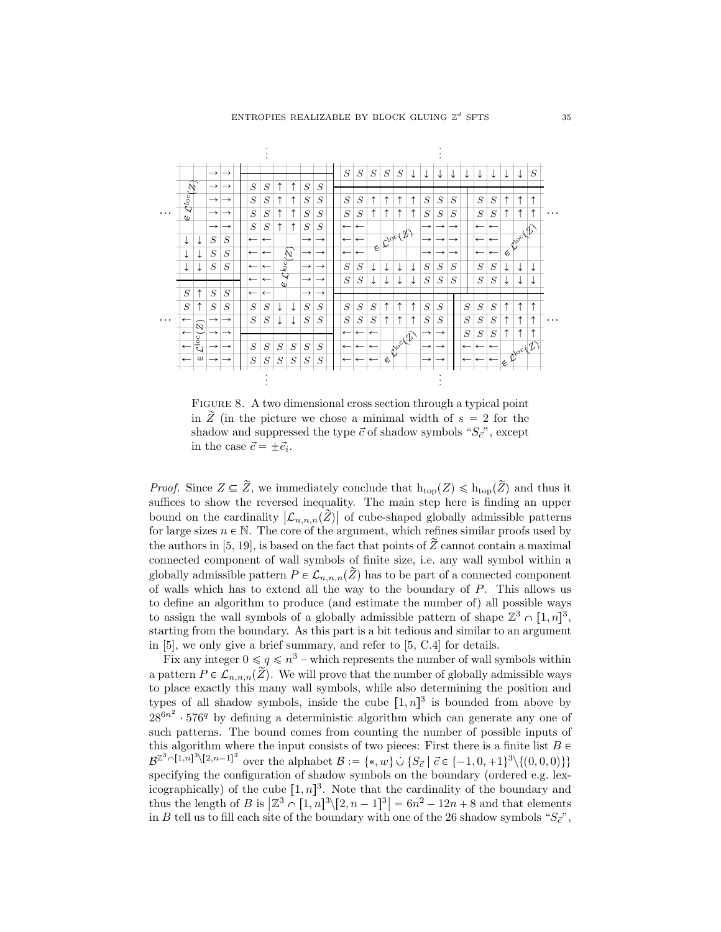

FIGURE 8. A two dimensional cross section through a typical point in  $\overline{Z}$  (in the picture we chose a minimal width of  $s = 2$  for the shadow and suppressed the type  $\vec{c}$  of shadow symbols " $S_{\vec{c}}$ ", except in the case  $\vec{c} = \pm \vec{e}_i$ .

*Proof.* Since  $Z \subseteq \tilde{Z}$ , we immediately conclude that  $h_{\text{top}}(Z) \leq h_{\text{top}}(\tilde{Z})$  and thus it suffices to show the reversed inequality. The main step here is finding an upper bound on the cardinality  $|\mathcal{L}_{n,n,n}(\tilde{Z})|$  of cube-shaped globally admissible patterns for large sizes  $n \in \mathbb{N}$ . The core of the argument, which refines similar proofs used by the authors in [5, 19], is based on the fact that points of  $\tilde{Z}$  cannot contain a maximal connected component of wall symbols of finite size, i.e. any wall symbol within a globally admissible pattern  $P \in \mathcal{L}_{n,n,n}(\mathbb{Z})$  has to be part of a connected component of walls which has to extend all the way to the boundary of *P*. This allows us to define an algorithm to produce (and estimate the number of) all possible ways to assign the wall symbols of a globally admissible pattern of shape  $\mathbb{Z}^3 \cap [1,n]^3$ , starting from the boundary. As this part is a bit tedious and similar to an argument in [5], we only give a brief summary, and refer to [5, C.4] for details.

Fix any integer  $0 \le q \le n^3$  – which represents the number of wall symbols within a pattern  $P \in \mathcal{L}_{n,n,n}(\mathbb{Z})$ . We will prove that the number of globally admissible ways to place exactly this many wall symbols, while also determining the position and types of all shadow symbols, inside the cube  $[1, n]^3$  is bounded from above by  $28^{6n^2}$  576<sup>q</sup> by defining a deterministic algorithm which can generate any one of such patterns. The bound comes from counting the number of possible inputs of this algorithm where the input consists of two pieces: First there is a finite list  $B \in$  $\mathcal{B}^{\mathbb{Z}^3 \cap [1,n]^3 \setminus [2,n-1]^3}$  over the alphabet  $\mathcal{B} := \{*, w\} \cup \{S_{\vec{c}} \mid \vec{c} \in \{-1,0,+1\}^3 \setminus \{(0,0,0)\}\}\$ specifying the configuration of shadow symbols on the boundary (ordered e.g. lexicographically) of the cube  $[1, n]^3$ . Note that the cardinality of the boundary and thus the length of *B* is  $|\mathbb{Z}^3 \cap [1, n]^3 \setminus [2, n-1]^3| = 6n^2 - 12n + 8$  and that elements in *B* tell us to fill each site of the boundary with one of the 26 shadow symbols " $S_{\vec{c}}$ ",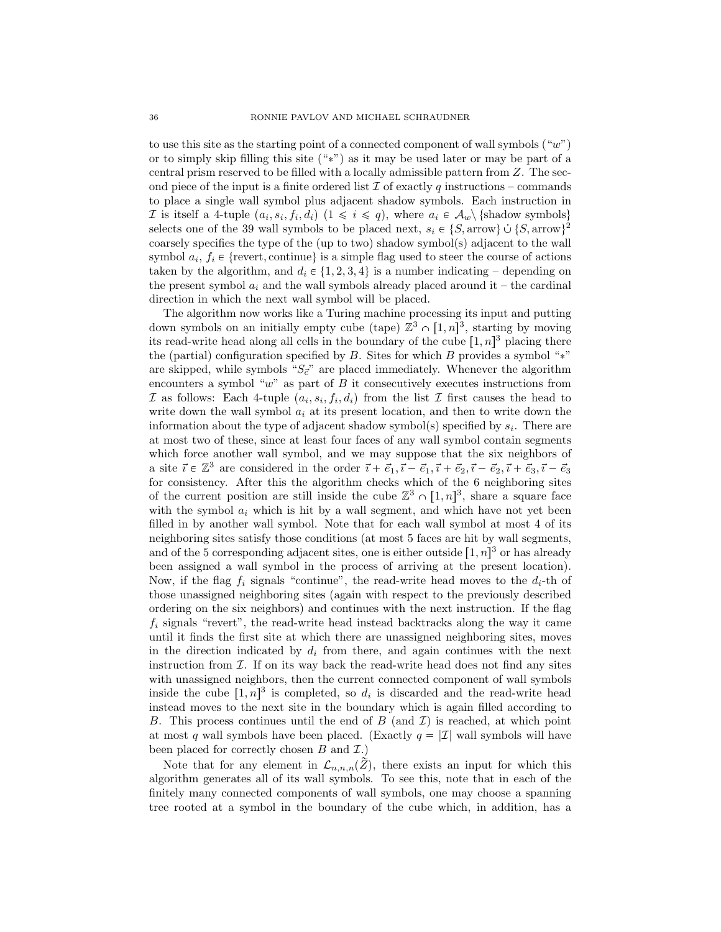to use this site as the starting point of a connected component of wall symbols ("*w*") or to simply skip filling this site  $(*")$  as it may be used later or may be part of a central prism reserved to be filled with a locally admissible pattern from *Z*. The second piece of the input is a finite ordered list  $\mathcal I$  of exactly  $q$  instructions – commands to place a single wall symbol plus adjacent shadow symbols. Each instruction in *I* is itself a 4-tuple  $(a_i, s_i, f_i, d_i)$   $(1 \leq i \leq q)$ , where  $a_i \in A_w \setminus \{\text{shadow symbols}\}\$ selects one of the 39 wall symbols to be placed next,  $s_i \in \{S, \text{arrow}\} \cup \{S, \text{arrow}\}^2$ coarsely specifies the type of the (up to two) shadow symbol(s) adjacent to the wall symbol  $a_i, f_i \in \{$ revert, continue $\}$  is a simple flag used to steer the course of actions taken by the algorithm, and  $d_i \in \{1, 2, 3, 4\}$  is a number indicating – depending on the present symbol  $a_i$  and the wall symbols already placed around it – the cardinal direction in which the next wall symbol will be placed.

The algorithm now works like a Turing machine processing its input and putting down symbols on an initially empty cube (tape)  $\mathbb{Z}^3 \cap [1,n]^3$ , starting by moving its read-write head along all cells in the boundary of the cube  $[1, n]^3$  placing there the (partial) configuration specified by  $B$ . Sites for which  $B$  provides a symbol "\*" are skipped, while symbols " $S_{\vec{c}}$ " are placed immediately. Whenever the algorithm encounters a symbol "w" as part of *B* it consecutively executes instructions from *I* as follows: Each 4-tuple  $(a_i, s_i, f_i, d_i)$  from the list *I* first causes the head to write down the wall symbol *a<sup>i</sup>* at its present location, and then to write down the information about the type of adjacent shadow symbol(s) specified by *s<sup>i</sup>* . There are at most two of these, since at least four faces of any wall symbol contain segments which force another wall symbol, and we may suppose that the six neighbors of a site  $\vec{i} \in \mathbb{Z}^3$  are considered in the order  $\vec{i} + \vec{e}_1, \vec{i} - \vec{e}_1, \vec{i} + \vec{e}_2, \vec{i} - \vec{e}_2, \vec{i} + \vec{e}_3, \vec{i} - \vec{e}_3$ for consistency. After this the algorithm checks which of the 6 neighboring sites of the current position are still inside the cube  $\mathbb{Z}^3 \cap [1,n]^3$ , share a square face with the symbol  $a_i$  which is hit by a wall segment, and which have not yet been filled in by another wall symbol. Note that for each wall symbol at most 4 of its neighboring sites satisfy those conditions (at most 5 faces are hit by wall segments, and of the 5 corresponding adjacent sites, one is either outside  $[1, n]^3$  or has already been assigned a wall symbol in the process of arriving at the present location). Now, if the flag  $f_i$  signals "continue", the read-write head moves to the  $d_i$ -th of those unassigned neighboring sites (again with respect to the previously described ordering on the six neighbors) and continues with the next instruction. If the flag *f<sup>i</sup>* signals "revert", the read-write head instead backtracks along the way it came until it finds the first site at which there are unassigned neighboring sites, moves in the direction indicated by  $d_i$  from there, and again continues with the next instruction from *I*. If on its way back the read-write head does not find any sites with unassigned neighbors, then the current connected component of wall symbols inside the cube  $[1, n]^3$  is completed, so  $d_i$  is discarded and the read-write head instead moves to the next site in the boundary which is again filled according to *B*. This process continues until the end of *B* (and *I*) is reached, at which point at most *q* wall symbols have been placed. (Exactly  $q = |\mathcal{I}|$  wall symbols will have been placed for correctly chosen *B* and *I*.)

Note that for any element in  $\mathcal{L}_{n,n,n}(Z)$ , there exists an input for which this algorithm generates all of its wall symbols. To see this, note that in each of the finitely many connected components of wall symbols, one may choose a spanning tree rooted at a symbol in the boundary of the cube which, in addition, has a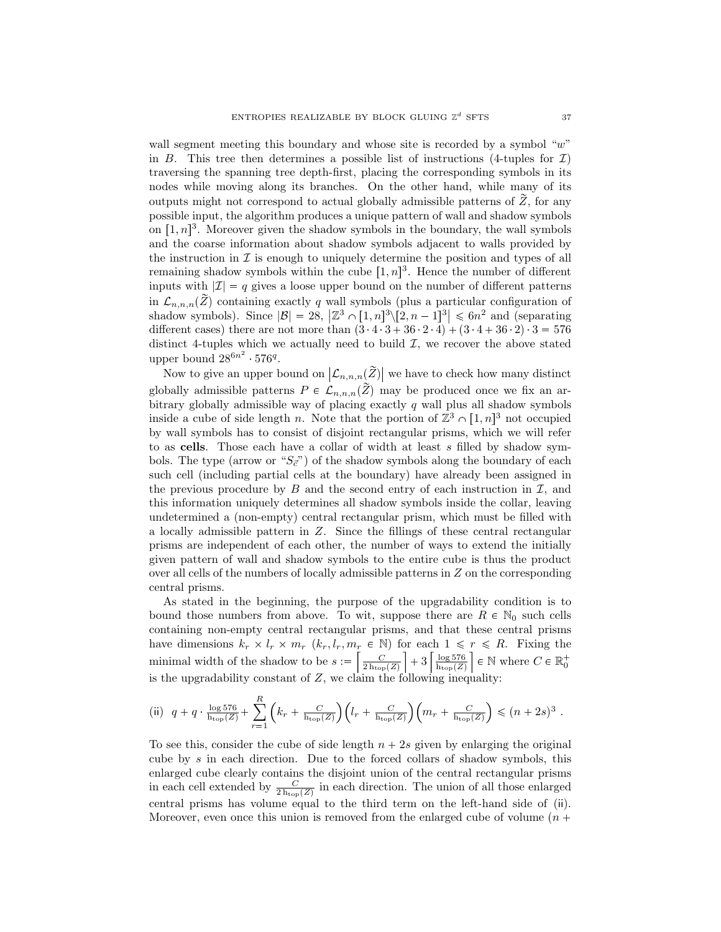wall segment meeting this boundary and whose site is recorded by a symbol "*w*" in *B*. This tree then determines a possible list of instructions (4-tuples for  $\mathcal{I}$ ) traversing the spanning tree depth-first, placing the corresponding symbols in its nodes while moving along its branches. On the other hand, while many of its outputs might not correspond to actual globally admissible patterns of  $\tilde{Z}$ , for any possible input, the algorithm produces a unique pattern of wall and shadow symbols on  $[1, n]^3$ . Moreover given the shadow symbols in the boundary, the wall symbols and the coarse information about shadow symbols adjacent to walls provided by the instruction in  $\mathcal I$  is enough to uniquely determine the position and types of all remaining shadow symbols within the cube  $[1, n]^3$ . Hence the number of different inputs with  $|\mathcal{I}| = q$  gives a loose upper bound on the number of different patterns in  $\mathcal{L}_{n,n,n}(\tilde{Z})$  containing exactly *q* wall symbols (plus a particular configuration of shadow symbols). Since  $|\mathcal{B}| = 28$ ,  $|\mathbb{Z}^3 \cap [1, n]^3 \setminus [2, n-1]^3| \leq 6n^2$  and (separating different cases) there are not more than  $(3 \t4 \t3 + 36 \t2 \t4) + (3 \t4 + 36 \t2) \t3 = 576$ distinct 4-tuples which we actually need to build  $I$ , we recover the above stated upper bound  $28^{6n^2}$  576<sup>q</sup>.

Now to give an upper bound on  $\left|\mathcal{L}_{n,n,n}(\tilde{Z})\right|$  we have to check how many distinct globally admissible patterns  $P \in \mathcal{L}_{n,n,n}(\tilde{Z})$  may be produced once we fix an arbitrary globally admissible way of placing exactly *q* wall plus all shadow symbols inside a cube of side length *n*. Note that the portion of  $\mathbb{Z}^3 \cap [1, n]^3$  not occupied by wall symbols has to consist of disjoint rectangular prisms, which we will refer to as **cells**. Those each have a collar of width at least *s* filled by shadow symbols. The type (arrow or " $S_{\vec{c}}$ ") of the shadow symbols along the boundary of each such cell (including partial cells at the boundary) have already been assigned in the previous procedure by  $B$  and the second entry of each instruction in  $I$ , and this information uniquely determines all shadow symbols inside the collar, leaving undetermined a (non-empty) central rectangular prism, which must be filled with a locally admissible pattern in *Z*. Since the fillings of these central rectangular prisms are independent of each other, the number of ways to extend the initially given pattern of wall and shadow symbols to the entire cube is thus the product over all cells of the numbers of locally admissible patterns in *Z* on the corresponding central prisms.

As stated in the beginning, the purpose of the upgradability condition is to bound those numbers from above. To wit, suppose there are  $R \in \mathbb{N}_0$  such cells containing non-empty central rectangular prisms, and that these central prisms have dimensions  $k_r \times l_r \times m_r$  ( $k_r, l_r, m_r \in \mathbb{N}$ ) for each  $1 \leq r \leq R$ . Fixing the minimal width of the shadow to be  $s := \left[\frac{C}{2 \ln_{\text{top}}(Z)}\right]$  $\left. + \, 3 \, \right\lceil \frac{\log 576}{\mathrm{h_{top}}(Z)} \right.$  $\Big] \in \mathbb{N}$  where  $C \in \mathbb{R}_0^+$ is the upgradability constant of  $Z$ , we claim the following inequality:

(ii) 
$$
q + q \cdot \frac{\log 576}{\mathrm{h_{top}(Z)}} + \sum_{r=1}^{R} \left( k_r + \frac{C}{\mathrm{h_{top}(Z)}} \right) \left( l_r + \frac{C}{\mathrm{h_{top}(Z)}} \right) \left( m_r + \frac{C}{\mathrm{h_{top}(Z)}} \right) \leq (n+2s)^3.
$$

To see this, consider the cube of side length  $n + 2s$  given by enlarging the original cube by *s* in each direction. Due to the forced collars of shadow symbols, this enlarged cube clearly contains the disjoint union of the central rectangular prisms in each cell extended by  $\frac{C}{2h_{top}(Z)}$  in each direction. The union of all those enlarged central prisms has volume equal to the third term on the left-hand side of (ii). Moreover, even once this union is removed from the enlarged cube of volume  $(n +$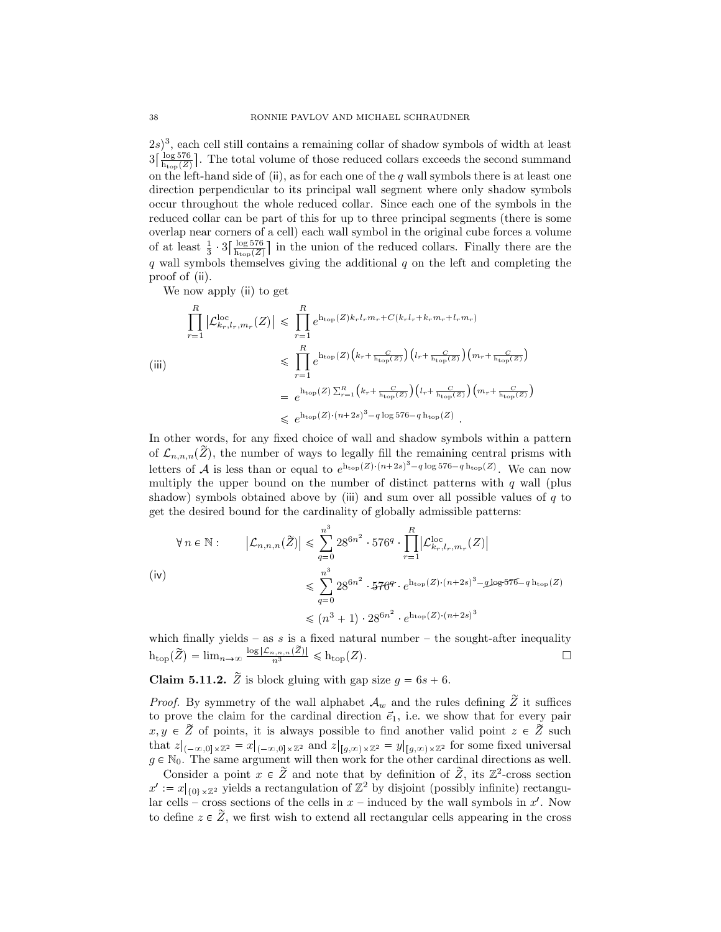$(2s)^3$ , each cell still contains a remaining collar of shadow symbols of width at least  $3\left[\frac{\log 576}{\hbar_{\text{top}}(Z)}\right]$ . The total volume of those reduced collars exceeds the second summand on the left-hand side of (ii), as for each one of the *q* wall symbols there is at least one direction perpendicular to its principal wall segment where only shadow symbols occur throughout the whole reduced collar. Since each one of the symbols in the reduced collar can be part of this for up to three principal segments (there is some overlap near corners of a cell) each wall symbol in the original cube forces a volume of at least  $\frac{1}{3}$ ,  $3\left[\frac{\log 576}{\ln \log (Z)}\right]$  in the union of the reduced collars. Finally there are the *q* wall symbols themselves giving the additional *q* on the left and completing the proof of (ii).

We now apply (ii) to get

$$
\prod_{r=1}^{R} |\mathcal{L}_{k_r,l_r,m_r}^{\text{loc}}(Z)| \leq \prod_{r=1}^{R} e^{h_{\text{top}}(Z)k_r l_r m_r + C(k_r l_r + k_r m_r + l_r m_r)}
$$
\n
$$
\leq \prod_{r=1}^{R} e^{h_{\text{top}}(Z) \left(k_r + \frac{C}{h_{\text{top}}(Z)}\right) \left(l_r + \frac{C}{h_{\text{top}}(Z)}\right) \left(m_r + \frac{C}{h_{\text{top}}(Z)}\right)}
$$
\n
$$
= e^{h_{\text{top}}(Z) \sum_{r=1}^{R} \left(k_r + \frac{C}{h_{\text{top}}(Z)}\right) \left(l_r + \frac{C}{h_{\text{top}}(Z)}\right) \left(m_r + \frac{C}{h_{\text{top}}(Z)}\right)}
$$
\n
$$
\leq e^{h_{\text{top}}(Z) \cdot (n+2s)^3 - q \log 576 - q h_{\text{top}}(Z)}.
$$

In other words, for any fixed choice of wall and shadow symbols within a pattern of  $\mathcal{L}_{n,n,n}(\tilde{Z})$ , the number of ways to legally fill the remaining central prisms with letters of *A* is less than or equal to  $e^{h_{\text{top}}(Z)(n+2s)^3-q\log 576-qh_{\text{top}}(Z)}$ . We can now multiply the upper bound on the number of distinct patterns with *q* wall (plus shadow) symbols obtained above by (iii) and sum over all possible values of *q* to get the desired bound for the cardinality of globally admissible patterns:

$$
\forall n \in \mathbb{N}: \qquad \left| \mathcal{L}_{n,n,n}(\tilde{Z}) \right| \leq \sum_{q=0}^{n^3} 28^{6n^2} \cdot 576^q \cdot \prod_{r=1}^R \left| \mathcal{L}_{k_r,l_r,m_r}^{\text{loc}}(Z) \right|
$$
\n
$$
\leq \sum_{q=0}^{n^3} 28^{6n^2} \cdot 576^q \cdot e^{\text{h}_{\text{top}}(Z) \cdot (n+2s)^3 - g \text{log} 576 - q \text{h}_{\text{top}}(Z)}
$$
\n
$$
\leq (n^3 + 1) \cdot 28^{6n^2} \cdot e^{\text{h}_{\text{top}}(Z) \cdot (n+2s)^3}
$$

which finally yields – as  $s$  is a fixed natural number – the sought-after inequality  $h_{\text{top}}(\widetilde{Z}) = \lim_{n \to \infty} \frac{\log |\mathcal{L}_{n,n,n}(Z)|}{n^3} \leqslant h_{\text{top}}(Z).$ 

**Claim 5.11.2.**  $\tilde{Z}$  is block gluing with gap size  $g = 6s + 6$ .

*Proof.* By symmetry of the wall alphabet  $A_w$  and the rules defining  $\widetilde{Z}$  it suffices to prove the claim for the cardinal direction  $\vec{e}_1$ , i.e. we show that for every pair  $x, y \in \tilde{Z}$  of points, it is always possible to find another valid point  $z \in \tilde{Z}$  such that  $z|_{(-\infty,0]\times\mathbb{Z}^2} = x|_{(-\infty,0]\times\mathbb{Z}^2}$  and  $z|_{[g,\infty)\times\mathbb{Z}^2} = y|_{[g,\infty)\times\mathbb{Z}^2}$  for some fixed universal  $g \in \mathbb{N}_0$ . The same argument will then work for the other cardinal directions as well.

Consider a point  $x \in \tilde{Z}$  and note that by definition of  $\tilde{Z}$ , its  $\mathbb{Z}^2$ -cross section  $x' := x|_{\{0\} \times \mathbb{Z}^2}$  yields a rectangulation of  $\mathbb{Z}^2$  by disjoint (possibly infinite) rectangular cells – cross sections of the cells in *x* – induced by the wall symbols in *x* 1 . Now to define  $z \in \tilde{Z}$ , we first wish to extend all rectangular cells appearing in the cross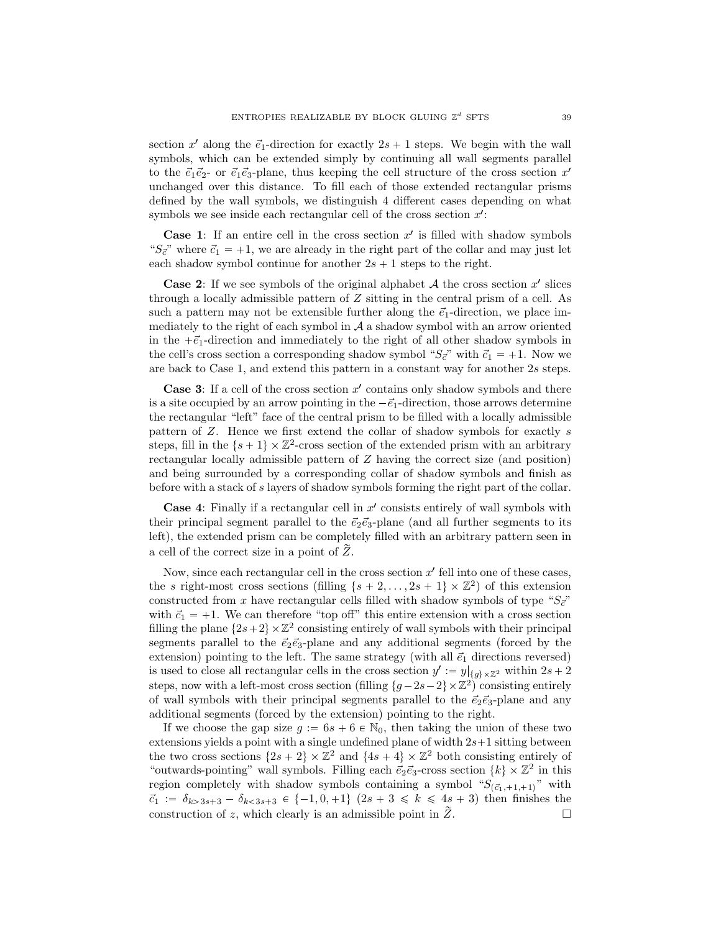section  $x'$  along the  $\vec{e}_1$ -direction for exactly  $2s + 1$  steps. We begin with the wall symbols, which can be extended simply by continuing all wall segments parallel to the  $\vec{e}_1 \vec{e}_2$ - or  $\vec{e}_1 \vec{e}_3$ -plane, thus keeping the cell structure of the cross section  $x'$ unchanged over this distance. To fill each of those extended rectangular prisms defined by the wall symbols, we distinguish 4 different cases depending on what symbols we see inside each rectangular cell of the cross section  $x'$ :

**Case 1:** If an entire cell in the cross section  $x'$  is filled with shadow symbols " $S_{\vec{c}}$ " where  $\vec{c}_1 = +1$ , we are already in the right part of the collar and may just let each shadow symbol continue for another  $2s + 1$  steps to the right.

**Case 2:** If we see symbols of the original alphabet  $A$  the cross section  $x'$  slices through a locally admissible pattern of *Z* sitting in the central prism of a cell. As such a pattern may not be extensible further along the  $\vec{e}_1$ -direction, we place immediately to the right of each symbol in *A* a shadow symbol with an arrow oriented in the  $+\vec{e}_1$ -direction and immediately to the right of all other shadow symbols in the cell's cross section a corresponding shadow symbol " $S_{\vec{c}}$ " with  $\vec{c}_1 = +1$ . Now we are back to Case 1, and extend this pattern in a constant way for another 2*s* steps.

**Case 3**: If a cell of the cross section x' contains only shadow symbols and there is a site occupied by an arrow pointing in the  $-\vec{e}_1$ -direction, those arrows determine the rectangular "left" face of the central prism to be filled with a locally admissible pattern of *Z*. Hence we first extend the collar of shadow symbols for exactly *s* steps, fill in the  $\{s+1\} \times \mathbb{Z}^2$ -cross section of the extended prism with an arbitrary rectangular locally admissible pattern of *Z* having the correct size (and position) and being surrounded by a corresponding collar of shadow symbols and finish as before with a stack of *s* layers of shadow symbols forming the right part of the collar.

**Case 4**: Finally if a rectangular cell in  $x'$  consists entirely of wall symbols with their principal segment parallel to the  $\vec{e}_2 \vec{e}_3$ -plane (and all further segments to its left), the extended prism can be completely filled with an arbitrary pattern seen in a cell of the correct size in a point of  $Z$ .

Now, since each rectangular cell in the cross section  $x'$  fell into one of these cases, the *s* right-most cross sections (filling  $\{s + 2, \ldots, 2s + 1\} \times \mathbb{Z}^2$ ) of this extension constructed from *x* have rectangular cells filled with shadow symbols of type " $S_{\vec{c}}$ " with  $\vec{c}_1 = +1$ . We can therefore "top off" this entire extension with a cross section filling the plane  $\{2s+2\}\times\mathbb{Z}^2$  consisting entirely of wall symbols with their principal segments parallel to the  $\vec{e}_2 \vec{e}_3$ -plane and any additional segments (forced by the extension) pointing to the left. The same strategy (with all  $\vec{e}_1$  directions reversed) is used to close all rectangular cells in the cross section  $y' := y|_{\{g\} \times \mathbb{Z}^2}$  within  $2s + 2$ steps, now with a left-most cross section (filling  $\{g-2s-2\}\times\mathbb{Z}^2$ ) consisting entirely of wall symbols with their principal segments parallel to the  $\vec{e}_2 \vec{e}_3$ -plane and any additional segments (forced by the extension) pointing to the right.

If we choose the gap size  $g := 6s + 6 \in \mathbb{N}_0$ , then taking the union of these two extensions yields a point with a single undefined plane of width  $2s+1$  sitting between the two cross sections  $\{2s + 2\} \times \mathbb{Z}^2$  and  $\{4s + 4\} \times \mathbb{Z}^2$  both consisting entirely of "outwards-pointing" wall symbols. Filling each  $\vec{e}_2 \vec{e}_3$ -cross section  $\{k\} \times \mathbb{Z}^2$  in this region completely with shadow symbols containing a symbol " $S_{(\vec{c}_1, +1, +1)}$ " with  $\vec{c}_1 := \delta_{k>3s+3} - \delta_{k<3s+3} \in \{-1, 0, +1\}$   $(2s+3 \leq k \leq 4s+3)$  then finishes the construction of z, which clearly is an admissible point in  $\tilde{Z}$ . construction of *z*, which clearly is an admissible point in  $\tilde{Z}$ .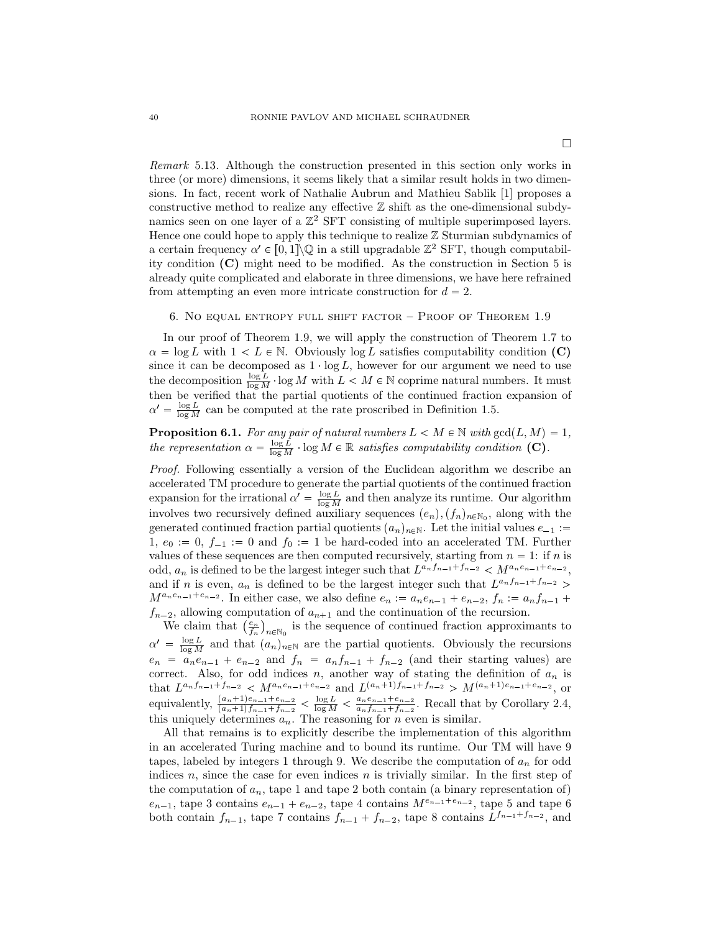*Remark* 5.13*.* Although the construction presented in this section only works in three (or more) dimensions, it seems likely that a similar result holds in two dimensions. In fact, recent work of Nathalie Aubrun and Mathieu Sablik [1] proposes a constructive method to realize any effective  $\mathbb Z$  shift as the one-dimensional subdynamics seen on one layer of a  $\mathbb{Z}^2$  SFT consisting of multiple superimposed layers. Hence one could hope to apply this technique to realize  $\mathbb Z$  Sturmian subdynamics of a certain frequency  $\alpha' \in [0,1] \backslash \mathbb{Q}$  in a still upgradable  $\mathbb{Z}^2$  SFT, though computability condition **(C)** might need to be modified. As the construction in Section 5 is already quite complicated and elaborate in three dimensions, we have here refrained from attempting an even more intricate construction for  $d = 2$ .

### 6. No equal entropy full shift factor – Proof of Theorem 1.9

In our proof of Theorem 1.9, we will apply the construction of Theorem 1.7 to  $\alpha = \log L$  with  $1 < L \in \mathbb{N}$ . Obviously  $\log L$  satisfies computability condition **(C)** since it can be decomposed as  $1 \log L$ , however for our argument we need to use the decomposition  $\frac{\log L}{\log M} \cdot \log M$  with  $L < M \in \mathbb{N}$  coprime natural numbers. It must then be verified that the partial quotients of the continued fraction expansion of  $\alpha' = \frac{\log L}{\log M}$  can be computed at the rate proscribed in Definition 1.5.

**Proposition 6.1.** For any pair of natural numbers  $L < M \in \mathbb{N}$  with  $gcd(L, M) = 1$ , *the representation*  $\alpha = \frac{\log L}{\log M} \cdot \log M \in \mathbb{R}$  *satisfies computability condition* **(C)***.* 

*Proof.* Following essentially a version of the Euclidean algorithm we describe an accelerated TM procedure to generate the partial quotients of the continued fraction expansion for the irrational  $\alpha' = \frac{\log L}{\log M}$  and then analyze its runtime. Our algorithm involves two recursively defined auxiliary sequences  $(e_n)$ ,  $(f_n)_{n \in \mathbb{N}_0}$ , along with the generated continued fraction partial quotients  $(a_n)_{n\in\mathbb{N}}$ . Let the initial values  $e_{-1}$  := 1,  $e_0 := 0$ ,  $f_{-1} := 0$  and  $f_0 := 1$  be hard-coded into an accelerated TM. Further values of these sequences are then computed recursively, starting from  $n = 1$ : if *n* is odd,  $a_n$  is defined to be the largest integer such that  $L^{a_n f_{n-1} + f_{n-2}} < M^{a_n e_{n-1} + e_{n-2}}$ , and if *n* is even,  $a_n$  is defined to be the largest integer such that  $L^{a_n f_{n-1} + f_{n-2}}$  $M^{a_n e_{n-1} + e_{n-2}}$ . In either case, we also define  $e_n := a_n e_{n-1} + e_{n-2}, f_n := a_n f_{n-1} +$  $f_{n-2}$ , allowing computation of  $a_{n+1}$  and the continuation of the recursion.

We claim that  $\left(\frac{e_n}{f_n}\right)$  $n \in \mathbb{N}_0$  is the sequence of continued fraction approximants to  $\alpha' = \frac{\log L}{\log M}$  and that  $(a_n)_{n \in \mathbb{N}}$  are the partial quotients. Obviously the recursions  $e_n = a_n e_{n-1} + e_{n-2}$  and  $f_n = a_n f_{n-1} + f_{n-2}$  (and their starting values) are correct. Also, for odd indices  $n$ , another way of stating the definition of  $a_n$  is that  $L^{a_n f_{n-1} + f_{n-2}}$   $\langle M^{a_n e_{n-1} + e_{n-2}}$  and  $L^{(a_n + 1) f_{n-1} + f_{n-2}} \rangle M^{(a_n + 1) e_{n-1} + e_{n-2}}$ , or equivalently,  $\frac{(a_n+1)e_{n-1}+e_{n-2}}{(a_n+1)f_{n-1}+f_{n-2}} \le \frac{\log L}{\log M} \le \frac{a_ne_{n-1}+e_{n-2}}{a_nf_{n-1}+f_{n-2}}$  $\frac{a_n e_{n-1} + e_{n-2}}{a_n f_{n-1} + f_{n-2}}$ . Recall that by Corollary 2.4, this uniquely determines  $a_n$ . The reasoning for  $n$  even is similar.

All that remains is to explicitly describe the implementation of this algorithm in an accelerated Turing machine and to bound its runtime. Our TM will have 9 tapes, labeled by integers 1 through 9. We describe the computation of *a<sup>n</sup>* for odd indices *n*, since the case for even indices *n* is trivially similar. In the first step of the computation of  $a_n$ , tape 1 and tape 2 both contain (a binary representation of)  $e_{n-1}$ , tape 3 contains  $e_{n-1} + e_{n-2}$ , tape 4 contains  $M^{e_{n-1}+e_{n-2}}$ , tape 5 and tape 6 both contain  $f_{n-1}$ , tape 7 contains  $f_{n-1} + f_{n-2}$ , tape 8 contains  $L^{f_{n-1}+f_{n-2}}$ , and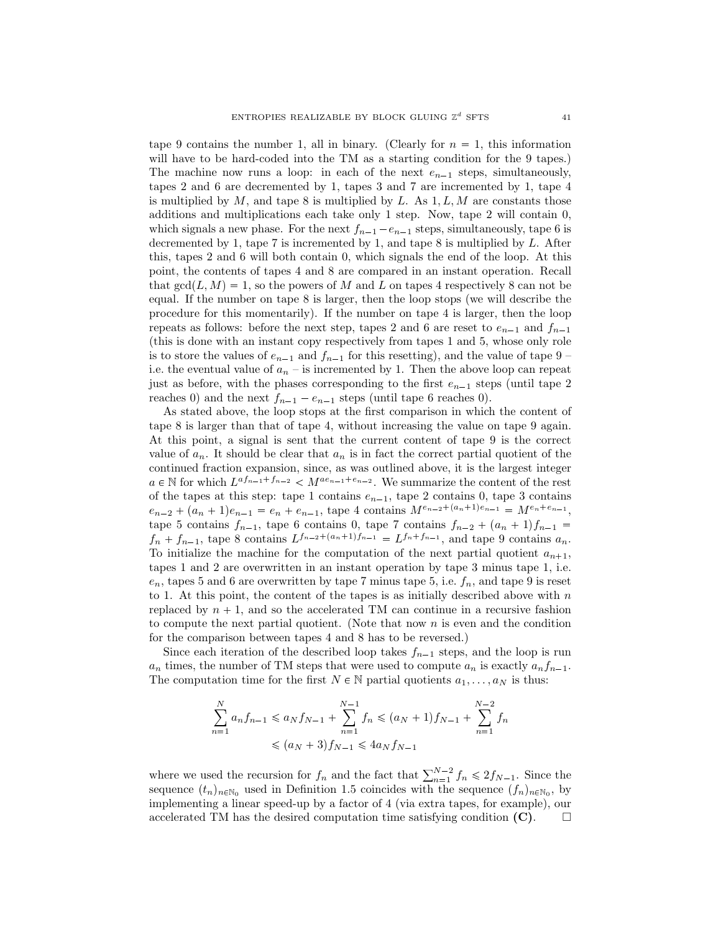tape 9 contains the number 1, all in binary. (Clearly for  $n = 1$ , this information will have to be hard-coded into the TM as a starting condition for the 9 tapes.) The machine now runs a loop: in each of the next  $e_{n-1}$  steps, simultaneously, tapes 2 and 6 are decremented by 1, tapes 3 and 7 are incremented by 1, tape 4 is multiplied by *M*, and tape 8 is multiplied by *L*. As 1*, L, M* are constants those additions and multiplications each take only 1 step. Now, tape 2 will contain 0, which signals a new phase. For the next  $f_{n-1} - e_{n-1}$  steps, simultaneously, tape 6 is decremented by 1, tape 7 is incremented by 1, and tape 8 is multiplied by *L*. After this, tapes 2 and 6 will both contain 0, which signals the end of the loop. At this point, the contents of tapes 4 and 8 are compared in an instant operation. Recall that  $gcd(L, M) = 1$ , so the powers of *M* and *L* on tapes 4 respectively 8 can not be equal. If the number on tape 8 is larger, then the loop stops (we will describe the procedure for this momentarily). If the number on tape 4 is larger, then the loop repeats as follows: before the next step, tapes 2 and 6 are reset to  $e_{n-1}$  and  $f_{n-1}$ (this is done with an instant copy respectively from tapes 1 and 5, whose only role is to store the values of  $e_{n-1}$  and  $f_{n-1}$  for this resetting), and the value of tape 9 – i.e. the eventual value of  $a_n$  – is incremented by 1. Then the above loop can repeat just as before, with the phases corresponding to the first  $e_{n-1}$  steps (until tape 2) reaches 0) and the next  $f_{n-1} - e_{n-1}$  steps (until tape 6 reaches 0).

As stated above, the loop stops at the first comparison in which the content of tape 8 is larger than that of tape 4, without increasing the value on tape 9 again. At this point, a signal is sent that the current content of tape 9 is the correct value of  $a_n$ . It should be clear that  $a_n$  is in fact the correct partial quotient of the continued fraction expansion, since, as was outlined above, it is the largest integer  $a \in \mathbb{N}$  for which  $L^{af_{n-1}+f_{n-2}} < M^{ae_{n-1}+e_{n-2}}$ . We summarize the content of the rest of the tapes at this step: tape 1 contains  $e_{n-1}$ , tape 2 contains 0, tape 3 contains  $e_{n-2} + (a_n + 1)e_{n-1} = e_n + e_{n-1}$ , tape 4 contains  $M^{e_{n-2}+(a_n+1)e_{n-1}} = M^{e_n+e_{n-1}}$ , tape 5 contains  $f_{n-1}$ , tape 6 contains 0, tape 7 contains  $f_{n-2} + (a_n + 1)f_{n-1} =$  $f_n + f_{n-1}$ , tape 8 contains  $L^{f_{n-2} + (a_n+1)f_{n-1}} = L^{f_n + f_{n-1}}$ , and tape 9 contains  $a_n$ . To initialize the machine for the computation of the next partial quotient  $a_{n+1}$ , tapes 1 and 2 are overwritten in an instant operation by tape 3 minus tape 1, i.e.  $e_n$ , tapes 5 and 6 are overwritten by tape 7 minus tape 5, i.e.  $f_n$ , and tape 9 is reset to 1. At this point, the content of the tapes is as initially described above with *n* replaced by  $n + 1$ , and so the accelerated TM can continue in a recursive fashion to compute the next partial quotient. (Note that now *n* is even and the condition for the comparison between tapes 4 and 8 has to be reversed.)

Since each iteration of the described loop takes  $f_{n-1}$  steps, and the loop is run  $a_n$  times, the number of TM steps that were used to compute  $a_n$  is exactly  $a_n f_{n-1}$ . The computation time for the first  $N \in \mathbb{N}$  partial quotients  $a_1, \ldots, a_N$  is thus:

$$
\sum_{n=1}^{N} a_n f_{n-1} \leq a_N f_{N-1} + \sum_{n=1}^{N-1} f_n \leq (a_N + 1) f_{N-1} + \sum_{n=1}^{N-2} f_n
$$
  

$$
\leq (a_N + 3) f_{N-1} \leq 4a_N f_{N-1}
$$

where we used the recursion for  $f_n$  and the fact that  $\sum_{n=1}^{N-2} f_n \leq 2f_{N-1}$ . Since the sequence  $(t_n)_{n \in \mathbb{N}_0}$  used in Definition 1.5 coincides with the sequence  $(f_n)_{n \in \mathbb{N}_0}$ , by implementing a linear speed-up by a factor of 4 (via extra tapes, for example), our accelerated TM has the desired computation time satisfying condition  $(C)$ .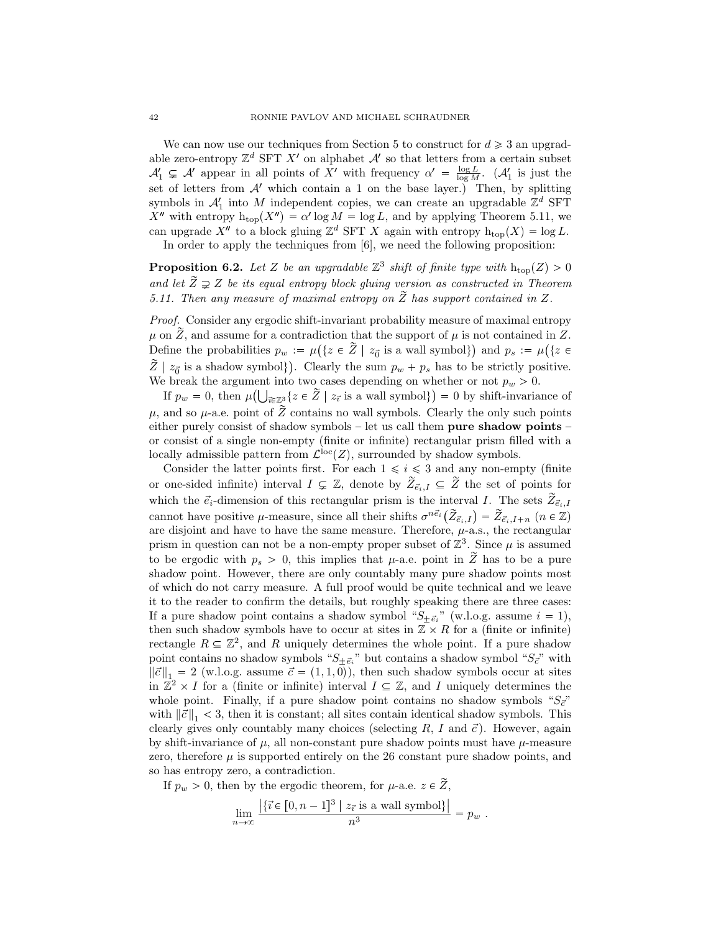We can now use our techniques from Section 5 to construct for  $d \geq 3$  an upgradable zero-entropy  $\mathbb{Z}^d$  SFT  $X'$  on alphabet  $\mathcal{A}'$  so that letters from a certain subset  $A'_1 \subsetneq A'$  appear in all points of *X'* with frequency  $\alpha' = \frac{\log L}{\log M}$ . ( $A'_1$  is just the set of letters from  $A'$  which contain a 1 on the base layer.) Then, by splitting symbols in  $\mathcal{A}'_1$  into *M* independent copies, we can create an upgradable  $\mathbb{Z}^d$  SFT *X*<sup>2</sup> with entropy  $h_{top}(X'') = \alpha' \log M = \log L$ , and by applying Theorem 5.11, we can upgrade  $X''$  to a block gluing  $\mathbb{Z}^d$  SFT X again with entropy  $h_{\text{top}}(X) = \log L$ . In order to apply the techniques from [6], we need the following proposition:

**Proposition 6.2.** Let Z be an upgradable  $\mathbb{Z}^3$  shift of finite type with  $h_{top}(Z) > 0$ and let  $\tilde{Z} \supsetneq Z$  be its equal entropy block gluing version as constructed in Theorem *5.11. Then any measure of maximal entropy on*  $\widetilde{Z}$  *has support contained in*  $Z$ *.* 

*Proof.* Consider any ergodic shift-invariant probability measure of maximal entropy  $\mu$  on  $\widetilde{Z}$ , and assume for a contradiction that the support of  $\mu$  is not contained in  $Z$ . Define the probabilities  $p_w := \mu(\lbrace z \in \tilde{Z} \mid z_{\vec{0}} \text{ is a wall symbol}\rbrace)$  and  $p_s := \mu(\lbrace z \in \tilde{Z} \mid z_{\vec{0}} \text{ is a wall symbol}\rbrace)$  $\widetilde{Z}$  |  $z_{\vec{0}}$  is a shadow symbol}). Clearly the sum  $p_w + p_s$  has to be strictly positive. We break the argument into two cases depending on whether or not  $p_w > 0$ .

If  $p_w = 0$ , then  $\mu\left(\bigcup_{\vec{i} \in \mathbb{Z}^3_+} \{z \in \widetilde{Z} \mid z_{\vec{i}} \text{ is a wall symbol}\}\right) = 0$  by shift-invariance of  $\mu$ , and so  $\mu$ -a.e. point of  $\tilde{Z}$  contains no wall symbols. Clearly the only such points either purely consist of shadow symbols – let us call them **pure shadow points** – or consist of a single non-empty (finite or infinite) rectangular prism filled with a locally admissible pattern from  $\mathcal{L}^{\text{loc}}(Z)$ , surrounded by shadow symbols.

Consider the latter points first. For each  $1 \leq i \leq 3$  and any non-empty (finite or one-sided infinite) interval  $I \subsetneq \mathbb{Z}$ , denote by  $\tilde{Z}_{\vec{e}_i,I} \subseteq \tilde{Z}$  the set of points for which the  $\vec{e}_i$ -dimension of this rectangular prism is the interval *I*. The sets  $\widetilde{Z}_{\vec{e}_i,I}$ cannot have positive *µ*-measure, since all their shifts  $\sigma^{n\vec{e}}(\tilde{Z}_{\vec{e}_i,I}) = \tilde{Z}_{\vec{e}_i,I+n}$  ( $n \in \mathbb{Z}$ ) are disjoint and have to have the same measure. Therefore, *µ*-a.s., the rectangular prism in question can not be a non-empty proper subset of  $\mathbb{Z}^3$ . Since  $\mu$  is assumed to be ergodic with  $p_s > 0$ , this implies that  $\mu$ -a.e. point in  $\tilde{Z}$  has to be a pure shadow point. However, there are only countably many pure shadow points most of which do not carry measure. A full proof would be quite technical and we leave it to the reader to confirm the details, but roughly speaking there are three cases: If a pure shadow point contains a shadow symbol " $S_{\pm \vec{e}_i}$ " (w.l.o.g. assume  $i = 1$ ), then such shadow symbols have to occur at sites in  $\mathbb{Z} \times R$  for a (finite or infinite) rectangle  $R \subseteq \mathbb{Z}^2$ , and R uniquely determines the whole point. If a pure shadow point contains no shadow symbols " $S_{\pm \vec{e}_i}$ " but contains a shadow symbol " $S_{\vec{e}}$ " with  $\|\vec{c}\|_{1} = 2$  (w.l.o.g. assume  $\vec{c} = (1, 1, 0)$ ), then such shadow symbols occur at sites in  $\mathbb{Z}^2 \times I$  for a (finite or infinite) interval  $I \subseteq \mathbb{Z}$ , and *I* uniquely determines the whole point. Finally, if a pure shadow point contains no shadow symbols  ${}^{4}S_{c}$ " with  $\|\vec{c}\|_{1}$  < 3, then it is constant; all sites contain identical shadow symbols. This clearly gives only countably many choices (selecting  $R$ ,  $I$  and  $\vec{c}$ ). However, again by shift-invariance of  $\mu$ , all non-constant pure shadow points must have  $\mu$ -measure zero, therefore  $\mu$  is supported entirely on the 26 constant pure shadow points, and so has entropy zero, a contradiction.

If  $p_w > 0$ , then by the ergodic theorem, for  $\mu$ -a.e.  $z \in \widetilde{Z}$ ,

$$
\lim_{n \to \infty} \frac{\left| \{ \vec{\imath} \in [0, n-1]^3 \mid z_{\vec{\imath}} \text{ is a wall symbol} \} \right|}{n^3} = p_w.
$$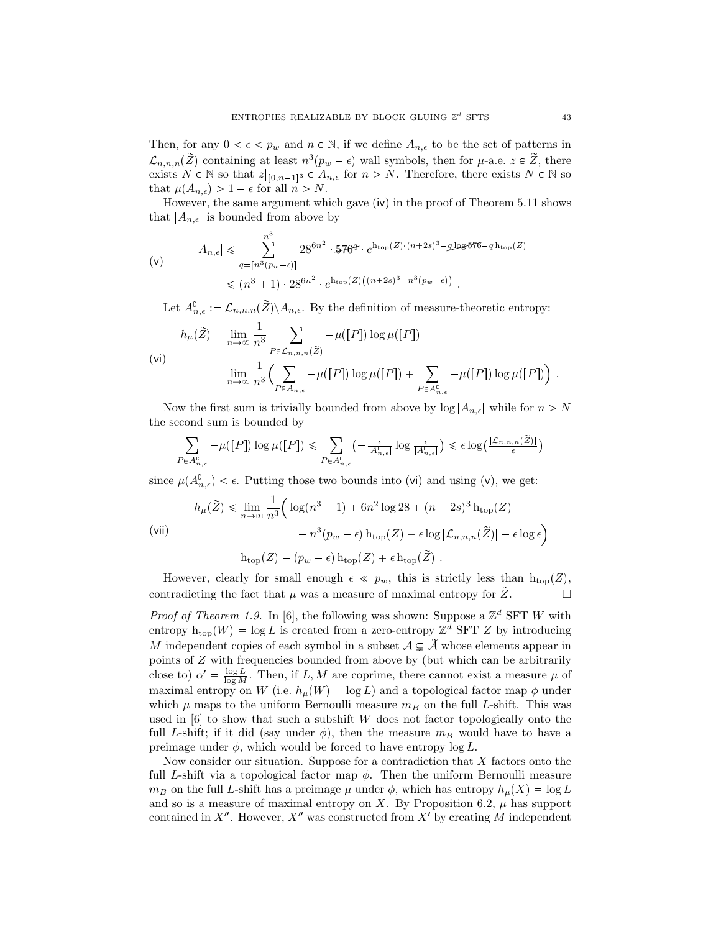Then, for any  $0 < \epsilon < p_w$  and  $n \in \mathbb{N}$ , if we define  $A_{n,\epsilon}$  to be the set of patterns in  $\mathcal{L}_{n,n,n}(\tilde{Z})$  containing at least  $n^3(p_w - \epsilon)$  wall symbols, then for  $\mu$ -a.e.  $z \in \tilde{Z}$ , there exists  $N \in \mathbb{N}$  so that  $z|_{[0,n-1]^3} \in A_{n,\epsilon}$  for  $n > N$ . Therefore, there exists  $N \in \mathbb{N}$  so that  $\mu(A_{n,\epsilon}) > 1 - \epsilon$  for all  $n > N$ .

However, the same argument which gave (iv) in the proof of Theorem 5.11 shows that  $|A_{n,\epsilon}|$  is bounded from above by

$$
|A_{n,\epsilon}| \leq \sum_{q=[n^3(p_w-\epsilon)]}^{n^3} 28^{6n^2} \cdot 576^q \cdot e^{h_{\text{top}}(Z) \cdot (n+2s)^3 - q \log 576 - q h_{\text{top}}(Z)}
$$
  

$$
\leq (n^3+1) \cdot 28^{6n^2} \cdot e^{h_{\text{top}}(Z) \left( (n+2s)^3 - n^3(p_w-\epsilon) \right)}.
$$

Let  $A_{n,\epsilon}^{\mathbb{C}} := \mathcal{L}_{n,n,n}(Z) \backslash A_{n,\epsilon}$ . By the definition of measure-theoretic entropy:

$$
h_{\mu}(\tilde{Z}) = \lim_{n \to \infty} \frac{1}{n^3} \sum_{P \in \mathcal{L}_{n,n,n}(\tilde{Z})} -\mu([P]) \log \mu([P])
$$
  
(vi)  

$$
= \lim_{n \to \infty} \frac{1}{n^3} \Biggl( \sum_{P \in A_{n,\epsilon}} -\mu([P]) \log \mu([P]) + \sum_{P \in A_{n,\epsilon}^{\complement}} -\mu([P]) \log \mu([P]) \Biggr).
$$

Now the first sum is trivially bounded from above by  $\log |A_{n,\epsilon}|$  while for  $n > N$ the second sum is bounded by

$$
\sum_{P \in A_{n,\epsilon}^{\complement}} -\mu([P]) \log \mu([P]) \leq \sum_{P \in A_{n,\epsilon}^{\complement}} \left( -\frac{\epsilon}{|A_{n,\epsilon}^{\complement}|} \log \frac{\epsilon}{|A_{n,\epsilon}^{\complement}|} \right) \leq \epsilon \log \left( \frac{|{\mathcal{L}}_{n,n,n}(\tilde{Z})|}{\epsilon} \right)
$$

since  $\mu(A_{n,\epsilon}^{\mathbb{C}}) < \epsilon$ . Putting those two bounds into (vi) and using (v), we get:

$$
h_{\mu}(\widetilde{Z}) \leq \lim_{n \to \infty} \frac{1}{n^3} \Big( \log(n^3 + 1) + 6n^2 \log 28 + (n + 2s)^3 \ln_{\text{top}}(Z) - n^3(p_w - \epsilon) \ln_{\text{top}}(Z) + \epsilon \log |\mathcal{L}_{n,n,n}(\widetilde{Z})| - \epsilon \log \epsilon \Big)
$$

 $=$  h<sub>top</sub>(Z) –  $(p_w - \epsilon)$  h<sub>top</sub>(Z) +  $\epsilon$  h<sub>top</sub>(Z).

However, clearly for small enough  $\epsilon \ll p_w$ , this is strictly less than  $h_{top}(Z)$ , contradicting the fact that  $\mu$  was a measure of maximal entropy for  $Z$ .

*Proof of Theorem 1.9.* In [6], the following was shown: Suppose a  $\mathbb{Z}^d$  SFT *W* with entropy  $h_{\text{top}}(W) = \log L$  is created from a zero-entropy  $\mathbb{Z}^d$  SFT *Z* by introducing *M* independent copies of each symbol in a subset  $A \subsetneq \tilde{A}$  whose elements appear in points of *Z* with frequencies bounded from above by (but which can be arbitrarily close to)  $\alpha' = \frac{\log L}{\log M}$ . Then, if *L*, *M* are coprime, there cannot exist a measure  $\mu$  of maximal entropy on *W* (i.e.  $h_\mu(W) = \log L$ ) and a topological factor map  $\phi$  under which  $\mu$  maps to the uniform Bernoulli measure  $m_B$  on the full *L*-shift. This was used in [6] to show that such a subshift *W* does not factor topologically onto the full *L*-shift; if it did (say under  $\phi$ ), then the measure  $m_B$  would have to have a preimage under  $\phi$ , which would be forced to have entropy  $\log L$ .

Now consider our situation. Suppose for a contradiction that *X* factors onto the full *L*-shift via a topological factor map  $\phi$ . Then the uniform Bernoulli measure *mB* on the full *L*-shift has a preimage  $\mu$  under  $\phi$ , which has entropy  $h_{\mu}(X) = \log L$ and so is a measure of maximal entropy on X. By Proposition 6.2,  $\mu$  has support contained in  $X''$ . However,  $X''$  was constructed from  $X'$  by creating  $M$  independent